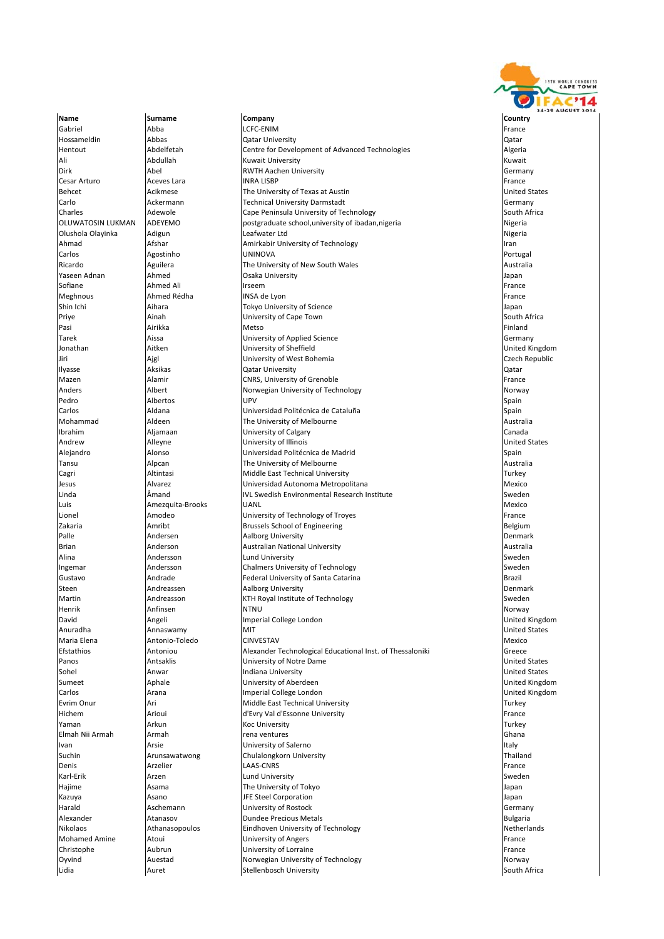

Name **Surname Company Company Company** Country Country Andrew **Alleyne** Alleyne University of Illinois

Gabriel Abba LCFC‐ENIM France Hotel (Abba LCFC‐ENIM France Hotel Abba LCFC‐ENIM France Hotel Abba L Hossameldin Abbas Qatar University Qatar Hentout Abdelfetah Centre for Development of Advanced Technologies Algeria<br>Ali Abdullah Kuwait University Centre for Development of Advanced Technologies Ali Abdullah Kuwait University Kuwait Dirk Abel RWTH Aachen University Germany Cesar Arturo **Calculation Aceves Lara** INRA LISBP **France Aceves Lara** INRA LISBP Behcet Acikmese The University of Texas at Austin United States Carlo Ackermann Technical University Darmstadt Germany Charles **Adewole** Cape Peninsula University of Technology Cape Cape **Charles** South Africa OLUWATOSIN LUKMAN ADEYEMO postgraduate school,university of ibadan,nigeria Nigeria Nigeria<br>| Olushola Olavinka | Adigun Olushola Olayinka Adigun Leafwater Ltd Nigeria Ahmad Afshar Amirkabir University of Technology Iran Carlos Agostinho UNINOVA Portugal Ricardo Aguilera The University of New South Wales Australia Ahmed Ali **Saka University** Japan Ahmed Ali Japan Japan Ahmed Ali Japan Japan Japan Japan Japan Japan Japan Japan Japan Japan Japan Japan Japan Japan Japan Japan Japan Japan Japan Japan Japan Japan Japan Japan Japan Japan Sofiane **Ahmed Ali** Irseem **Ahmed Ali Irseem** France Ali Irseem Annual Irseem Annual Irseem Annual Irseem Annual I Meghnous **Ahmed Rédha** INSA de Lyon France **Annual Ahmed Rédha** INSA de Lyon France **France Annual Abdull** France Shin Ichi Aihara Tokyo University of Science Japan University of Cape Town Pasi Airikka Metso Finland Tarek **Aissa Maria Aissa (Edition Science And Annual Aissa Cermany** Germany Distribution of Applied Science Germany<br>The Aissa Aissa (University of Sheffield Clear Communism Control Club Cermany District Club Club Club Club Jonathan Aitken University of Sheffield United Kingdom Jiri Ajgl University of West Bohemia Czech Republic Ilyasse Aksikas Qatar University Qatar **Mazen CONTENTS Alamir CONRS, University of Grenoble CONTENTS ALSO REGISTED France** Anders Albert Norwegian University of Technology Norway Pedro Albertos UPV Spain Carlos Aldana Universidad Politécnica de Cataluña Spain Mohammad Aldeen **The University of Melbourne** Mohammad Australia<br>
1999 - The University of Calgary<br>
1997 - The University of Calgary University of Calgary and Canada Canada Canada Canada Canada Canada Canada Canada Canada Canada Canada Canada Canada Canada Canada Canada Canada Canada Canada Canada Canada Canada Canada Canada Canada Canada Canada Canada Alejandro Alonso Universidad Politécnica de Madrid Spain Tansu **Tansu Alpcan** Alpcan The University of Melbourne Cagri Cagri Altintasi Middle East Technical University Cagri Turkey Jesus Alvarez Universidad Autonoma Metropolitana Mexico Linda **Amand** Amand IVL Swedish Environmental Research Institute Sweden Luis Amezquita‐Brooks UANL Mexico Lionel **Amodeo** Amodeo **University of Technology of Troyes** France **France France** Zakaria Amribt Brussels School of Engineering Belgium Palle **Andersen Aalborg University** Andersen Aalborg University **Denmark** Denmark Brian Anderson Australian National University Australia Alina **Andersson Cluid University** Chamber 2016 and the Sweden Sweden Sweden Sweden Sweden Sweden Sweden Sweden **Ingemar** Andersson **Chalmers University of Technology Sweden** Sweden Gustavo **Andrade** Andrade **Federal University of Santa Catarina** Brazil Brazil Steen Andreassen Aalborg University Denmark Andreasson **KTH Royal Institute of Technology** Sweden Henrik Anfinsen NTNU NORWAY NORWAY NORWAY NORWAY NORWAY NORWAY NORWAY NORWAY NORWAY NORWAY NORWAY NORWAY NORWA David Angeli Imperial College London United Kingdom Anuradha Annaswamy MIT United States Maria Elena Antonio‐Toledo CINVESTAV Mexico Efstathios **Antoniou** Antoniou **Alexander Technological Educational Inst**. of Thessaloniki Greece<br>Panos Antsaklis University of Notre Dame Panos Antsaklis University of Notre Dame United States Sohel Anwar Indiana University United States University of Aberdeen **Numerical Contract Apple 2014** United Kingdom Carlos Arana Imperial College London United Kingdom Evrim Onur **Evrim Ari Ari Ari Ari Middle East Technical University Turkey Turkey Turkey**<br>
Hichem **Ari Arioui** Ari Ari Ari Ari Middle East Technical University **Turkey Communisty** France Hichem Arioui d'Evry Val d'Essonne University France Yaman Arkun Koc University Turkey Elmah Nii Armah Armah rena ventures Ghana Ivan **Ivan Arsie Arsie Communisty of Salerno** Italy in the University of Salerno Italy in the University of Salerno Italy in the University of Salerno Italy in the University of Salerno Italy in the University of Salerno Suchin Arunsawatwong Chulalongkorn University Thailand Denis **Example Arzelier Community Community** LAAS‐CNRS France Community Community Community Community Community C Karl-Erik Karl Arzen Lund University Sweden (Sweden Sweden Lund University Sweden Sweden Sweden Sweden Sweden<br>The University of Tokyo **Hajime** Asama **The University of Tokyo** Japan Japan Japan Kazuya **Asano** Asano **JFE Steel Corporation** Japan Japan Harald **Aschemann Aschemann** University of Rostock **Germany** University of Rostock **Germany** Alexander **Atanasov Bulgaria** Dundee Precious Metals Bulgaria Bulgaria Bulgaria Nikolaos **Athanasopoulos** Eindhoven University of Technology **Netherlands** Netherlands Mohamed Amine Atoui Atoui and Atoui University of Angers and Amino and Atoui Prance **Christophe Christophe Aubrun Christophe Aubrun University of Lorraine Christophe Christophe Christophe Christophe Christophe Christophe Christophe Christophe Christophe Christophe Christophe Christophe Christophe Christop** Oyvind **Auestad** Auestad Norwegian University of Technology Norway Norway Lidia Auret Stellenbosch University South Africa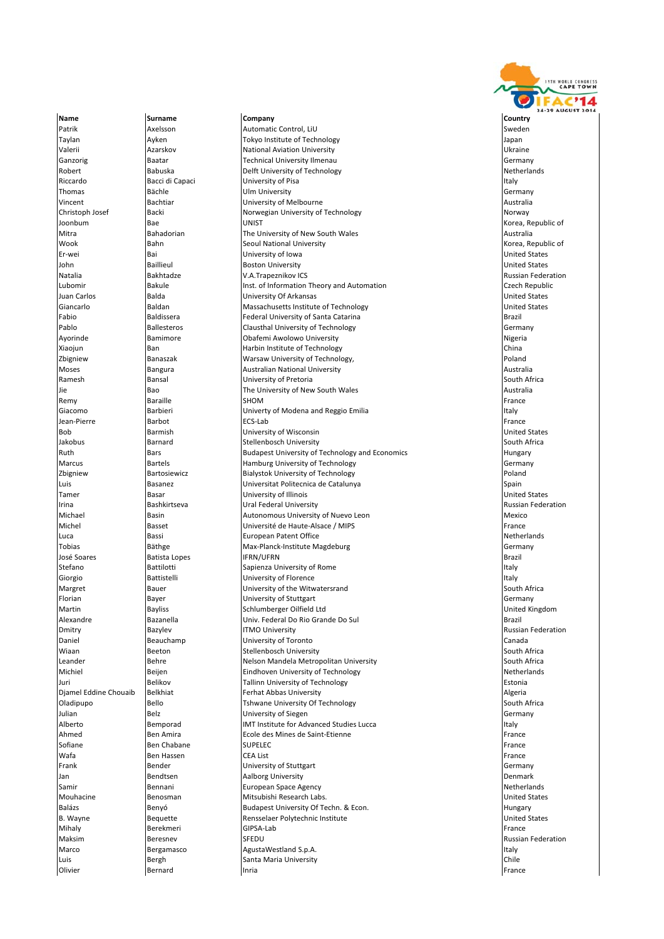

Name **Surname Company Company Company** Country Country **Ramesh Bansal Bansal Bansal University of Pretoria** 

Patrik **Axelsson** Automatic Control, LiU Sweden Automatic Control, LiU Sweden Sweden Taylan Ayken Tokyo Institute of Technology Japan Valerii **Azarskov** Mational Aviation University **Aximic Little Aviation University** Channel Aviation University Channel Aviation University Channel Aviation University Channel Aviation University Channel Aviation Universit Ganzorig Baatar Technical University Ilmenau Germany Robert **Babuska Delft University of Technology** Netherlands **Netherlands** Riccardo **Bacci di Capaci** University of Pisa Italy **Italy 1996** (Italy Italy Thomas Bächle Ulm University Germany Vincent and Bachtiar and University of Melbourne and Australia Australia Christoph Josef Backi Backi Norwegian University of Technology Norway Norway Joonbum Bae UNIST Korea, Republic of Mitra Bahadorian The University of New South Wales Australia Wook Bahn Seoul National University Korea, Republic of University of Iowa John Baillieul Boston University United States Natalia Bakhtadze V.A.Trapeznikov ICS Russian Federation Lubomir **Example 19 and 19 and 19 and 19 and 19 and 19 and 19 and 19 and 19 and 19 and 19 and 19 and 19 and 19 and 19 and 19 and 19 and 19 and 19 and 19 and 19 and 19 and 19 and 19 and 19 and 19 and 19 and 19 and 19 and 19** Juan Carlos Balda University Of Arkansas United States Giancarlo Baldan Massachusetts Institute of Technology United States Fabio Baldissera Federal University of Santa Catarina Brazil Pablo Ballesteros Clausthal University of Technology<br>
Pablo Bamimore Dobafemi Awolowo University Clausthal Disperia Nigeria Obafemi Awolowo University<br>
Harbin Institute of Technology<br>
China **Xiaojun** Ban **Ban Harbin Institute of Technology** China Ban Harbin Institute of Technology Zbigniew Banaszak Warsaw University of Technology, Poland Moses Bangura Australian National University Australia Jie 1980 Bao The University of New South Wales<br>Remy Baraille Strom Baraille SHOM BERNESS BOOK Remy Baraille SHOM France Giacomo **Barbieri** Barbieri **Barbieri** Univerty of Modena and Reggio Emilia **Italy** Italy Jean-Pierre Rarbot ECS-Lab France Barbot ECS-Lab France Barbot Barbot ECS-Lab France Barbot Barbot ECS-Lab Bob Barmish University of Wisconsin United States Jakobus Barnard Stellenbosch University South Africa Ruth Bars Budapest University of Technology and Economics<br>Marcus Bartels Bartels Hamburg University of Technology Hamburg University of Technology Germany Zbigniew Bartosiewicz Bialystok University of Technology Poland Luis Basanez Universitat Politecnica de Catalunya Spain Tamer Basar University of Illinois United States **Irina Bashkirtseva Ural Federal University Russian Federation** Russian Federation Michael **Basin** Basin **Autonomous University of Nuevo Leon** Mexico Mexico Michel Basset Université de Haute‐Alsace / MIPS France Luca Bassi European Patent Office Netherlands Tobias Bäthge Max‐Planck‐Institute Magdeburg Germany Germany<br>
José Soares Batista Lopes IFRN/UFRN José Soares Batista Lopes IFRN/UFRN Brazil **Stefano Battilotti** Sapienza University of Rome **Italy Italy** Italy Giorgio **Battistelli** Battistelli **Battistelli** University of Florence **Italy and Italy 1996** Italy Margret **Rambush Bauer** Bauer **Bauer** University of the Witwatersrand South Africa **Florian Community Community of Stuttgart Community of Stuttgart Community Community Community Community Community** Martin Bayliss Schlumberger Oilfield Ltd United Kingdom Alexandre Bazanella Univ. Federal Do Rio Grande Do Sul Brazil Dmitry Bazylev ITMO University Russian Federation Daniel **Beauchamp** University of Toronto Canada Canada Canada Wiaan Beeton Stellenbosch University Stellenbosch University South Africa leander **South Africa** Nelson Mandela Metropolitan University Nelson Mandela Metropolitan University South Africa Michiel **Eindhoven University of Technology** Netherlands Netherlands Juri Belikov Tallinn University of Technology Estonia Djamel Eddine Chouaib Belkhiat Ferhat Abbas University Algeria Oladipupo Bello **Bello** Tshwane University Of Technology **South Africa** South Africa Julian Belz University of Siegen Germany Remporad **IMT** Institute for Advanced Studies Lucca Italy Ahmed Ben Amira Ben Amira Ben Amira Ecole des Mines de Saint‐Etienne<br>Sofiane Ben Chabane SUPELEC BENGER ARE ETAN BENGER BENGER BENGER Sofiane Ren Chabane SUPELEC France Superintendent Superintendent Superintendent Superintendent Superintendent Superintendent Superintendent Superintendent Superintendent Superintendent Superintendent Superintendent Superin Wafa **Ben Hassen** CEA List France CEA List France CEA List France CEA List France **Frank** Bender **Bender Communisty of Stuttgart** Germany Communisty of Stuttgart Germany Jan Bendtsen Aalborg University Denmark Denmark<br>Samir Bennani Bennani European Space Agency Bennani **Bennani Bennani Bennani Bennani Bennan** European Space Agency Mouhacine **Benosman** Benosman Mitsubishi Research Labs. Nietworks and Benosman Dirited States Balázs Benyó Budapest University Of Techn. & Econ. Casas Budapest University Of Techn. & Econ. B. Wayne **Bequette** Rensselaer Polytechnic Institute **B. A. A. A. B. A. A. A. B. A. B. A. B. A. B. A. B. A. B. A.** B Mihaly Berekmeri GIPSA‐Lab France Berekmeri GIPSA‐Lab France Berekmeri Berekmeri Maksim **Beresnev** SFEDU **Russian Federation** SFEDU Marco Bergamasco AgustaWestland S.p.A. Italy and Bergamasco AgustaWestland S.p.A. Luis **Example 2018** Bergh Santa Maria University **Chile** Chile Olivier **Bernard Bernard Inria France Bernard Bernard** Inria France Bernard Bernard Bernard Bernard Bernard Bern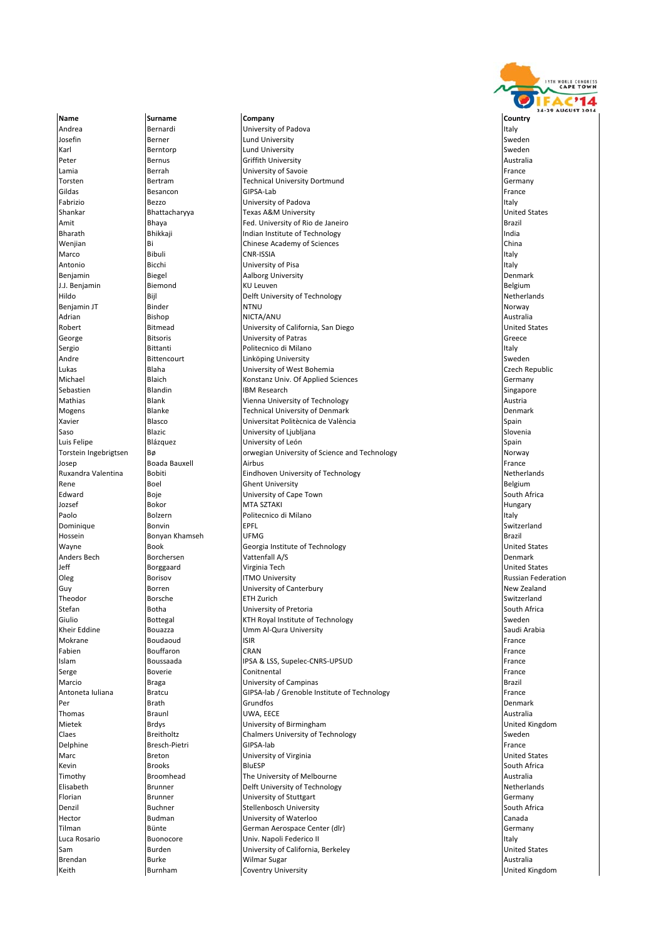

Name **Surname Company Company Company** Country Country Andrea **Bernardi Italy (Bernardi Italy Bernardi** University of Padova Italy Italy Italy Italy Italy Italy Italy Josefin **Berner Communist Berner** Lund University **Sweden** Sweden Karl Berntorp Lund University Sweden States and Berntorp Sweden States and Berntorp Sweden Peter **Bernus Griffith University Bernus** Griffith University **Australia** Lamia **Berrah Community Community** University of Savoie **France Community Community Community** France Torsten Bertram **Technical University Dortmund** Germany Germany Gildas Besancon GIPSA‐Lab France GIPSA‐Lab France Besancon Besancon Gildas France **Fabrizio 1988** Bezzo **Italy Bezzo** University of Padova **Italy Bezzo Italy Bezzo Italy Bezzo Italy** Italy Bezzo Italy Shankar **Bhattacharyya Texas A&M University Texas A&M University** United States Amit Bhaya Fed. University of Rio de Janeiro Brazil Bharath **Bhikkaji** Bhikkaji **Indian Institute of Technology** Indian Institute of Technology Indian Institute of Technology Indian Institute of Technology Indian Institute of Technology Indian Institute of Technology Indian Wenjian Bi Chinese Academy of Sciences China Marco Bibuli CNR‐ISSIA Italy Antonio Bicchi University of Pisa Italy Aalborg University J.J. Benjamin Biemond KU Leuven Belgium Hildo **Bijl Bill Delft University of Technology** Netherlands Netherlands Benjamin JT Binder NTNU Norway Adrian Bishop NICTA/ANU Australia Robert Bitmead University of California, San Diego United States University of Patras Sergio Bittanti politecnico di Milano Italy i di Bittanti di Bittanti di Bittanti di Politecnico di Milano Italy Andre **Bittencourt** Bittencourt **Linköping University** Sweden Lukas Blaha University of West Bohemia Czech Republic Michael Blaich Konstanz Univ. Of Applied Sciences Germany Sebastien 1988 – Sebastien Blandin 1988 – IBM Research Sebastien Schwarzen Singapore Mathias **Blank** Blank **Vienna University of Technology Austria** Austria Mogens Blanke Technical University of Denmark Denmark Xavier **Blasco** Blasco **De l'Altantist Politècnica de València** Spain en la Spain Saso Saso Blazic Blazic University of Ljubljana Slovenia Slovenia Slovenia Slovenia Slovenia Slovenia Slovenia Luis Felipe Blázquez **Blázquez (University of León Spain** Spain) Spain Torstein Ingebrigtsen Bø orwegian University of Science and Technology Norway Norway Josep Boada Bauxell Airbus France **Ruxandra Valentina** Bobiti **Eindhoven University of Technology Netherlands** Netherlands Rene Boel Boel Ghent University **Belgium** Belgium Edward Boje Boje University of Cape Town South Africa Jozsef Bokor MTA SZTAKI Hungary Paolo **Bolzern Charles Australia Politecnico di Milano** Italy e all'estate di Milano Italy e all'estate di Milano Dominique Bonvin EPFL Switzerland Hossein Bonyan Khamseh UFMG Brazil Wayne Book Georgia Institute of Technology United States Anders Bech Borchersen **Borchersen** Vattenfall A/S **Denmark** Denmark Jeff Borggaard Virginia Tech United States Oleg **Borisov** Borisov ITMO University **ITMO Intervention** Russian Federation Guy **Borren Community of Canterbury Community** Guy New Zealand Theodor Borsche ETH Zurich Switzerland Stefan Botha University of Pretoria South Africa Bottegal Sweden **EXTH Royal Institute of Technology** Sweden Kheir Eddine Bouazza Umm Al‐Qura University Saudi Arabia Mokrane Boudaoud ISIR France Fabien Bouffaron CRAN France Islam Boussaada IPSA & LSS, Supelec‐CNRS‐UPSUD France Serge Serge Boverie **Conitnental Exerge Boverie Continental** France Marcio **Braga** Brazil **Brazil** University of Campinas **Brazil** Brazil Brazil Antoneta Iuliana Bratcu Bratcu GIPSA-lab / Grenoble Institute of Technology **France** Per Brath Brath Grundfos **Communist Communist Communist Communist Communist Communist Communist Communist Communist Communist Communist Communist Communist Communist Communist Communist Communist Communist Communist Commun** Thomas Braunl UWA, EECE Australia Mietek Brdys University of Birmingham United Kingdom Claes **Breitholtz** Breitholtz Chalmers University of Technology **Sweden** Delphine Bresch‐Pietri GIPSA‐lab France Bresch‐Pietri GIPSA‐lab France Bresch‐Pietri G Marc **Breton Breton Community of Virginia** March 2011 and Dirited States **Breton Breton Community of Virginia** United States Kevin Brooks BluESP South Africa Timothy **The University of Melbourne** The University of Melbourne and the University of Melbourne Australia<br>The University of Technology **The Container Australia** Netherlands Elisabeth Brunner Delft University of Technology Florian **Brunner** Brunner **Details Accord University of Stuttgart** Communisty of Stuttgart Communisty of Sermany **Denzil South Africa** Buchner Stellenbosch University South Africa South Africa Hector Budman University of Waterloo Canada Tilman Bünte Bünte German Aerospace Center (dlr) Cermany Germany Luca Rosario **Buonocore Buonocore** Univ. Napoli Federico II italy in the University of the University of the University of the University of the University of the University of the University of the University of the Uni Sam Burden Burden University of California, Berkeley and Dunited States United States Brendan Burke Wilmar Sugar Australia Keith **Burnham Coventry University Burnham** Coventry University **Example 2016** United Kingdom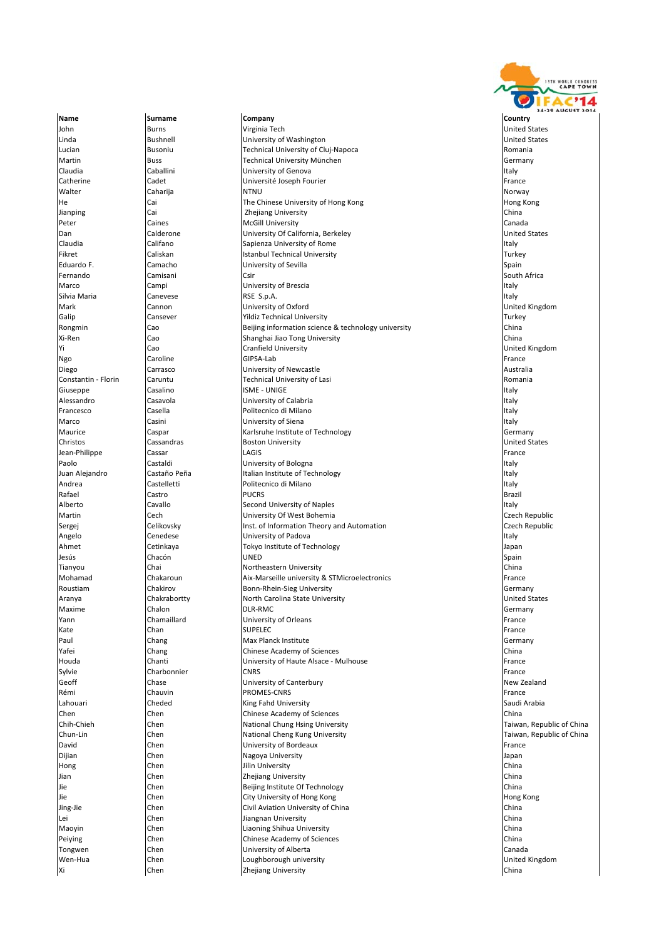

John Burns Virginia Tech United States Linda Bushnell University of Washington United States Lucian Busoniu **Rusoniu** Technical University of Cluj‐Napoca Romania Romania Martin Buss Technical University München Germany Claudia **Caballini** Caballini **Caballini** University of Genova **Italy** Italy Italy Italy Catherine Cadet Université Joseph Fourier France Walter Caharija NTNU Norway He Cai Communisty of Hong Kong Kong Cai The Chinese University of Hong Kong Nong Hong Kong Hong Kong Lilina<br>Hong Kong Hong Kong Hong Kong Hong Kong Hong Kong Hong Kong Lilina China Zhejiang University **China** Zhejiang University China Peter Caines Caines McGill University Canada Canada Canada Canada Dan Calderone University Of California, Berkeley United States Claudia Califano Sapienza University of Rome Italy **Istanbul Technical University** Eduardo F. Camacho University of Sevilla Spain Fernando Camisani Csir South Africa **Marco** Campi Campi University of Brescia **Italy 1996** Italy Silvia Maria Canevese RSE S.p.A. Italy Mark Cannon Communication of University of Oxford Communication of the United Kingdom<br>
Mark Cansever Cannon Communication of Cannon Communication of Turkey Cansever **The Cansever Cansever Cansever** Turkey **Turkey** Turkey Rongmin Cao Beijing information science & technology university China Shanghai Jiao Tong University **Vi** Cao **Cranfield University** Constantine Captain Captain Constantine Captain Constantine Captain Constantine C Ngo Caroline GIPSA‐Lab France GIPSA‐Lab France GIPSA‐Lab France GIPSA‐Lab France GIPSA‐Lab France G Diego Carrasco University of Newcastle Australia **Caruntu Caruntu Caruntu Technical University of Lasi Romania** Romania Giuseppe Casalino ISME ‐ UNIGE Italy **Alessandro** Casavola **Casavola** University of Calabria Italy **Italy** Italy Italy Italy Italy Italy Italy Italy Italy Francesco Casella Politecnico di Milano Italy Marco **Casini** Casini **University of Siena** Italy **Italy** Italy Italy Italy Italy Italy Italy Italy Italy Italy Italy Italy Italy Italy Italy Italy Italy Italy Italy Italy Italy Italy Italy Italy Italy Italy Italy Italy It Maurice Caspar Karlsruhe Institute of Technology Germany Christos Cassandras Boston University United States Jean‐Philippe Cassar LAGIS France Paolo **Castaldi** Castaldi **Castaldi** University of Bologna **Italy 1996** Italy Italy Juan Alejandro Castaño Peña Italian Institute of Technology Italy Andrea **Castelletti Castelletti Politecnico di Milano** Italy **Italy Italy Italy** Italy Rafael Castro PUCRS Brazil Alberto **Cavallo** Cavallo Second University of Naples **Italy** Italy Italy Martin **CECH CECH CECH CECH CECH CECH CECH C**UNIVERSITY Of West Bohemia CACH CHANGE CACH REPUblic Sergej Celikovsky **Inst. of Information Theory and Automation** Czech Republic Angelo Cenedese **Intervention Cenedese** University of Padova **Italy** Italy Italy Italy Italy Italy Italy Italy Italy Italy Italy Italy Italy Italy Italy Italy Italy Italy Italy Italy Italy Italy Italy Italy Italy Italy Ita Ahmet Cetinkaya Tokyo Institute of Technology Japan Jesús Chacón UNED Spain Tianyou Chai Northeastern University China Mohamad Chakaroun **Aix**‐Marseille university & STMicroelectronics France Roustiam Chakirov Bonn‐Rhein‐Sieg University Channel Bonn‐Rhein‐Sieg University Channel Channel States (Germany<br>Bonnel Chakrabortty Bonnel Bonnel Bonnel State University Channel Bonnel Bonnel States  $\blacksquare$ Aranya  $\blacksquare$ Chakrabortty North Carolina State University Maxime Chalon Chalon DLR‐RMC Chalon DUR‐RMC Chalon DUR‐RMC Chalon DUR‐RMC Chalon DUR‐RMC Chalon DUR‐RMC Chalon Yann Chamaillard **University of Orleans** Chamaillard **Prance** Kate Chan SUPELEC France Paul Chang Chang Max Planck Institute Chang Chang Germany<br>
The Chang Chang Chinese Academy of Sciences<br>
China Chang Chinese Academy of Sciences China China China China China China China China China China China China China Houda Chanti University of Haute Alsace ‐ Mulhouse France Sylvie Charbonnier CNRS CONNECT CONNECT CONNECT CONNECT CONNECT CONNECT CONNECT CONNECT CONNECT CONNECT CONNECT CONNECT CONNECT CONNECT CONNECT CONNECT CONNECT CONNECT CONNECT CONNECT CONNECT CONNECT CONNECT CONNECT CONNEC **Geoff** Chase **Chase** University of Canterbury **New Zealand** New Zealand Rémi Chauvin **Chauvin PROMES**-CNRS France **PROMES** France Lahouari **Cheded King Fahd University** Saudi Arabia Saudi Arabia Saudi Arabia Saudi Arabia Chen Chen Chen Chinese Academy of Sciences<br>Chin-Chieh Chen Chen National Chung Hsing University China Chen Taiwan, Republic of China **National Chung Hsing University** Chen National Cheng Kung University Chenen Taiwan, Republic of China<br>
Chen National Chen Diviversity of Bordeaux<br>
David France France David Chen University of Bordeaux France **Dijian Chen Chen Nagoya University Chen Nagoya University** Japan Hong Chen Jilin University China Chen Chen Zhejiang University China<br>
Schen Geling Institute Of Technology<br>
China **Jie Chen** Chen **Beijing Institute Of Technology** Jie Chen City University of Hong Kong Hong Kong **Chen** Civil Aviation University of China China China China China China China China China China China China China China China China China China China China China China China China China China China China China China China Lei Chen Jiangnan University China Maoyin Chen Liaoning Shihua University China Peiying Chen Chinese Academy of Sciences China Tongwen Chen University of Alberta Canada Wen-Hua Chen Chen Loughborough university **Xi** Chen **Zhejiang University** China **Zhejiang University** China **China** China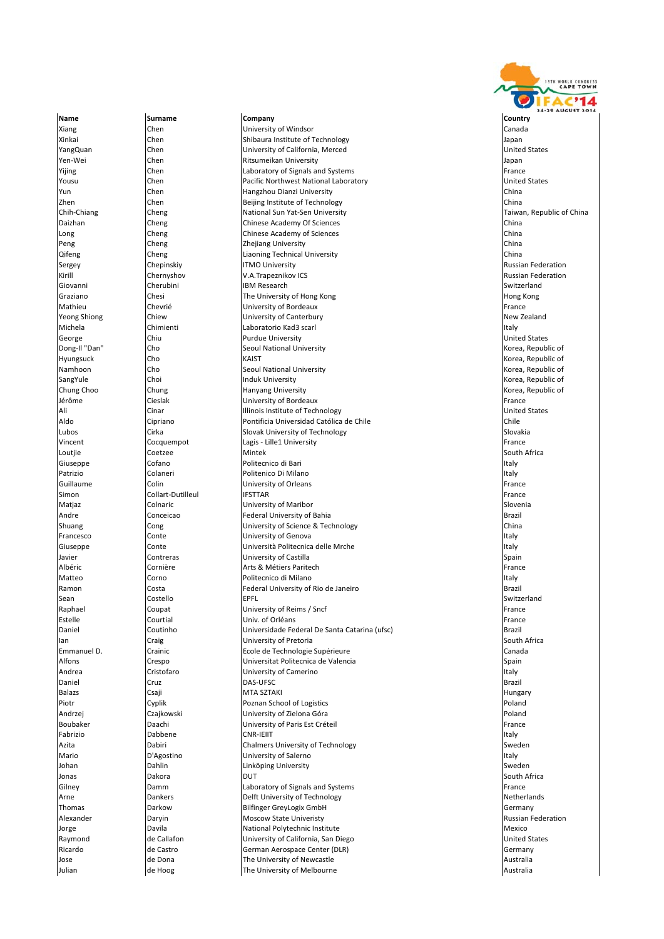

Xiang Chen Chen University of Windsor Canada Canada Canada Canada Canada University of Windsor Canada Canada Canada<br>Chen Chen Shihaura Institute of Technology Canada Ianan Chen Shibaura Institute of Technology **Shipan Shipan** Japan YangQuan Chen University of California, Merced United States **The Ritsumeikan University Chen Ritsumeikan University** Japan Yijing **Chen** Chen **Laboratory of Signals and Systems Example 2 Change France France Example 2 France** Yousu Chen Pacific Northwest National Laboratory United States **I**Yun Chen **Chen Hangzhou Dianzi University** Chen Zhen Chen Beijing Institute of Technology China Chih‐Chiang Cheng National Sun Yat‐Sen University Taiwan, Republic of China Daizhan Cheng Chinese Academy Of Sciences China Long Cheng Chinese Academy of Sciences China Peng Cheng Zhejiang University China Liaoning Technical University Sergey **Sergey Chepinskiy Cheminskiy ITMO University Russian Federation** Russian Federation Kirill Chernyshov **Chernyshov Chernyshov V.A.Trapeznikov ICS** and the state of the Russian Federation Russian Federation<br>Cherubini Cherubini IBM Research Giovanni Cherubini IBM Research Switzerland Graziano Chesi The University of Hong Kong Hong Kong Mathieu Chevrié Prance University of Bordeaux Chevricianus and the Strance of Bordeaux Chevricianus et al.<br>This is the University of Canterbury Chevricianus (New Zealand New Zealand **Yeong Shiong Chiew Chiew Chiew Chiew Conterport Content** Michela Chimienti Laboratorio Kad3 scarl Italy George Chiu Chiu Purdue University Chiu Purdue University Chiu Research of the United States Dong‐Il "Dan" Cho Seoul National University Korea, Republic of **Hyungsuck** Cho **Cho** KAIST Cho KAIST **KAIST** ALL REPORTS A Republic of KAIST CHO KAIST CHO KAIST CHO KAIST CHO KAIST CHO KAIST CHO KAIST CHO KAIST CHO KAIST CHO KAIST CHO KAIST CHO KAIST CHO KAIST CHO KAIST CHO KAIST CHO Namhoon Cho Seoul National University Korea, Republic of SangYule Choi Choi Induk University Choi Industrial Choice Choice Choice in the University Control of the University Chung Choo Chung Chung Chung Hanyang University Chung Choose and Korea, Republic of Chung Choose Republic of S<br>Cieslak Chung Chung Chung Chung Chung Chung Chung Chung Chung Chung Chung Chung Chung Chung Chung Chung Chung<br>C University of Bordeaux **France**<br>
Illinois Institute of Technology<br>
United States Ali **Illinois Institute of Technology Illinois Institute of Technology** Aldo Cipriano Pontificia Universidad Católica de Chile Chile Lubos Cirka Slovak University of Technology Slovakia Cocquempot 
Lagis - Lille1 University France 
Lagis → Lille1 University France 
Lagis → Lagis → Lille1 University France in the University France in the University France in the University of the University of the Univers Loutjie Coetzee Mintek South Africa Giuseppe Cofano **Politecnico di Bari Italy (Cofano Politecnico di Bari** Italy Italy Italy Italy Italy Italy Italy **Patrizio Colaneri** Colaneri Politenico Di Milano Italy italy italy italy italy italy italy italy italy italy italy italy italy italy italy italy italy italy italy italy italy italy italy italy italy italy italy italy ital Guillaume Colin University of Orleans France Simon Collart‐Dutilleul IFSTTAR France International International IFSTTAR France Matjaz Colnaric University of Maribor Slovenia Andre Conceicao **Federal University of Bahia** Brazil Brazil Brazil Brazil Brazil Brazil Brazil Brazil Brazil Brazil Shuang Cong Cong University of Science & Technology China China China **Francesco** Conte Conte **Conte** University of Genova **Italy** Italy Giuseppe Conte Università Politecnica delle Mrche Italy Javier Contreras Contreras University of Castilla<br>Albéric Cornière Cornière Arts & Métiers Parite **Cornière Arts & Métiers Paritech France Cornière France** Matteo Corno Politecnico di Milano Italy Ramon Costa Federal University of Rio de Janeiro Brazil Sean Costello EPFL Switzerland Raphael Coupat University of Reims / Sncf France Estelle Courtial Univ. of Orléans France Daniel Coutinho Universidade Federal De Santa Catarina (ufsc) Brazil Ian Craig Craig Craig University of Pretoria Craig Couth Africa<br>In Crainic Crainic Crainic Ecole de Technologie Supérieure Canada Canada Emmanuel D. Crainic Ecole de Technologie Supérieure Alfons Crespo Universitat Politecnica de Valencia Spain Andrea Cristofaro University of Camerino Italy Daniel Cruz Cruz DAS‐UFSC Brazil Brazil Brazil Brazil Brazil Brazil Brazil Brazil Balazs Csaji MTA SZTAKI Hungary Piotr Cyplik Poznan School of Logistics Poland Andrzej Czajkowski University of Zielona Góra Poland **University of Paris Est Créteil** Fabrizio Dabbene CNR‐IEIIT Italy Azita **Dabiri** Dabiri Chalmers University of Technology **Sweden** Sweden Mario **D'Agostino** University of Salerno **Italy Interventional Italy** Italy Johan **Dahlin** Dahlin **Linköping University** Sweden and Dahlin Sweden Jonas Dakora DUT South Africa Gilney Damm Laboratory of Signals and Systems France Arne **Arme Constructs** Dankers **Delft University of Technology Netherlands** Netherlands Thomas **Darkow Bilfinger GreyLogix GmbH** Germany Germany Alexander **Exercise State University** Controller Moscow State University **Russian Federation** Russian Federation Jorge **Davila** Davila **National Polytechnic Institute** Mexico Mexico Raymond **Example 2** de Callafon **de Callafon** University of California, San Diego United States **United States** Ricardo **de Castro Center Center (DLR)** German Aerospace Center (DLR) Germany Germany Jose de Dona The University of Newcastle Australia Julian de Hoog The University of Melbourne Australia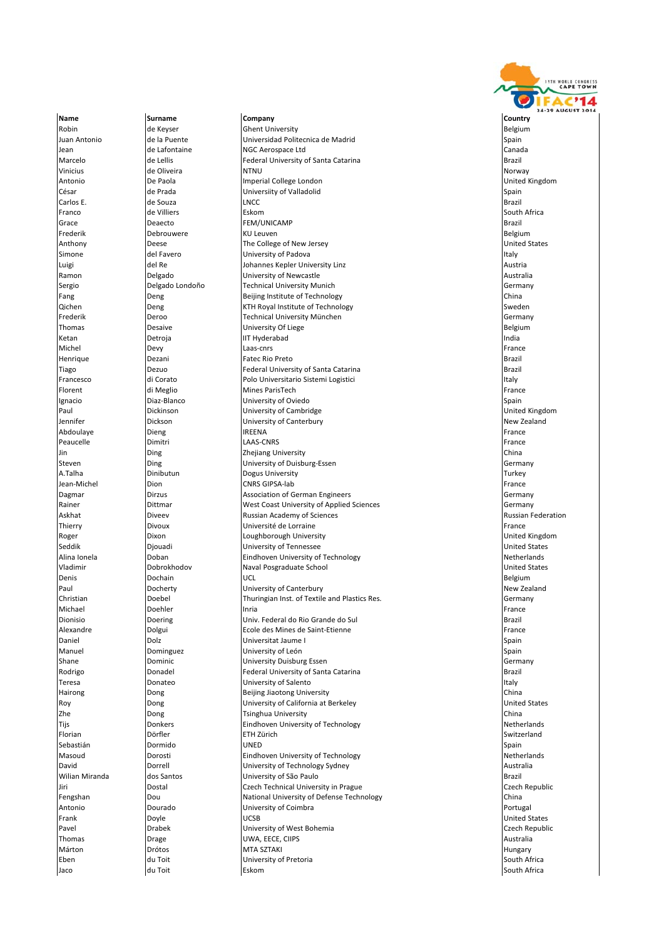

Robin de Keyser Ghent University Ghent University And the Selgium Belgium Belgium Juan Antonio de la Puente Universidad Politecnica de Madrid Spain Jean de Lafontaine (1988) NGC Aerospace Ltd (1988) and Canada (2011) Canada (2011) Canada<br>Marcelo (1988) De Lellis (1989) Canada (2011) Canada (2011) Federal University of Santa Catarina Marcelo **de Lellis Federal University of Santa Catarina** Brazil Brazil Brazil Vinicius de Oliveira de Alternative de La Maria de La Maria de La Maria de La Maria de La Maria de La Maria de Antonio 1988 De Paola **Imperial College London** and College and Definited Kingdom and De Paola Imperial College London César College London César College London César College London César College London César College Londo **César** César **de Prada** Universiity of Valladolid César **Spain** Spain Carlos E. de Souza LNCC Brazil Franco de Villiers Eskom South Africa Grace Deaecto FEM/UNICAMP Brazil Frederik Debrouwere KU Leuven Belgium Anthony Deese The College of New Jersey United States University of Padova Luigi del Re Johannes Kepler University Linz Austria University of Newcastle Sergio **Sergio Constantino della Constantino della Constantino della Constantino della Constantino della Constant Fang Example 2** Deng **Beijing Institute of Technology China China** Qichen Deng KTH Royal Institute of Technology Sweden Frederik Deroo Technical University München Germany Thomas Desaive University Of Liege Belgium Ketan Detroja IIT Hyderabad India Michel Devy Laas‐cnrs France Henrique Dezani Fatec Rio Preto Brazil Tiago Dezuo Federal University of Santa Catarina Brazil Francesco di Corato Polo Universitario Sistemi Logistici Italy Florent di Meglio Mines ParisTech France Ignacio Diaz‐Blanco University of Oviedo Spain Paul Dickinson Dickinson University of Cambridge Jennifer **Dickson** Dickson **Dickson** University of Canterbury **New Zealand** New Zealand Abdoulaye Dieng IREENA France Peaucelle **Dimitri** Dimitri LAAS‐CNRS France Dimitri LAAS‐CNRS France Dimitri Base of the LAAS‐CNRS France Dimitri Jin Ding Zhejiang University China University of Duisburg-Essen Germany A.Talha Dinibutun Dogus University Turkey Jean‐Michel Dion Dion CNRS GIPSA‐lab France CNRS GIPSA‐lab France CNRS GIPSA‐lab France CNRS GIPSA‐lab France Dagmar **Diract Diract Community** Dirzus Association of German Engineers **Community** Germany Rainer **Example 2** Dittmar Mest Coast University of Applied Sciences Coast University of Applied Sciences Germany Askhat **Communist Russian Academy of Sciences Russian Federation** Russian Federation Thierry **Divoux** Divoux Université de Lorraine **France France** France Roger **Example 20 Tana Loughborough University** Controller Management Controller Management Dixon Loughborough United Kingdom Seddik Djouadi University of Tennessee United States Alina Ionela **Doban** Doban **Eindhoven University of Technology Community** Communication Communication Communication Communication Dobrokhodov Vladimir Dobrokhodov Naval Posgraduate School United States Denis **Dochain Dochain UCL Constant Constant Constant Constant Constant Constant Constant Constant Constant Constant Constant Constant Constant Constant Constant Constant Constant Constant Constant Constant Constant** Paul Docherty Docherty Duniversity of Canterbury and Plastics Res.<br>Paul Docherty Dochel Dochel Thuringian Inst. of Textile and Plastics Res. Christian Germany Christian Doebel Thuringian Inst. of Textile and Plastics Res. Germany Michael Doehler Inria France Dionisio Doering Univ. Federal do Rio Grande do Sul Brazil Alexandre Dolgui Ecole des Mines de Saint‐Etienne France Daniel Dolz Universitat Jaume I Spain Manuel **Example 19 Cominguez University of León** Spain Spain Spain Spain Shane Dominic University Duisburg Essen Germany Rodrigo Donadel Federal University of Santa Catarina Brazil Teresa **Interval Constant Constant Constant Constant Constant Constant Constant Constant Constant Constant Constant Constant Constant Constant Constant Constant Constant Constant Constant Constant Constant Constant Constan** Hairong Dong Beijing Jiaotong University China Roy **Example 2** Dong **Constanting University of California at Berkeley Constanting Constanting Constanting Constanting Constanting Provide States** Zhe Dong Tsinghua University China Tijs **Eindhoven University of Technology C**indhoven University of Technology Florian Dörfler ETH Zürich Switzerland Sebastián Dormido UNED Spain Masoud **Dorosti Dorosti Eindhoven University of Technology** Netherlands David Dorrell University of Technology Sydney Australia dos Santos **Example 19 anticipates do São Paulo dos Santos do Santos do Santos do Santos do Santos do Santos do**<br>Caech Technical University in Prague de Caech Scantos de Caech Republic Jiri Dostal Czech Technical University in Prague Czech Republic Fengshan Dou National University of Defense Technology China Antonio **Collection Construction Community of Coimbra** Portugal Portugal Portugal Frank Doyle UCSB United States Pavel **Example 2018** Drabek **Drabek** University of West Bohemia **Czech Republic** Czech Republic Thomas **Drage Drage Drage Victor** December 2018 and December 2019 and December 2019 and December 2019 and December 2019 Márton Drótos MTA SZTAKI Hungary Eben du Toit University of Pretoria South Africa Jaco du Toit Eskom South Africa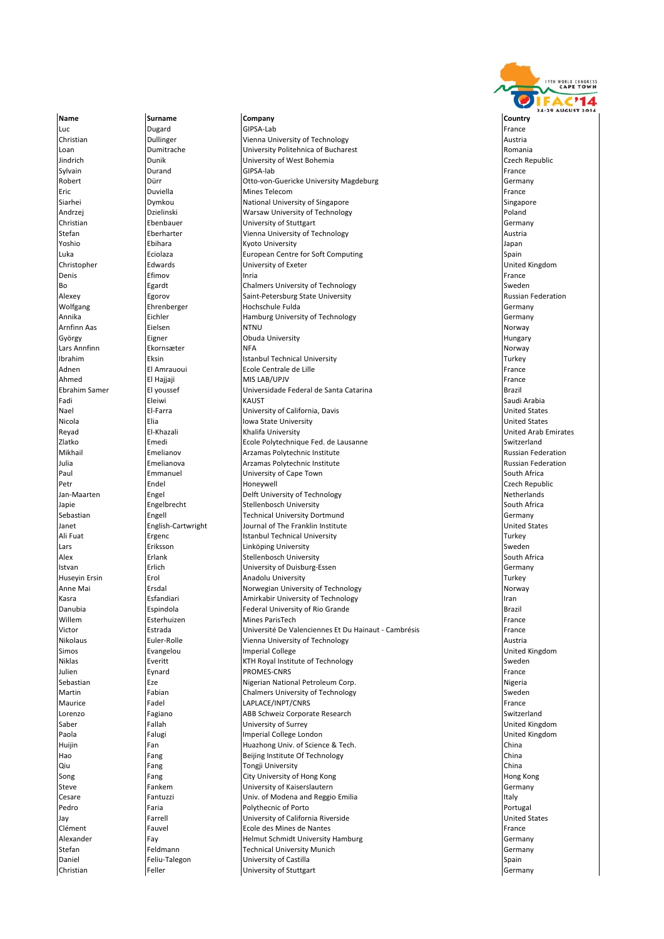

Luc Dugard GIPSA‐Lab France **Christian Christian** Dullinger **Vienna University of Technology Austrian** Austrian **Austrian** Loan Dumitrache University Politehnica of Bucharest Romania Jindrich Dunik University of West Bohemia Czech Republic Sylvain Durand GIPSA‐lab France Robert **Dürr** Dürr **Dürr Otto-von-Guericke University Magdeburg Germany** Germany Eric Duviella Mines Telecom France Siarhei Singapore National University of Singapore Singapore Singapore Singapore Andrzej **Execution Canadian Constructs** Warsaw University of Technology **Polandizes** Poland Christian Ebenbauer University of Stuttgart Germany Stefan **Eberharter Exercise Stefan Exercise Stefan Exercise Stefan Exercise Austria** Yoshio Ebihara Kyoto University Japan Luka Eciolaza European Centre for Soft Computing Spain Christopher Edwards Edwards University of Exeter Christopher United Kingdom<br>
Denis Permane Efimov Inria Inria Christopher Christopher (France Prance Prance Prance Prance Prance Prance Pr Denis Efimov Inria France Bo **Egardt** Chalmers University of Technology **Sweden** Sweden Alexey **Egorov** Egorov Saint-Petersburg State University **Construction Russian Federation** Wolfgang Fehrenberger **Hochschule Fulda** Germany Germany Germany Annika Eichler Hamburg University of Technology Germany Arnfinn Aas Eielsen NTNU Norway György **Eigner Cobuda University Eigner** Obuda University **Eigner** Business of the University of the University Lars Annfinn **Ekornsæter** NFA Norway New York and the University of Norway Norway Ibrahim Eksin Istanbul Technical University Turkey Adnen El Amrauoui Ecole Centrale de Lille France Ahmed El Hajjaji MIS LAB/UPJV France Ebrahim Samer El youssef (Universidade Federal de Santa Catarina ) [Brazil | Brazil<br>| Eleiwi | Eleiwi | KAUST | KAUST | KAUST | Brazil | Saudi Arabia Fadi Eleiwi KAUST Saudi Arabia Nael El‐Farra University of California, Davis United States Nicola Elia Iowa State University United States Reyad El-Khazali Khalifa University (Reyad United Arab Emirates<br>2latko Emedi Emedi Ecole Polytechnique Fed. de Lausanne Switzerland Switzerland Ecole Polytechnique Fed. de Lausanne Switzerland Switzerland Mikhail Emelianov Arzamas Polytechnic Institute Russian Federation Arzamas Polytechnic Institute **Article Architectus** Arzamas Polytechnic Institute Russian Federation Paul **Emmanuel Community of Cape Town** South Africa South Africa Petr Endel Honeywell Czech Republic Jan-Maarten **Engel** Engel Delft University of Technology **Netherlands** Netherlands Japie Engelbrecht Stellenbosch University South Africa Sebastian **Engell** Engell Technical University Dortmund **Germany** Germany Janet **English-Cartwright** Journal of The Franklin Institute United States and The Institute United States Ali Fuat **Ergenc Example 2** Istanbul Technical University **Turkey** Turkey Lars Eriksson Linköping University Sweden Erlank Stellenbosch University<br>
Erlich Stellenbosch University of Duisburg-Istvan Erlich University of Duisburg‐Essen Germany Huseyin Ersin Erol Anadolu University Turkey Anne Mai Ersdal Norwegian University of Technology Norway **IKasra Indianus I Esfandiari Indianus III Amirkabir University of Technology Iran Iran Iran Iran Iran Iran Iran** Danubia Espindola Federal University of Rio Grande Brazil Willem Esterhuizen Mines ParisTech France Esterhuizen eta Mines ParisTech France Esterhuizen Victor Estrada Université De Valenciennes Et Du Hainaut ‐ Cambrésis France Nikolaus **Euler-Rolle** Vienna University of Technology **Austria** Austria Simos Evangelou Imperial College United Kingdom **Niklas Everitt** KTH Royal Institute of Technology **Sweden** Sweden Julien Eynard PROMES‐CNRS France Sebastian **Eze** Eze Nigerian National Petroleum Corp. Nigerian National Petroleum Corp. Martin Fabian Chalmers University of Technology Sweden Maurice Fadel LAPLACE/INPT/CNRS France Lorenzo Fagiano ABB Schweiz Corporate Research Switzerland Saber Fallah University of Surrey United Kingdom Paola **Falugi Falugi** Imperial College London **College London** College London **College Indiana College London** College London **College London** College London College London College London College London College London Co Huijin Fan Huazhong Univ. of Science & Tech. China Hao **Fang** Beijing Institute Of Technology **China** China China **Qiu China Tongji University China China China China China** China China China China China China China China China Song Fang Fang City University of Hong Kong Hong Kong Hong Kong Hong Kong Hong Kong Hong Kong Hong Kong Hong Kong Steve Fankem University of Kaiserslautern Germany Cesare **Fantuzzi Fantuzzi** Univ. of Modena and Reggio Emilia **Italy** Italy Pedro **Faria** Polythecnic of Porto **Provident Construction** Portugal Jay Farrell University of California Riverside United States Clément Fauvel Ecole des Mines de Nantes France Alexander **Fay Fay** Helmut Schmidt University Hamburg Germany Germany **Stefan** Feldmann **Technical University Munich Germany** Germany Daniel Feliu‐Talegon University of Castilla Spain Spain **Christian** Feller **Feller Christian Christian Germany Germany Christian Germany Germany Germany**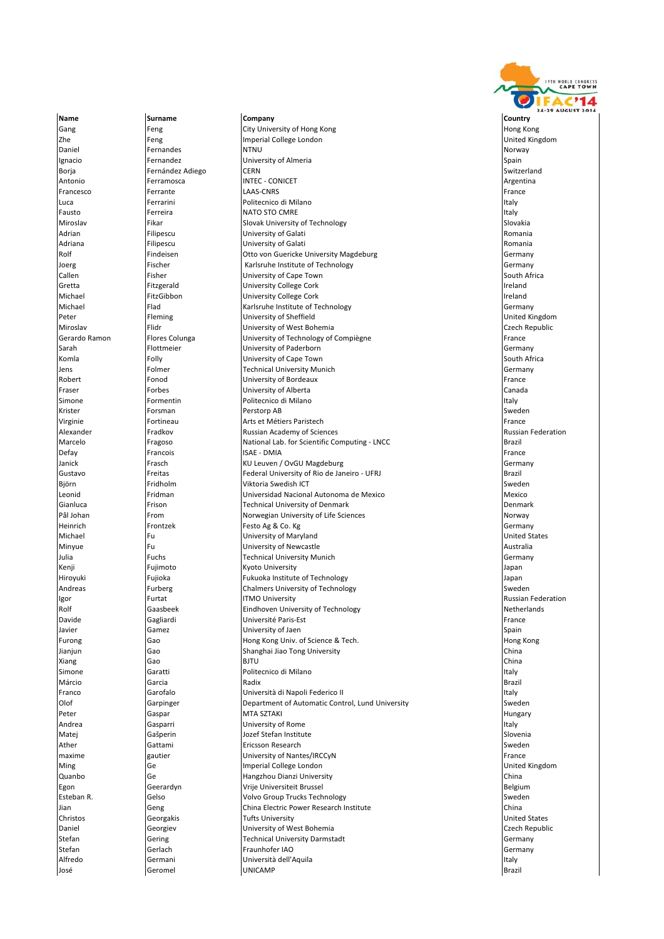Name **Surname Company Company Company** Country Country Gang Feng Feng City University of Hong Kong Hong Kong Hong Kong Hong Kong Hong Kong Hong Kong Hong Kong Hong Kong Zhe **Feng Imperial College London** College London Chemical College London Chemical College London Chemical College London Chemical College London Chemical Chemical Chemical Chemical Chemical Chemical Chemical Chemical Chem Daniel **Fernandes NTNU** Norway Norway Norway Norway Norway Norway Norway Norway Norway Norway Norway Norway Norway Ignacio **International Community Community** University of Almeria Spain Community Communisty of Almeria Spain Borja Fernández Adiego CERN Switzerland Antonio Ferramosca **INTEC ‐ CONICET Argentina** Argentina Argentina Argentina Argentina Argentina Argentina Argentina Francesco Ferrante LAAS‐CNRS Francesco Francesco Ferrante LAAS‐CNRS Luca **Ferrarini** Politecnico di Milano **Italy in the Italy Italy** Italy Italy Italy Italy Italy Italy Italy Italy Italy Italy Italy Italy Italy Italy Italy Italy Italy Italy Italy Italy Italy Italy Italy Italy Italy Italy **Fausto** Ferreira **Register International Executive Contract Contract Contract Contract Contract Contract Contract Contract Contract Contract Contract Contract Contract Contract Contract Contract Contract Contract Contract** Miroslav Fikar Fikar Slovak University of Technology (Slovakia Slovakia)<br>The Slovakia Slovakia University of Galati Slovakia (Slovakia Slovakia) Adrian Filipescu University of Galati Romania Adriana Filipescu University of Galati Romania **Otto von Guericke University Magdeburg Germany Germany** Germany Joerg Fischer Karlsruhe Institute of Technology Germany University of Cape Town Gretta **Fitzgerald Fitzgerald** University College Cork **Inclusion Inclusion I**ncland Michael **FitzGibbon** University College Cork **Internal Conducts** Ireland Michael Flad Flad Karlsruhe Institute of Technology<br>Peter Flag Heming Dividential Contract Contract Contract Contract Contract Contract Contract Contract Contract<br>Peter Support Contract Contract Contract Contract Contract Peter Fleming University of Sheffield United Kingdom Miroslav Flidr Flidr (Filidr University of West Bohemia Czech Republic Czech Republic<br>Gerardo Ramon Flores Colunga (University of Technology of Compiègne Cameratic Republic Republic University of Technology of Compiègne France Sarah Flottmeier University of Paderborn Germany Komla **Folly** Folly **Folly** University of Cape Town South Africa South Africa Jens Folmer Technical University Munich Germany Robert Fonod University of Bordeaux France Fraser **Francisch Canada Forbes University of Alberta** Canada **Canada** Canada Canada Simone **International Community Contract Contract Politecnico di Milano** Italy in the Italy Italy Krister Forsman Perstorp AB Sweden Virginie Fortineau Arts et Métiers Paristech France France France Alexander **Fradkov Franciscus** Russian Academy of Sciences **Russian Federation** Russian Federation Marcelo **Fragoso Fragoso** National Lab. for Scientific Computing - LNCC Brazil Defay Francois Francois ISAE ‐ DMIA Franceis ISAE ‐ DMIA Franceis Franceis ISAE ‐ PMIA Janick **Franch Communist Communist Communist Communist Communist Communist Communist Communist Communist Communist Communist Communist Communist Communist Communist Communist Communist Communist Communist Communist Communi** Gustavo Freitas Federal University of Rio de Janeiro ‐ UFRJ Brazil erig biographic term of the Unit of the Unit of the Unit of the Unit of the Unit of the Unit of the Unit of the Sweden Sweden Sweden Sweden Sweden Sweden Sweden Sweden Sweden Sweden Sweden Sweden Sweden Sweden Sweden Swede Leonid **Fridman Fridman** Universidad Nacional Autonoma de Mexico **Mexico** Mexico Gianluca **Frison** Frison **Frison** Technical University of Denmark **Denmark** Denmark Denmark Pål Johan **From School Sciences** Norwegian University of Life Sciences Norway Norway Heinrich **Frontzek Festo Ag & Co. Kg** Germany Communication of the entries of the state of the state of the state of the state of the state of the state of the state of the state of the state of the state of the state of t Michael Fu University of Maryland United States Minyue Fu University of Newcastle Australia **Technical University Munich Germany** Germany Kenji Fujimoto Kyoto University Japan Hiroyuki Fujioka Fukuoka Institute of Technology Japan Andreas **Furberg** Chalmers University of Technology **Sweden** Sweden Igor **Internal Russian Federation** ITMO University **Russian Federation** Russian Federation Rolf Gaasbeek Eindhoven University of Technology<br>
Davide Gagliardi Université Paris-Est Paris-Est (Davide France France Davide Gagliardi Université Paris‐Est France Javier Gamez University of Jaen Spain Furong Gao Book Hong Kong Univ. of Science & Tech. The Science Book Hong Kong University of Science & Tech. Jianjun Gao Shanghai Jiao Tong University China Xiang Gao Gao BJTU China ang Panamana ng Panamana ng Panamana ng Panamana ng Panamana ng Panamana ng Panamana Simone Garatti Politecnico di Milano Italy Márcio Garcia Radix Brazil Franco Garofalo Università di Napoli Federico II Italy Olof Garpinger **Garpinger** Department of Automatic Control, Lund University Sweden Peter Gaspar MTA SZTAKI Hungary Andrea **Gasparri** Constanting Constanting Constanting Constanting University of Rome in the Italy Constanting Italy Matej Slovenia a Slovenia za postala za postala za ostala za sede slovenia slovenia slovenia slovenia slovenia Ather **Gattami** Gattami **Ericsson Research** Sweden and Sweden Sweden Sweden Sweden Sweden Sweden Sweden Sweden Sweden maxime gautier University of Nantes/IRCCyN France Ming Ge Imperial College London United Kingdom Quanbo Ge Hangzhou Dianzi University China Egon Geerardyn Vrije Universiteit Brussel Belgium Esteban R. Subsetten Charles Colores (Gelso Volvo Group Trucks Technology Sweden Sweden Sweden Sweden Sweden Sweden Jian Geng China Electric Power Research Institute China Christos Georgakis Christophers Tufts University Christophers and Dunited States United States Daniel Ceorgiev Construction of University of West Bohemia Czech Republic Czech Republic Stefan Gering Technical University Darmstadt Germany Stefan Gerlach Gerlach Fraunhofer IAO Germany Germany Germany Germany Germany Germany Alfredo **Germani** Communi dell'Aquila Italy Università dell'Aquila Italy in termini dell'Aquila Italy Italy Italy José Geromel UNICAMP Brazil

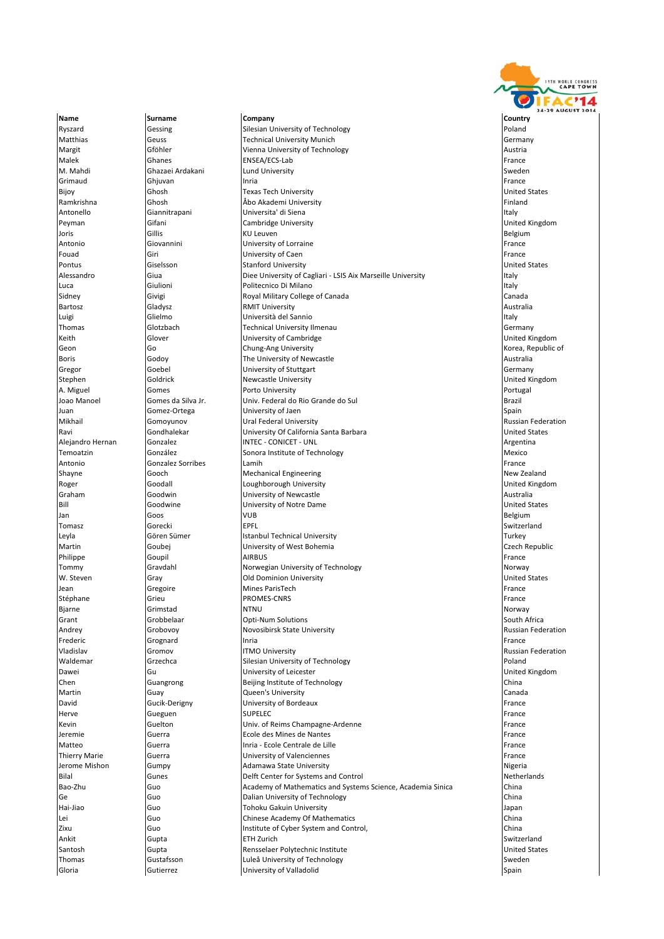

Name **Surname Company Company Company** Country Country Ryszard Gessing Silesian University of Technology<br>
Natthias Genes Genes Technical University Munich Geuss **Technical University Munich Geometric Contract Contract Contract Contract Contract Contract Contract Contract Contract Contract Contract Contract Contract Contract Contract Contract Contract Contract Contract Contra** Margit Gföhler Vienna University of Technology Austria Malek Ghanes ENSEA/ECS‐Lab France M. Mahdi Ghazaei Ardakani Lund University Sweden Grimaud Ghjuvan Inria France Bijoy Ghosh Texas Tech University United States Ramkrishna Ghosh Åbo Akademi University Finland Antonello **Giannitrapani** Universita' di Siena Italya Italya Italya Italya Italya Italya Italya Italya Italya Italy Peyman Gifani Cambridge University United Kingdom Joris Gillis KU Leuven Belgium Antonio Giovannini University of Lorraine France University of Caen Pontus Ciselsson Stanford University Stanford University States<br>Alessandro Giua Giua Diee University of Cagliari - LSIS Aix Marseille University Alessandro Civil Diee University of Cagliari - LSIS Aix Marseille University **Italy** Italy<br> **Alessandro Civiliano** Italy Italy Italy Luca **Giulioni** Giulioni **Politecnico Di Milano** Sidney **Share** Givigi Canada Canada Canada Canada Canada Canada Canada Canada Canada Canada Canada Canada Canada Bartosz Gladysz RMIT University Australia **Luigi** Clielmo **Italy Indiana Institute del Sannio** Italia del Sannio Thomas Glotzbach Technical University Ilmenau Germany University of Cambridge Geon Go Go Chung‐Ang University Control Control of the Second Korea, Republic of the Second Chung‐Ang University Korea, Republic of **Boris Communist Communist Communist Communist Communist Communist Communist Communist Communist Communist Communist Communist Communist Communist Communist Communist Communist Communist Communist Communist Communist Commu** Gregor Goebel University of Stuttgart Germany **Stephen Goldrick Newcastle University** A. Miguel Gomes (Gomes Portugal Porto University Portugal Portugal Portugal Portugal Portugal Portugal Portugal<br>Joao Manoel Gomes da Silva Jr. Univ. Federal do Rio Grande do Sul Univ. Federal do Rio Grande do Sul **Juan Gomez**‐Ortega **Districts of Jaen Spain Spain Spain** Spain Spain Spain Spain Mikhail Gomoyunov Ural Federal University Russian Federation Ravi Gondhalekar | University Of California Santa Barbara | | United States | United States<br>| Alejandro Hernan | Gonzalez | INTEC - CONICET - UNL **Alexandro Hernan Gonzalez INTEC - CONICET - UNL Argentina** Gonzalez International Argentina Temoatzin **Sonoralistic Contract Contract Contract Contract Contract Contract Contract Contract Contract Contract Contract Contract Contract Contract Contract Contract Contract Contract Contract Contract Contract Contract** Antonio Gonzalez Sorribes Lamih France Shayne Gooch Mechanical Engineering New Zealand Roger Goodall Coughborough University Coughborough University Counted Kingdom Graham Goodwin **Goodwin** University of Newcastle Graham Australia Bill Goodwine University of Notre Dame United States Jan Goos (VUB Belgium) and the settlement of the settlement of the settlement of the settlement of the settlem Tomasz Gorecki EPFL Switzerland Leyla Gören Sümer Istanbul Technical University Turkey Turkey Turkey Martin Goubej University of West Bohemia Czech Republic Philippe Goupil AIRBUS France Tommy Gravdahl **Gravdahl Norwegian University of Technology** Norway Norway W. Steven Gray Old Dominion University United States Jean Gregoire Mines ParisTech France Stéphane Grieu Grieu PROMES‐CNRS France Brance Grien (France France Brance France France Brance Brance Brance F Bjarne Grimstad NTNU Norway Grant Grobbelaar **Opti-Num Solutions** South Africa South Africa Andrey **Grobovoy Grobovoy** Novosibirsk State University **Russian Federation** Russian Federation Frederic **Grognard Cromode Community Community** Inria **France Community Community Community Community Community Community Community Community Community Community Community Community Community Community Community Community** Vladislav Gromov ITMO University Russian Federation Waldemar Grzechca Silesian University of Technology Poland Dawei Gu University of Leicester United Kingdom Guangrong **Beijing Institute of Technology** China Martin Guay Queen's University Canada **David** Cucik‐Derigny **David Cucik**•Derigny **David** Buniversity of Bordeaux France Herve Gueguen SUPELEC France Kevin Guelton Univ. of Reims Champagne‐Ardenne France Jeremie Guerra Ecole des Mines de Nantes France Matteo Guerra **Inria - Ecole Centrale de Lille** France **Information** France Thierry Marie Guerra University of Valenciennes France Jerome Mishon Gumpy **Adamawa State University** Adamawa State University **Nigeria**<br>Bilal Gunes **Gumes** Delft Center for Systems and Control Control Netherlands Bilal Gunes **Gunes** Delft Center for Systems and Control Gunes and Control China<br>Bao-Zhu Guo Guo Academy of Mathematics and Systems Science. Academia Sinica China  $\mathsf{B}_{\mathsf{A}}$  Baoe،  $\mathsf{A}_{\mathsf{B}}$  Academy of Mathematics and Systems Science, Academia Sinica Ge Guo Guo Dalian University of Technology<br>The Dalian University of Technology China<br>Hai-Jiao China Guo Dalian Tohoku Gakuin University China China Dalian Japar Guo **Guo Tohoku Gakuin University** Japan Japan Japan Lei Guo Chinese Academy Of Mathematics China Zixu Guo Institute of Cyber System and Control, China Ankit Gupta ETH Zurich Switzerland **Santosh Caupta Rensselaer Polytechnic Institute Caupta Rensselaer Polytechnic Institute Caupta Rensselaer Polytechnic Institute Caupta Rensselaer Polytechnic Institute Caupta Rensselaer Polytechnic Institute Caupta Rensse** Thomas Gustafsson **Culpedia Culpedia Culpedia Culpedia Culpedia Culpedia Culpedia Culpedia Culpedia Culpedia Culpedia Culpedia Culpedia Culpedia Culpedia Culpedia Culpedia Culpedia Culpedia Culpedia Culpedia Culpedia Culpe Gloria** Gutierrez **Gutierrez University of Valladolid** Spain Spain Spain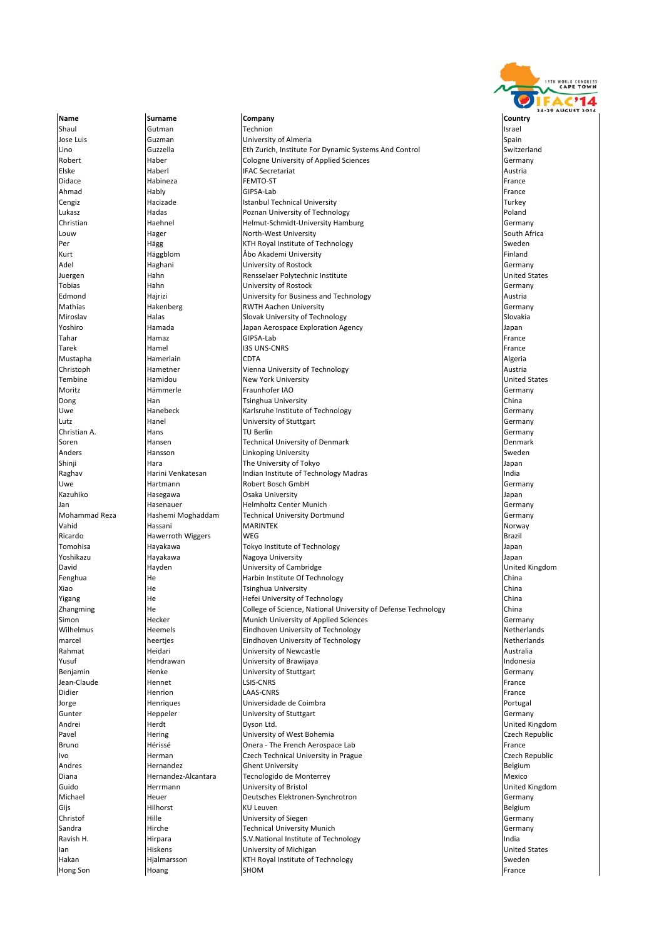

Name **Surname Company Company Company** Country Country Shaul Gutman Technion Israel Jose Luis Cuzman Cumman University of Almeria Spain Spain Spain Lino Guzzella Eth Zurich, Institute For Dynamic Systems And Control Switzerland Robert **Haber** Haber Cologne University of Applied Sciences **Germany** Germany Elske **Haberl IFAC Secretariat** Austria Austria Austria Austria Didace **Habineza** Habineza FEMTO‐ST FRANCE FRANCE HABINEZ FRANCE FRANCE FRANCE FRANCE FRANCE Ahmad **Hably Bernamic Hably GIPSA-Lab** France Hable in the state of the state of the state of the state of the s Cengiz **Interval Center Istanbul Technical University** Turkey Turkey Turkey Lukasz **Hadas** Hadas **Poland** Poland Poland Poland Poland Poland Poland Poland Poland Poland Poland Poland Poland Christian Haehnel Helmut‐Schmidt‐University Hamburg Germany Louw Hager North‐West University South Africa Per Same Hägg KTH Royal Institute of Technology (Sweden Sweden Sweden Sweden Sweden Sweden Sweden Sweden Sweden<br>Sweden Sweden Sweden (Sweden Sweden Sweden Sweden Sweden Sweden Sweden Sweden Sweden Sweden Sweden Sweden Swed **Kurt Kurt Häggblom Alandemi University** Adel Haghani University of Rostock Germany Hahn Rensselaer Polytechnic Institute<br>Hahn University of Rostock Tobias Hahn University of Rostock Germany Edmond **Hajrizi (Edmondary Providing Community** University for Business and Technology **Austrian Communism Communism**<br>
REGEM Austrian REGEM Austrian REGEM Austrian Providing Serman Regension Regension Regension Regension C Mathias Hakenberg RWTH Aachen University Germany Slovak University of Technology Slovakia Slovakia Yoshiro Hamada Japan Aerospace Exploration Agency Japan Tahar Hamaz GIPSA‐Lab France France France Hamaz GIPSA‐Lab France France France France Tarek Hamel I3S UNS‐CNRS France IIII (France IIII) (France III) (France III) (France III) (France II Mustapha Hamerlain CDTA Algeria Christoph Hametner Vienna University of Technology Austria **Tembine Manufacture Hamidou** New York University Moritz Hämmerle Fraunhofer IAO Germany **Dong China Tsinghua University China China University** China China China China China China China China China China Uwe **Hanebeck** Karlsruhe Institute of Technology **Germany** Germany Lutz **Hanel** Hanel **University of Stuttgart** Chronic Chronic Chronic Chronic Chronic Chronic Chronic Chronic Chronic Chronic Chronic Chronic Chronic Chronic Chronic Chronic Chronic Chronic Chronic Chronic Chronic Chronic C Christian A. Hans TU Berlin Germany Soren Hansen Technical University of Denmark Denmark Anders Hansson Linkoping University Sweden The University of Tokyo Japan Japan Japan Japan Japan Japan Japan Japan Japan Japan Japan Japan Japan Japan Japan Japan Japan Japan Japan Japan Japan Japan Japan Japan Japan Japan Japan Japan Japan Japan Japan Japan Japan Raghav Harini Venkatesan Indian Institute of Technology Madras India Uwe **Hartmann Robert Bosch GmbH** Germany **Germany** Kazuhiko **Hasegawa D**saka University **Gramma Magamba Kazuhiko Barangaya** Japan Jan Hasenauer Helmholtz Center Munich Germany Mohammad Reza Hashemi Moghaddam Technical University Dortmund Germany Vahid Hassani MARINTEK Norway **Ricardo Hawerroth Wiggers** WEG **Brazil Ricardo** Brazil Brazil Tomohisa Hayakawa Tokyo Institute of Technology Japan Nagoya University **Nagoya University** Japan David Hayden University of Cambridge United Kingdom Fenghua **He Harbin Institute Of Technology China** China Xiao He Tsinghua University China **Vigang** Technology **Hermitics** Hefei University of Technology Zhangming The He College of Science, National University of Defense Technology China<br>Simon China Hecker China Munich University of Applied Sciences Simon **Hecker** Munich University of Applied Sciences and Munich University of Applied Sciences Wilhelmus **Heemels** Heemels **Eindhoven University of Technology** Netherlands marcel heertjes Eindhoven University of Technology Netherlands Rahmat **Heidari** Heidari **University of Newcastle** Australia Australia Yusuf Hendrawan University of Brawijaya Indonesia Benjamin Henke University of Stuttgart Germany Jean-Claude Hennet LSIS‐CNRS France Hennet LESIS‐CNRS France Hennet Hennet Hennet Hennet Hennet Hennet Hennet Didier **Henrion Henrion LAAS**‐CNRS France Henrion Henrion Henrion Henrion Henri LAAS‐CNRS Jorge Henriques Universidade de Coimbra Portugal Gunter Heppeler University of Stuttgart Germany Andrei Herdt Dyson Ltd. United Kingdom Pavel **Hering Hering Czech Republic** University of West Bohemia **Czech Republic** Czech Republic Bruno **Hérissé Dieuxe Accessed Accessed** Agriculture **Conexulation Aerospace Lab** France **Conexulation** and France Ivo **Herman** Czech Technical University in Prague Czech Republic Czech Republic Andres **Example 19 Andrea** Hernandez **Ghent University Belgium** Belgium Diana **Maria Hernandez-Alcantara** Tecnologido de Monterrey **Maria America** Mexico Guido Herrmann University of Bristol United Kingdom Michael Heuer Heuer Deutsches Elektronen-Synchrotron Communication (Germany Germany Research Deutsches Elektronen<br>Gijs Germany Gelgium Gijs Hilhorst KU Leuven Belgium **Christof Christof Hille School School (Germany** University of Siegen Germany Communisment Christof Germany Commun Sandra **Hirche Hirche** Technical University Munich **Communical Germany** Germany Ravish H. **India Institute of Technology** India Institute of Technology **India** India Ian Hiskens University of Michigan United States Highmarsson **Hyalmarsson** KTH Royal Institute of Technology **Sweden** Sweden Hong Son Hoang SHOM France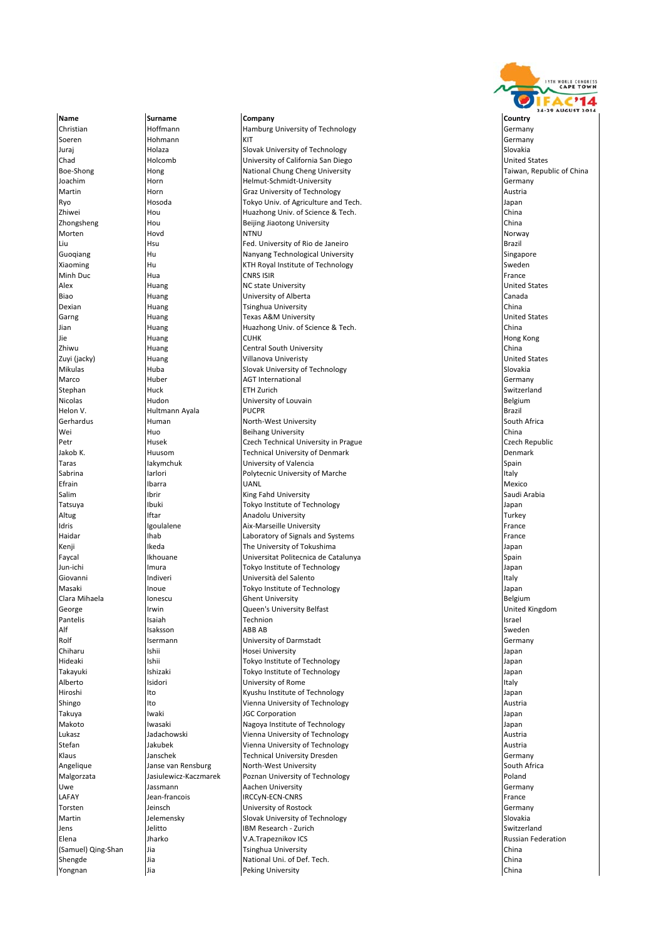

Christian Hoffmann Hamburg University of Technology Germany Soeren 1988 (Hohmann KIT) KIT Germany KIT Germany (Germany Germany Germany Kitt Juraj Nolaza Slovak University of Technology Slovakia Slovakia Slovakia Slovakia Chad Holcomb University of California San Diego United States Boe-Shong Hong Hong Hong National Chung Cheng University Cheng Hong Taiwan, Republic of China Joachim Horn Helmut‐Schmidt‐University Germany Martin **Martin Horn Graz University of Technology** Austria Austria Austria Ryo **Hosoda** Hosoda Tokyo Univ. of Agriculture and Tech. The State of Agriculture and Tech. Zhiwei Hou Huazhong Univ. of Science & Tech. China Zhongsheng Hou Beijing Jiaotong University China Morten Hovd NTNU Norway Liu Hsu Fed. University of Rio de Janeiro Brazil Guoqiang Hu Nanyang Technological University Singapore Xiaoming Hu KTH Royal Institute of Technology Sweden Minh Duc Hua CNRS ISIR France Alex **Huang NC state University** Character Character Character Character Character Character Character Character Character Character Character Character Character Character Character Character Character Character Character Biao **Huang Huang Canada** University of Alberta Canada Canada Canada Canada Dexian Huang Tsinghua University China  $\overline{\mathsf{Garne}}$   $\overline{\mathsf{Huane}}$   $\overline{\mathsf{Hulge}}$   $\overline{\mathsf{Hulge}}$   $\overline{\mathsf{Hulge}}$   $\overline{\mathsf{Hulge}}$   $\overline{\mathsf{Hulge}}$   $\overline{\mathsf{Hulge}}$   $\overline{\mathsf{Hulge}}$   $\overline{\mathsf{Hulge}}$   $\overline{\mathsf{Hulge}}$   $\overline{\mathsf{Hulge}}$   $\overline{\mathsf{Hulge}}$   $\overline{\mathsf{Hulge}}$   $\overline{\mathsf{Hulge}}$   $\overline{\mathsf{Hulge$ Jian Huang Huazhong Univ. of Science & Tech. China Jie hong Kong Huang Huang CUHK (CUHK Hong Kong Hong Kong Hong Kong Hong Kong Hong Kong Hong Kong Hong Kong Hong Kong Zhiwu Huang Central South University China Zuyi (jacky) Huang Villanova Univeristy United States Mikulas **Huba** Huba Slovak University of Technology **Slovakia** Slovakia Marco **Huber Agent AGT International** AGT International Germany Stephan Huck ETH Zurich Switzerland Nicolas **Hudon** Hudon **Hudon** University of Louvain **Belgium** Belgium Helon V. Hultmann Ayala PUCPR Brazil Gerhardus Human North‐West University South Africa Huo **Beihang University China** Petr **Husek Czech Technical University in Prague** Czech Technical University in Prague Czech Republic Jakob K. Huusom Technical University of Denmark Denmark Taras **Iakymchuk Iakymchuk** University of Valencia Spain Spain Spain Spain Sabrina **Iarlori** Iarlori **Iarlori Institute International Polytecnic University of Marche Italy Institute Italy** Efrain Ibarra UANL Mexico Salim **Ibrir** Ibrir **Ibrith Ibrith Ibrith Ibrith Ibritia**l Arabia (Saudi Arabia Ibritial Arabia Ibritial Arabia I Tatsuya Ibuki Tokyo Institute of Technology Japan Altug **Iftar** Iftar Anadolu University **Turkey Turkey** Turkey Idris **Igoulalene** Aix‐Marseille University France France France | Haidar **Inab** | Ihab **Laboratory of Signals and Systems** France **Intervals and Systems** France Kenji Ikeda The University of Tokushima Japan Universitat Politecnica de Catalunya Jun‐ichi Imura Tokyo Institute of Technology Japan Giovanni **Indiveri** Indiveri **Indiversità del Salento** Indiversità del Salento Italy Italy Italy Italy Italy Italy Masaki Inoue Tokyo Institute of Technology Japan Clara Mihaela **Ionescu Ionescu** Ghent University **Belgium** Belgium George Irwin Queen's University Belfast United Kingdom Pantelis Isaiah Technion Israel Alf Isaksson ABB AB Sweden And ABB AB Sweden Alf Isaksson Sweden ABB AB Sweden A Rolf **Isermann Istermann University of Darmstadt Construction Construction Germany** Chiharu Ishii 1992 | Ishii Hosei University Japan Japan Japan Japan Japan Japan Japan Japan Japan Japan Japan | Hideaki **Ishii Ishii Ishii Itokyo Institute of Technology** Japan Islam Islam Islam Islam Islam Islam Islam Islam Takayuki Ishizaki Tokyo Institute of Technology Japan **Alberto Isidori University of Rome** Italy Hiroshi Ito Kyushu Institute of Technology Japan Shingo **Ito Ito Ito Italy Ito Italy Italy Ito Italy Italy Italy Italy Italy Italy Italy Italy Italy Italy Italy** Takuya Iwaki JGC Corporation Japan Iwasaki **Nagoya Institute of Technology** Japan Japan Japan Lukasz **Manual Jadachowski** Vienna University of Technology **Austria** Austria Stefan **Internal Jakubek (Jakubek Vienna University of Technology** Austria Austria Austria Klaus Janschek Technical University Dresden Germany Angelique Janse van Rensburg North‐West University South Africa Malgorzata Jasiulewicz‐Kaczmarek Poznan University of Technology Poland Uwe **Germann Germann Communisties and Aachen University** Germany Germany Germany LAFAY Jean‐francois IRCCyN‐ECN‐CNRS France France Torsten Jeinsch University of Rostock Germany Martin Subsettion Jelemensky Slovak University of Technology Slovakia Slovakia Slovakia Jens Jelitto IBM Research ‐ Zurich Switzerland Elena Jharko V.A.Trapeznikov ICS Russian Federation **and a set of the China** China Ture of the Summer of the Summer of the Summer of the Summer of the Summer of the China China China China China China China China China China China China China China China China China China Shengde **Shengde** Jia National Uni. of Def. Tech. China National Unit of Def. Tech. China National Unit of Def. Tech. **Yongnan** Jia **Deking University** China **Peking University** China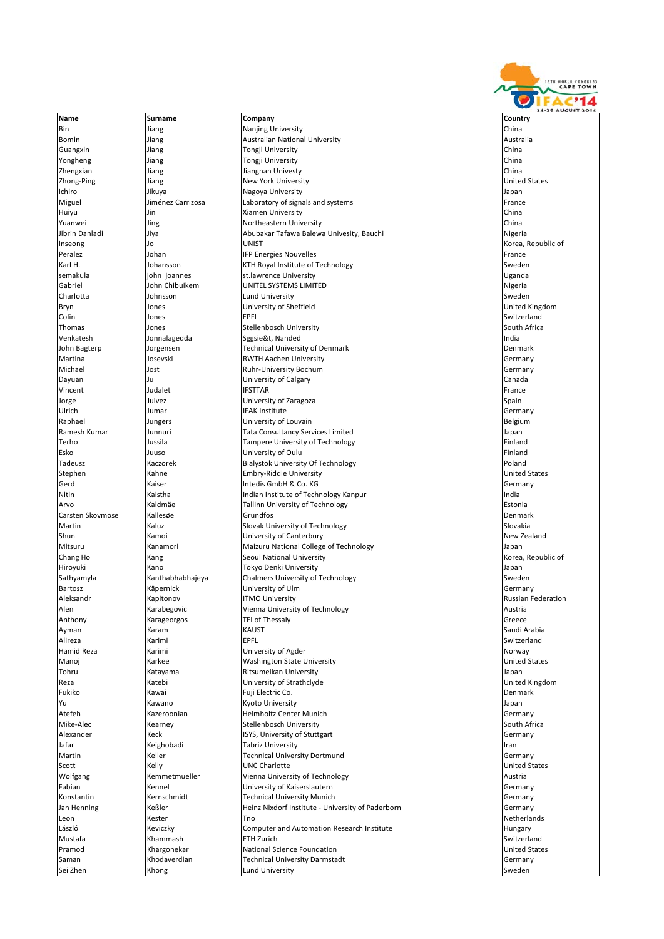

Name **Surname Company Company Company** Country Country **Bin** Jiang **Nanjing University** China **China** Bomin Jiang Australian National University Australia Guangxin Jiang Tongji University China Yongheng Same Music China Tongji University China Tongheng China China Tongheng China Tongheng China Tongheng China Zhengxian Jiang Jiangnan Univesty China Zhong‐Ping Jiang New York University United States Ichiro Jikuya Nagoya University Japan Miguel **Iménez Carrizosa** Laboratory of signals and systems **France Example 2** France Huiyu Jin Xiamen University China Yuanwei Jing Northeastern University China Jiya **Abubakar Tafawa Balewa Univesity, Bauchi** Nigeria Nigeria Nigeria Inseong Jo UNIST Korea, Republic of **IFP Energies Nouvelles** Karl H. Summan and the University of Technology and the University of Technology<br>Sumakula Sweden Summan St.lawrence University Summan Summan Suganda iohn joannes st.lawrence University<br>John Chibuikem UNITEL SYSTEMS LIMI Gabriel **Gabriel Community** John Chibuikem **UNITEL SYSTEMS LIMITED Nigeria** Nigeria Charlotta Johnsson Lund University Sweden Bryn Jones University of Sheffield United Kingdom Colin Jones EPFL Switzerland Thomas Jones Stellenbosch University South Africa Sggsie&t, Nanded John Bagterp Jorgensen Technical University of Denmark Denmark Martina **Martina Constructs** Josevski **RWTH Aachen University** Communisty Communisty Germany Michael Jost Ruhr‐University Bochum Germany Dayuan **Dayuan Canada Ju University of Calgary** Canada Canada Canada Canada Canada Vincent Judalet IFSTTAR France Jorge **Spain Sulla Community of Caragoza** Spain Spain Spain Spain Spain Spain Spain Spain Spain Spain Spain Spain Ulrich Jumar IFAK Institute Germany Raphael **South American** Jungers **Contains University of Louvain** Belgium Belgium Ramesh Kumar Junnuri Tata Consultancy Services Limited Japan Terho Jussila Tampere University of Technology Finland Esko Juuso Juuso University of Oulu Fernando (Finland Finland Finland University of Oulu Finland Poland Finland<br>Tadeusz Kaczorek Białystok University Of Technology Kaczorek **Bialystok University Of Technology** l<br>Inited States and Tuniversity United States and States and Tuniversity United States and United States and United States Gerd **Germany Intedis GmbH & Co. KG Germany Co. KG** Germany Nitin **Indian Institute of Technology Kanpur Indian Institute of Technology Kanpur** Indian Institute of Technology Kanpur Indian Institute of Technology Kanpur Indian Institute of Technology Kanpur Indian Institute of Tech Arvo Kaldmäe Tallinn University of Technology Estonia Carsten Skovmose Kallesøe Grundfos Grundfos Carsten Skovmose Denmark Martin **Martin Communist Communist Communist Communist Communist Communist Communist Communist Communist Communist Communist Communist Communist Communist Communist Communist Communist Communist Communist Communist Communi** Shun New Zealand Kamoi New Young Limitersity of Canterbury New Zealand New Zealand Mitsuru Kanamori Maizuru National College of Technology Japan **Chang Ho Kang Seoul National University** Hiroyuki Kano Tokyo Denki University Japan Sathyamyla Kanthabhabhajeya Chalmers University of Technology Sweden Bartosz Käpernick University of Ulm Germany Aleksandr Kapitonov ITMO University Russian Federation Alen Marabegovic Nuenna University of Technology<br>Anthony Marageorgos TEI of Thessalv Technology Austria Greece extended by the contract of thessaly Contract of Thessaly Greece Contract of The Contract of Thessaly Greece Contract of The Contract of The Contract of The Contract of The Contract of The Contract of The Contract of The C Ayman Karam KAUST Saudi Arabia Alireza Karimi EPFL Switzerland Hamid Reza **Karimi** Karimi **Norway** University of Agder Norway Norway Norway Manoj Karkee Washington State University United States Tohru Katayama Ritsumeikan University Japan Reza **Katebi** Katebi University of Strathclyde **National Communisty of Strathclyde** University of Strathclyde United Kingdom Fukiko Kawai Fuji Electric Co. Denmark Yu Kawano Kyoto University Japan Atefeh Kazeroonian Helmholtz Center Munich Germany Mike Stellenbosch University Stellenbosch University South Africa Alexander Keck ISYS, University of Stuttgart Germany **International Community Community** Iran Community Iran Community Iran Community Iran Community Iran Community Iran Iran Community Iran Community Iran Community Iran Community Iran Community Iran Community Iran Community I Martin **Martin** Keller **Technical University Dortmund** Cermany Germany Scott Kelly UNC Charlotte United States Wolfgang Kemmetmueller Vienna University of Technology Chamber Austria Fabian Kennel University of Kaiserslautern Germany Konstantin Manuel Kernschmidt Technical University Munich Technical University Munich Cernany Jan Henning Keßler Heinz Nixdorf Institute ‐ University of Paderborn Germany Leon Kester Tno Netherlands László Keviczky Computer and Automation Research Institute Hungary Mustafa Khammash ETH Zurich Switzerland Pramod Khargonekar National Science Foundation National Science Foundation National Science Foundation National Science Foundation Saman Manuel Khodaverdian Technical University Darmstadt Cermany Germany **Sei Zhen Sweden Khong Lund University Sweden Sweden** Sweden Sweden Sweden Sweden Sweden Sweden Sweden Sweden Sweden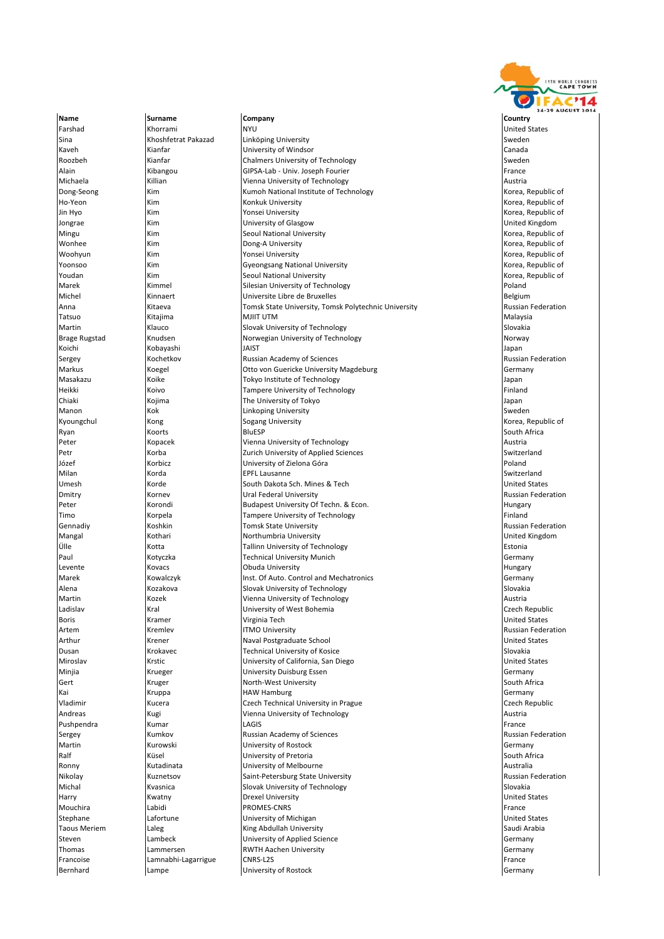

Farshad Khorrami NYU United States Sina Summan Khoshfetrat Pakazad Linköping University Sweden Sweden Sweden Sweden Sweden Sweden Sweden Sweden Sweden Kaveh Kianfar University of Windsor Canada Roozbeh Mianfar Chalmers University of Technology Chalmers University of Technology Sweden Alain **Kibangou GIPSA-Lab - Univ. Joseph Fourier** France France Michaela **Killian** Killian **Vienna University of Technology Austrian Austrian Austrian** Dong-Seong Kim Kim Kumoh National Institute of Technology Korea, Republic of Technology Ho‐Yeon Kim Kim Konkuk University Korea, Republic of Korea, Republic of Korea, Republic of Jin Hyo Kim Kim North American Consei University Conseil American Conseil American Conseil Rorea, Republic of Jongrae Minimity of Glasgow University of Glasgow Communication of Children and Minimity of Glasgow United Kingdom<br>1991 - Kim Seoul National University Communication of Korea, Republic of Seoul National University Mingu Kim Kim Seoul National University wonhee Kim Kim Dong‐A University Korea, Republic of Korea, Republic of Korea, Republic of Korea, Republic of K<br>Noohvun Kim Kim Yonsei University Korea, Republic of Korea, Republic of Korea, Republic of Woohyun Kim Yonsei University Korea, Republic of Yoonsoo Kim Gyeongsang National University Korea, Republic of Seoul National University Marek **Kimmel Silesian University of Technology Poland** Poland Michel Kinnaert Universite Libre de Bruxelles Belgium Anna Kitaeva Tomsk State University, Tomsk Polytechnic University Russian Federation Tatsuo Kitajima MJIIT UTM Malaysia Martin Martin (Klauco Slovak University of Technology Slovakia Slovakia Slovakia<br>Brage Rugstad Knudsen Slovay Slovakia Norwegian University of Technology Slovakia (Slovakia Norway Norwegian University of Technology Norway Norway Koichi Kobayashi JAIST Japan Sergey Kochetkov Russian Academy of Sciences Russian Federation Markus Koegel Otto von Guericke University Magdeburg Germany **Koike** Tokyo Institute of Technology **The Community Community Community Community Community Community Community Community Community Community Community Community Community Community Community Community Community Community** Heikki Koivo Tampere University of Technology Finland The University of Tokyo Japan Chiaki Kojima The University of Tokyo Japan Manon Kok Linkoping University Sweden Kyoungchul Kong Kong Sogang University Ryan Koorts BluESP South Africa **Peter Communist Communist Communist Communist Communist Communist Communist Communist Communist Communist Communist Communist Communist Communist Communist Communist Communist Communist Communist Communist Communist Commu** Petr Korba Zurich University of Applied Sciences Switzerland University of Zielona Góra Milan Korda EPFL Lausanne Switzerland Umesh Korde South Dakota Sch. Mines & Tech United States Dmitry **Russian Federation Kornev Consumersity Consumersity Consumersity** Russian Federation **Peter Korondi** Budapest University Of Techn. & Econ. **Example 2016** Hungary Hungary Timo **Korpela** Korpela **Tampere University of Technology Finland** Finland Gennadiy **State Accounts Accounts** Tomsk State University **Containers and State Accounts Accounts** Russian Federation Mangal Kothari Northumbria University United Kingdom Ülle Kotta Tallinn University of Technology Estonia **Paul Contract University Munich Contract Technical University Munich Germany** Levente Kovacs Obuda University Hungary **Marek Control Control Auto. Inst. Of Auto. Control and Mechatronics Control and Mechatronics Control and Mechatronics** Alena **Kozakova** Slovakia Slovak University of Technology **Slovakia** Slovakia Martin Kozek Vienna University of Technology Austria Ladislav Kral University of West Bohemia Czech Republic Boris **Example 2** (Kramer Mateur Virginia Tech United States and Dunited States and Dunited States and Dunited States Artem Kremlev ITMO University Russian Federation Arthur Krener Naval Postgraduate School United States Dusan Krokavec Technical University of Kosice Slovakia **Miroslav Krstic Communisty** (University of California, San Diego United States States States States States States Minjia Krueger University Duisburg Essen Germany Kruger South Africa North-West University South Africa North⊧West University South Africa Kai Kalendary (Kruppa Kalendary HAW Hamburg Kalendary Germany Germany Germany Germany Germany Germany Germany Vladimir **Calculation Calculation** Czech Technical University in Prague Czech Republic Czech Republic Andreas Kugi Vienna University of Technology Austria Pushpendra Kumar LAGIS France Sergey **Kumkov** Kumkov Russian Academy of Sciences **Russian Federation** Russian Federation Martin **Example 20 November 2018** University of Rostock Communisties and Communisties of Rostock Communisties and Germany Ralf South Africa (Küsel University of Pretoria South Africa South Africa South Africa Ronny **Kutadinata Rounded Australia** University of Melbourne **Australia** Australia Nikolay Kuznetsov Saint‐Petersburg State University Charles School Russian Federation<br>Michal Kyasnica Slovak University of Technology Shows Slovakia Kvasnica Slovak University of Technology Harry **Example 20 No. 2018 No. 2018 No. 2018 No. 2018 No. 2019 No. 2018 No. 2019 No. 2018 No. 2019 No. 2019 No. 2019 No. 2019 No. 2019 No. 2019 No. 2019 No. 2019 No. 2019 No. 2019 No. 2019 No. 2019 No. 2019 No. 2019 No. 20** Mouchira Labidi PROMES‐CNRS France Stephane Lafortune University of Michigan United States Taous Meriem **Laleg Community Communist Arabia** King Abdullah University Saudi Arabia Saudi Arabia Steven **Example 2** Lambeck **Lambeck** University of Applied Science Communication of the Germany Thomas Lammersen RWTH Aachen University Germany Francoise **Lamnabhi-Lagarrigue CNRS**-L2S **France** CNRS EXAMPLE EXAMPLE EXAMPLE EXAMPLE EXAMPLE EXAMPLE EXAMPLE EXAMPLE EXAMPLE EXAMPLE EXAMPLE EXAMPLE EXAMPLE EXAMPLE EXAMPLE EXAMPLE EXAMPLE EXAMPLE EXAMPLE EXAMPLE EXAMPL **Bernhard Example 1 Lampe Example 1 University of Rostock Germany Constant Constant Constant Constant Constant Constant Constant Constant Constant Constant Constant Constant Constant Constant Constant Constant**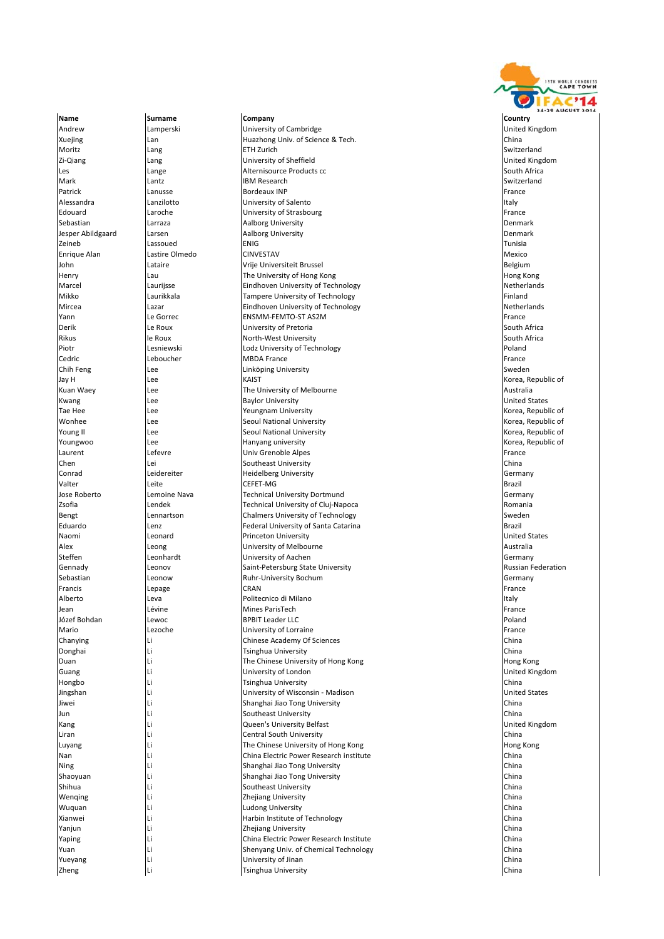Andrew Lamperski University of Cambridge United Kingdom Xuejing Lan Huazhong Univ. of Science & Tech. China Moritz Lang ETH Zurich Switzerland Zi‐Qiang Lang University of Sheffield United Kingdom Les **Lange Lange** Alternisource Products cc **Community Constructs and South Africa** Mark Lantz IBM Research Switzerland Patrick Lanusse Bordeaux INP France Alessandra **Lanzilotto Lanzilotto Lanzilotto University of Salento Italy Italy Italy Italy** Edouard Laroche University of Strasbourg France Sebastian National Larraza (Basic Larraza Aalborg University National Communisty Denmark Jesper Abildgaard Larsen **Aalborg University** Aalborg University **Denmark** Denmark Zeineb Lassoued ENIG Tunisia Enrique Alan Castire Olmedo CINVESTAV CONTENTING Alan Mexico Nexternal Mexico Nexternal Mexico Nexternal Mexico John Lataire Vrije Universiteit Brussel Belgium | Henry | Lau | Lau | The University of Hong Kong<br>| Marcel | Laurijsse | Laurijsse | Eindhoven University of Tech Laurijsse **Eindhoven University of Technology Netherlands** Netherlands<br>
Laurikkala **Netherlands** Tampere University of Technology Mikko Laurikkala Tampere University of Technology Finland Mircea Lazar Eindhoven University of Technology Netherlands |<br>|Yann Le Gorrec ENSMM-FEMTO-ST AS2M Derik Le Roux University of Pretoria South Africa Rikus le Roux North‐West University North‐West University<br>Piotr Lesniewski Lesniewski Lodz University of Tech **Lesniewski Lodz University of Technology Poland Poland Poland** Cedric **Calculation Contract Contract Contract Contract Contract Contract Contract Contract Contract Contract Contract Contract Contract Contract Contract Contract Contract Contract Contract Contract Contract Contract Cont** Chih Feng Sweden Linköping University Chine China China Sweden Sweden Sweden Sweden Linköping University Sweden Jay H Lee KAIST Korea, Republic of Kuan Waey Lee The University of Melbourne Australia Kwang Nee (Lee Baylor University Service States And United States States And The States States States States States States States States States States States States States States States States States States States States S Tae Hee **Lee** Lee **Lee** Yeungnam University **Korea, Republic of Americ of Americ of Americ of Americ of Americ of Americ of Americ of Americ of Americ of Americ of Americ of Americ of Americ of America, Republic of America** Wonhee **Lee** Lee Seoul National University **Contained Accompany of the Second Accompany** Korea, Republic of **Accompany** Korea, Republic of Young Il **Seoul National University** Communist Contact Access Access Access Access Access Access Access Access Access Access Access Access Access Access Access Access Access Access Access Access Access Access Access Access Youngwoo Lee Hanyang university Korea, Republic of Laurent Lefevre Univ Grenoble Alpes France Lei **Chen Lei Southeast University Conrad Contract Contract Leidereiter** Heidelberg University Conrad Conrad Germany Valter Leite CEFET‐MG Brazil Jose Roberto Lemoine Nava Technical University Dortmund Germany **<u>Izsofia Lendek Comes in the Comes Comes Comes in the Comes Comes Comes in the Comes Comes in the Comes in the Romania**</u> Bengt Lennartson Chalmers University of Technology Sweden Lenz **Ederal University of Santa Catarina** Brazil Brazil Brazil Naomi Leonard Princeton University United States Alex **Alex Leong Leong Community of Melbourne** Australia Communication of Australia<br>
Steffen **Australia Communication**<br>
Communication University of Aachen **Steffen Leonhardt University of Aachen** Germany **Gennady Leonov** Leonov Saint-Petersburg State University **Communisty** Russian Federation Sebastian Leonow Ruhr‐University Bochum Germany Francis Lepage CRAN France **Alberto** Leva **Internet di Milano Italy estis di Milano Italy estis di Milano Italy estis di Milano Italy estis di Milano Italy estis di Milano Italy estis di Milano Italy estis di Milano Italy estis di Milano Italy estis** Jean Lévine Mines ParisTech France Józef Bohdan Lewoc BPBIT Leader LLC Poland Mario Lezoche University of Lorraine France Chanying Li Chinese Academy Of Sciences China Donghai Li Tsinghua University China |<br>| Duan Hong Kong | Li Chinese University of Hong Kong Hong Hong Kong | Hong Kong Guang Li University of London United Kingdom Hongbo Li Tsinghua University China Jingshan Li University of Wisconsin ‐ Madison United States Jiwei Li Shanghai Jiao Tong University China Jun Li Southeast University China **Kang Like Like Communister Communister Communister Communister Communister Communister Communister Communister** Liran Li Central South University China Luyang **Li** Li The Chinese University of Hong Kong Hong Kong Hong Kong Hong Kong Hong Kong Hong Kong Hong Kong Hong Kong Hong Kong Hong Kong Hong Kong Hong Kong Hong Kong Hong Kong Hong Kong Hong Kong Hong Kong Hong Kong H Nan Li China Electric Power Research institute China China Electric Power Research institute Ning Li China (China Shanghai Jiao Tong University China Shanghai Jiao Tong University China (China China Shanghai Jiao Tong University China China China (China China Shanghai Jiao Tong University China China China (China Shaoyuan Li Shanghai Jiao Tong University China **Shihua** Li China Li Southeast University Wenqing Li Zhejiang University China Wuquan Li Ludong University China Xianwei **Li Li Harbin Institute of Technology** China China China China China Institute of Technology China China Yanjun Li Zhejiang University China Yaping The China Electric Power Research Institute<br>
Yuan China China China Electric Power Research Institute China China China China China Yuan Li Shenyang Univ. of Chemical Technology China Yueyang China Li Chinan Chinan Chinan Chinan Chinan Chinan Chinan Chinan Chinan Chinan Chinan Chinan Chinan China **Zheng Li Li Li China Li China China China China China China China China China** 

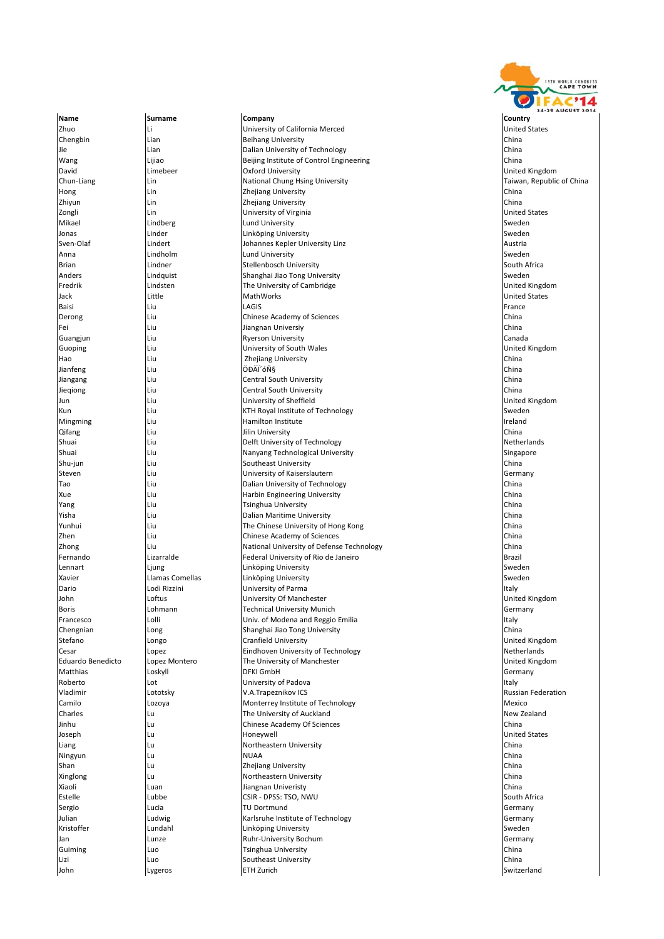

Name **Surname Company Company Company** Country Country Zhuo Li University of California Merced United States Chengbin Lian Beihang University China Jie 1988 (State Lian 1999) (China Dalian University of Technology 1999) (China China 2016) (China 2016) (China<br>1991 - China Dalian Dividing Delijing Institute of Control Engineering 1999 (China 2016) (China 2016) (China Lijiao **Beijing Institute of Control Engineering** China David Limebeer Oxford University United Kingdom **Chun-Liang Lin Chung Lin National Chung H**sing University **Chung Himmann Chung Howan, Republic of China** Hong Lin Zhejiang University China Zhejiang University China (Zhejiang University and The Linux China (China )<br>المساحد المساحد المساحد (University of Virginia ) المساحد المساحد (United States Zongli **Lin** Lin **University of Virginia** Mikael Lindberg Lund University Sweden Jonas Linder Linköping University Sweden Sven‐Olaf Lindert Johannes Kepler University Linz Austria Anna Lindholm Lund University Sweden Brian Lindner Stellenbosch University South Africa Anders **Anders** Lindquist Shanghai Jiao Tong University Shanghai Jiao Tong University Shanghai Jiao Tong University Shanghai Jiao Tong University Shanghai Jiao Tong University Shanghai Jiao Tong University Shanghai Jiao To The University of Cambridge United Kingdom Jack Little MathWorks United States Baisi Liu LAGIS France Derong Liu Chinese Academy of Sciences China Fei Liu Jiangnan Universiy China Ryerson University<br>
University of South Wales<br>
University of South Wales and Liu Vietnam University of South Wales Hao Liu Zhejiang University China Jianfeng Liu ÖÐÄÏ´óѧ China Jiangang Liu Central South University China Jieqiong Liu Central South University China Jun **Liu Liu Verbandom University of Sheffield** Kun Sweden (Liu Sweden (KTH Royal Institute of Technology Sweden Sweden) Mingming Liu Hamilton Institute Ireland Jilin University Shuai **Liu Chann and Delft University of Technology Netherlands** Netherlands Shuai Liu Nanyang Technological University Singapore Southeast University Steven **Liu Communisty of Kaiserslautern** Germany Germany Germany Tao Liu Dalian University of Technology China Xue Liu Harbin Engineering University China **Yang Liu China Liu Tsinghua University** Yisha **Liu Dalian Maritime University** China China China China China Dalian Maritime University China China China Yunhui Liu The Chinese University of Hong Kong China **Zhen** 2011 Liu Chinese Academy of Sciences China China China China China China China China China China China China Zhong Liu National University of Defense Technology China Federal University of Rio de Janeiro Lennart Ljung Linköping University Sweden Xavier **Linköping University** Come Linköping University Sweden Come Linköping University Sweden Dario Lodi Rizzini University of Parma Italy **John Loftus Loftus University Of Manchester** United Kingdom United Kingdom United Kingdom United Kingdom United K Boris Lohmann Technical University Munich Germany Univ. of Modena and Reggio Emilia<br>Shanghai Jiao Tong University<br>China Chengnian | Long | Long | Shanghai Jiao Tong University Stefano Longo Cranfield University United Kingdom Cesar Cesar Cesar Copez Cesar Lopez Eindhoven University of Technology<br>Celuardo Benedicto Lopez Montero The University of Manchester Cesar Cesar Cesar Cesar Cesar Cesar Cesar Cesar Lopez Montero **The University of Manchester** Matthias Loskyll DFKI GmbH Germany Roberto Lot University of Padova Italy Vladimir Lototsky V.A.Trapeznikov ICS Russian Federation **Camilo Camilo Camilo Camilo Camilo Camilo Camilo Camilo Camilo According to the Unit of Technology <b>Mexico** Mexico Charles Lu The University of Auckland New Zealand **Jinhu Lu** Lu Chinese Academy Of Sciences Joseph Lu Honeywell United States Liang **Lu** Lu **Northeastern University** China **China** China China China China Russian and China China China China Ningyun Lu NUAA China Shan Lu China (China Neglislang University China Neglislang University China Neglislang China (China Neglislan<br>Number of the China China Neglislang China Neglislang China Neglislang (China Neglislang China Neglislang Chin Xinglong Lu Northeastern University China **Xiaoli Luan** Jiangnan Univeristy China Luan Jiangnan Univeristy Estelle **Estelle** Lubbe CSIR - DPSS: TSO, NWU South Africa Sergio Lucia TU Dortmund Germany Julian Ludwig Karlsruhe Institute of Technology Germany Kristoffer **Lundahl** Linköping University Sweden Sweden Sweden Sweden Sweden Sweden Sweden Sweden Sweden Sweden Jan Lunze Ruhr‐University Bochum Germany Guiming Luo Tsinghua University China Lizi Luo Southeast University China John Lygeros ETH Zurich Switzerland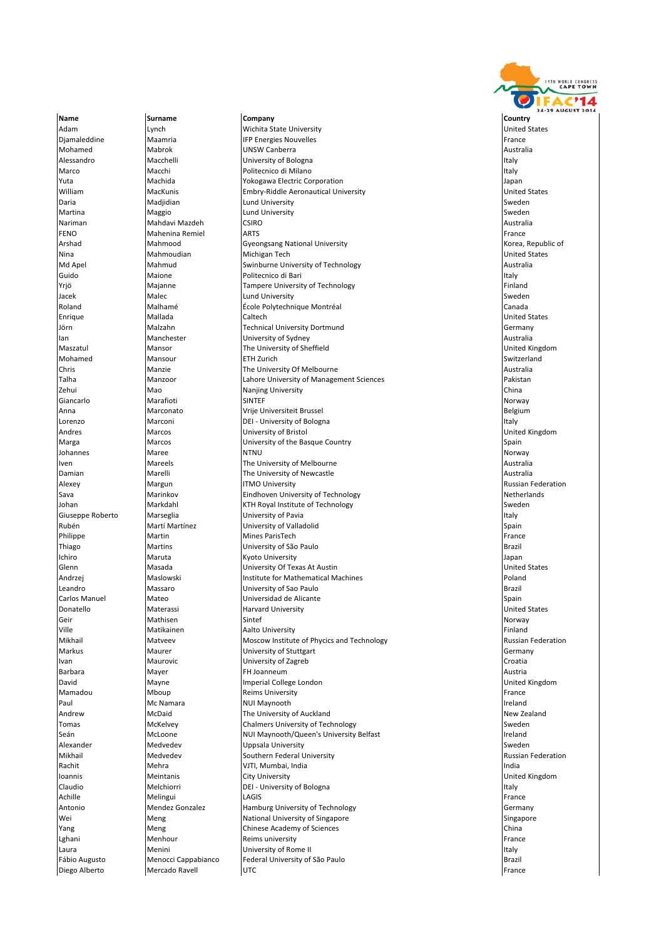

Adam **Adam Lynch Wichita State University** and the University Cham and Dirited States<br>
Diamaleddine Maamria Maamria IIFP Energies Nouvelles **Maamria Example 19 The Maria IFP Energies Nouvelles** France **France France France** Mohamed Mabrok (Mabrok UNSW Canberra Australia Australia Australia Australia<br>Alessandro Macchelli (University of Bologna Australia Australia Australia Australia Australia **Alessandro Macchelli University of Bologna Italy** Marco **Macchi Childenico di Milano Italy di Milano Italy di Milano Italy di Milano Italy di Milano Italy di Milano Italy di Milano Italy di Milano Italy di Milano Italy di Milano Italy di Milano Italy di Milano Italy di Mi** Yuta Machida Yokogawa Electric Corporation Japan **MacKunis Communis Embry-Riddle Aeronautical University** Daria Nadjidian Numbersity (Sweden States and Lund University Sweden States and Sweden States and Sweden States and Sweden States and Sweden States and Sweden States and Sweden States and Sweden States and Sweden States an Maggio **Maggio Lund University** Sweden and Maggio **Sweden** Sweden and Maggio **Sweden** Sweden and Sweden and Sweden and Sweden and Sweden and Sweden and Sweden and Sweden and Sweden and Sweden and Sweden and Sweden and Sw Nariman Mahdavi Mazdeh CSIRO COM CONSTRUCT Australia Australia FENO **Mahenina Remiel ARTS France ARTS France France France France France** Arshad Mahmood Gyeongsang National University and Mahmood Korea, Republic of Arshad Korea, Republic of Arshad Mi<br>Nina Mahmoudian Michigan Tech Nina **Mahmoudian Michigan Tech United States** United States Mahmoudian Michigan Tech United States Md Apel **Mahmud** Swinburne University of Technology **Australia**<br>
Suido **Malone** Maione Politecnico di Bari **Australia** Maione **Guido Mari Italy**<br>Guido Maione Politecnico di Bari Italy<br>Italiand Tampere University of Technology **Italy** Finland **Tampere University of Technology Magazine Finance Tampere University of Technology** Jacek Malec Lund University Sweden Roland Malhamé École Polytechnique Montréal Canada Enrique Mallada Caltech United States Jörn Malzahn Technical University Dortmund Germany | Ian Manchester | University of Sydney<br>| Maszatul Mansor | Mansor The University of Sh Mansor **The University of Sheffield** Mansor **The United Kingdom** Mohamed Mansour **ETH Zurich Switzerland Switzerland** Chris Manzie The University Of Melbourne Australia I ahore University of Management Sciences Zehui Mao Nanjing University China Giancarlo Marafioti SINTEF Norway Anna Marconato Vrije Universiteit Brussel Belgium Lorenzo **Marconi** DEI - University of Bologna **Italy** Italy Andres **Marcos** Marcos **Example 20** University of Bristol **Contract Contract Contract Contract Contract Contract United Kingdom** Marga **Marcos** Marcos **University of the Basque Country** Spain Johannes Maree NTNU Norway Iven **IVen Mareels The University of Melbourne** Australia Australia **Damian** Marelli **The University of Newcastle** Australia Alexey **Margun ITMO University Alexey** Russian Federation Russian Federation Sava **Marinkov Eindhoven University of Technology Netherlands** Netherlands Johan Markdahl KTH Royal Institute of Technology Sweden Giuseppe Roberto Marseglia **Interventiva Italy Constructs** University of Pavia Italy Italy Italy Italy Italy Italy Rubén **Martí Martínez University of Valladolid** Spain Spain Philippe **Martin Martin Mines ParisTech France Mines ParisTech** France **ParisTech France** Thiago Martins University of São Paulo Brazil Ichiro Maruta Kyoto University Japan Glenn Masada **University Of Texas At Austin**<br>Andrzei Maslowski **Mathwali United States**<br>Poland **Andrzej Maslowski Institute for Mathematical Machines** Leandro Massaro University of Sao Paulo Brazil **Carlos Manuel Manuel Manuel Manuel Manuel Manuel Manuel Manuel Manuel Spain** Donatello **Materassi** Materassi **Harvard University** And Materative United States Geir **Sintef Norway (Section 1996)** Sintef Norway Sintef Norway (Norway Norway Norway (Norway Norway Norway Norway Ville **Matikainen 1966 (Aalto University Finland** Finland Finland Finland Properties and Aalto University **Finland** Mikhail Matveev Moscow Institute of Phycics and Technology **Accompany Accompany** Russian Federation Maurer Maurer and University of Stuttgart Communication Communication of Sermany Ivan Maurovic University of Zagreb Croatia Barbara Mayer FH Joanneum Austria **David** Mayne **Imperial College London** College London College London College London College Research United Kingdom Mamadou Mboup Reims University France **Paul Mc Namara** NUI Maynooth **Ireland** Ireland Ireland Andrew **McDaid** McDaid The University of Auckland New Zealand New Zealand New Zealand New Zealand The University of Auckland New Zealand New Zealand New Zealand Sweden Tomas McKelvey **Chalmers University of Technology** Sweden Sweden Sweden Sweden Seán **McLoone** NUI Maynooth/Queen's University Belfast **Internative Sean Accord Accord Accord Accord Number 19** Ireland Alexander **Medvedev B. Alexander Sweden** Uppsala University Sweden Sweden Sweden Sweden Mikhail Medvedev Southern Federal University Russian Federation Russian Federation Rachit **India India India India India India India** India India India India India India India India India India Ioannis Meintanis City University United Kingdom Claudio Melchiorri DEI ‐ University of Bologna Italy Achille Melingui LAGIS France Antonio **Mendez Gonzalez** Hamburg University of Technology **Germany** Germany Wei **Meng** Meng National University of Singapore Singapore Singapore Singapore Yang Meng Chinese Academy of Sciences China China China China China China China China China China China China Lghani **Menhour** Reims university **France Reims university** France Reims university Laura **Menini Menini University of Rome II Italy Italy Italy Italy Italy** Fábio Augusto Menocci Cappabianco Federal University of São Paulo **Brazil** Brazil Diego Alberto Mercado Ravell UTC France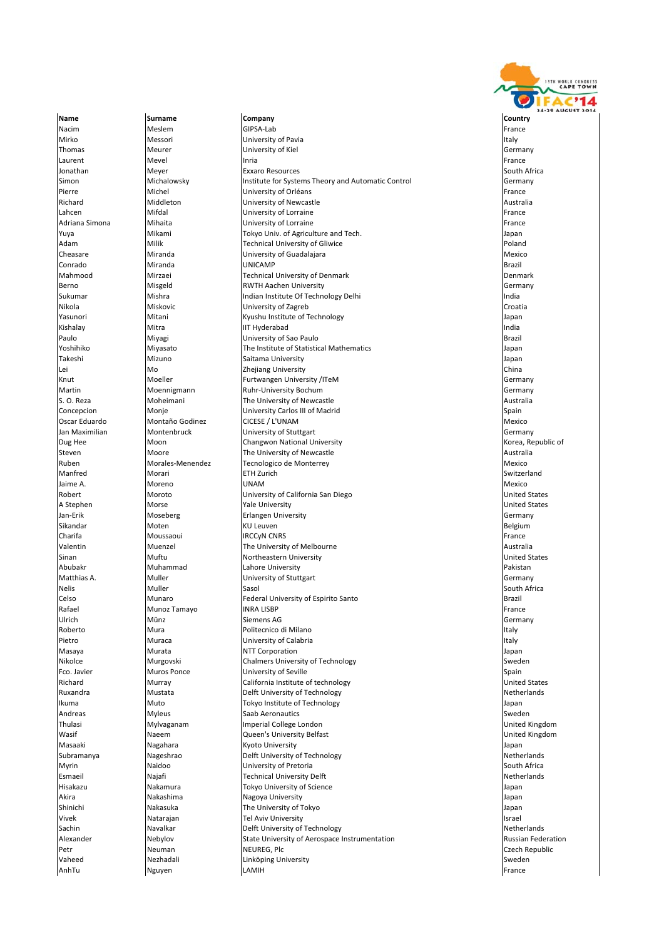

Name **Surname Company Company Company** Country Country Nacim Meslem GIPSA‐Lab France Gipse and Gipse and Gipse and Gipse and Gipse and Gipse and Gipse and Gipse and G **Mirko Messori** Messori **University of Pavia** Italy **Mirko Italy Italy** Italy Italy Italy Italy Italy Italy Italy Italy Italy Italy Italy Italy Italy Italy Italy Italy Italy Italy Italy Italy Italy Italy Italy Italy Italy Thomas Meurer University of Kiel Germany Laurent Mevel Inria France Jonathan Meyer **Exxaro Resources** South Africa Simon Michalowsky Institute for Systems Theory and Automatic Control Germany Pierre Champion (University of Orléans France Pierre Michel Pierre France Pierre France Pierre France Pierre F Richard Middleton Middleton Duniversity of Newcastle Australia<br>
University of Lorraine Communication of Trance Channel Channel Australia Lahcen **Mifdal** Mifdal **University of Lorraine France France France France** Adriana Simona Mihaita **Mihaita** University of Lorraine **France France** France Yuya **Mikami** Mikami **Tokyo Univ. of Agriculture and Tech.** The Mikapan Mikapan Mikapan Adam Milik Technical University of Gliwice Poland University of Guadalajara Conrado Miranda UNICAMP Brazil Mahmood Mirzaei and Technical University of Denmark Denmark Denmark Denmark Denmark Denmark Denmark Denmark Denmark<br>Berno Misgeld RWTH Aachen University Berno Misgeld RWTH Aachen University Germany Sukumar **Institute Of Technology Delhi** Indian Institute Of Technology Delhi Indian Institute Of Technology Delhi Nikola Miskovic University of Zagreb Croatia Yasunori Mitani Kyushu Institute of Technology Japan Kishalay Mitra IIT Hyderabad India Paulo Miyagi University of Sao Paulo Brazil **The Institute of Statistical Mathematics** Japan Japan Japan Takeshi Mizuno Saitama University Japan Lei Mo Zhejiang University China **Knut Moeller Furtwangen University /ITeM Germany Germany** Germany Martin Moennigmann Ruhr‐University Bochum (Ruhread Martin Moermany Germany Ruhr‐University Bochum Germany (Germany<br>S. O. Reza Moheimani The University of Newcastle The University of Newcastle Concepcion Monje Mondial Mondial Driversity Carlos III of Madrid<br>
Oscar Eduardo Montaño Godinez CICESE / L'UNAM CONTENTING ON MEXIC Oscar Eduardo Montaño Godinez CICESE / L'UNAM Mexico Jan Maximilian Montenbruck Muniversity of Stuttgart University Changes and Duniversity of Stuttgart Germany<br>
Dug Hee Moon Moon Changwon National University Changes and Duniversity Stuttgart Municipal Stuttgart of the M Dug Hee Moon National University Changwon National University Steven Moore The University of Newcastle Australia Ruben Morales and Mexico Mexico Mexico Mexico Mexico Mexico Mexico Mexico Mexico Mexico Mexico Mexico Mexico Mexico Manfred Morari ETH Zurich Switzerland Jaime A. Moreno UNAM Mexico Robert Moroto University of California San Diego United States A Stephen Morse Norse and Morse and Marketing Stephen Morse and Marketing States and Marketing States and Marketing States and Marketing States and Marketing States and Marketing States and Marketing States and Marketing S Jan‐Erik Moseberg Erlangen University Erlangen University Germany Sikandar Moten KU Leuven Belgium Charifa Moussaoui IRCCyN CNRS France Valentin Muenzel The University of Melbourne Australia **Single Muftu** Northeastern University<br>
Muhammad<br>
Lahore University Abubakr **Muhammad** Abubakir Pakistan Muhammad Lahore University **Pakistan Pakistan** Muller Muller **Muller** University of Stuttgart Germany Germany Germany Nelis Muller Sasol South Africa Celso Munaro Federal University of Espirito Santo Brazil Rafael Munoz Tamayo INRA LISBP France Ulrich **Münz** Münz Siemens AG Germany Siemens AG Germany **Roberto Indura** Mura Politecnico di Milano Italy in termina di Milano Italy in termina in termina in termina i Pietro **International Muraca Construction Construction Calabria** Italy **Italy** Italy Masaya **Murata** Murata **Murata** NTT Corporation **Murata** Japan nikolce **Murgovski** Chalmers University of Technology **Sweden** Sweden Sweden Sweden Sweden Sweden Sweden Sweden Sweden Sweden Sweden Sweden Sweden Sweden Sweden Sweden Sweden Sweden Sweden Sweden Sweden Sweden Sweden Swede Fco. Javier **Example 2** Muros Ponce **Music Constructs University of Seville** Spain California Institute of technology<br>Richard Murray Murray California Institute of technology **States** United States Richard Murray California Institute of technology **Ruxandra** Mustata **Nutral Delft University of Technology** Netherlands **Netherlands Ikuma** Muto **Muto** Tokyo Institute of Technology **The Community Community Community** Japan Andreas Myleus Saab Aeronautics Sweden Mylvaganam Imperial College London Wasif **Name Accord National Accord National Contracts** University Belfast **National Contracts Contracts** United Kingdom Masaaki **Nagahara** Kyoto University **Masaaki** Japan Subramanya Nageshrao Delft University of Technology Netherlands Myrin **Naidoo** Naidoo **University of Pretoria** South Africa South Africa Esmaeil Najafi Technical University Delft Netherlands Hisakazu Nakamura Tokyo University of Science Japan Akira Nakashima Nagoya University Japan Nakasuka **The University of Tokyo** Japan Japan Japan Vivek Natarajan Tel Aviv University Israel Sachin Navalkar **Delft University of Technology** Netherlands Netherlands Alexander Nebylov State University of Aerospace Instrumentation Russian Federation Petr **Neuman Neuman Research Republic** Petr Neuman Republic Czech Republic Vaheed Nezhadali **Networkst Sweden** Linköping University Sweden Networkst Sweden AnhTu Nguyen LAMIH France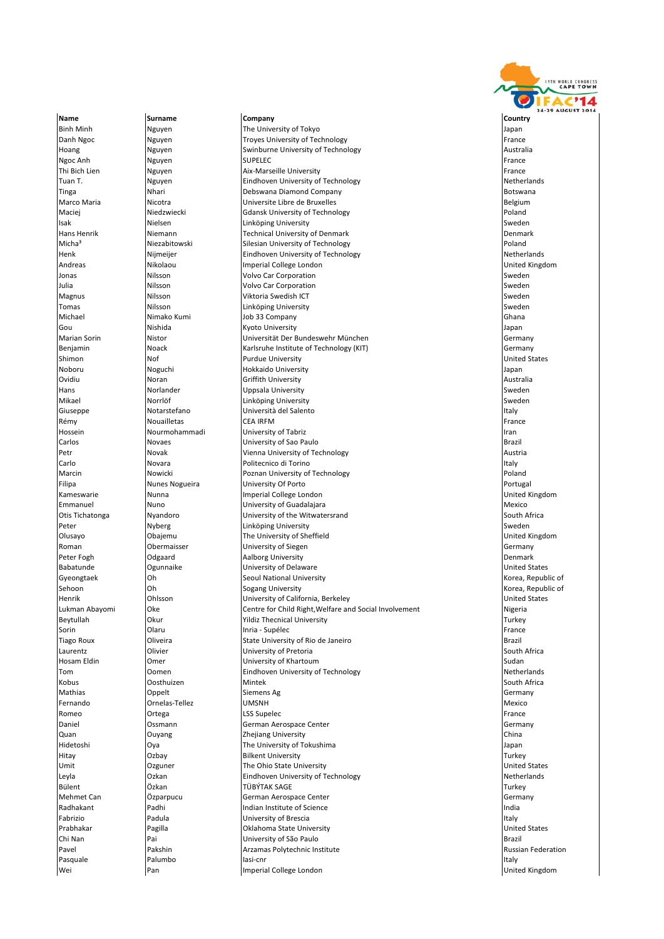

**Binh Minh Nguyen The University of Tokyo Channel Accord Accord Accord Accord Accord Accord Accord Accord Accord** Danh Ngoc Nguyen Nguyen Troyes University of Technology **France** Hoang Nguyen Swinburne University of Technology Australia Ngoc Anh Nguyen SUPELEC France SUPELEC SUPERS AND SUPERS AND SUPERS AND SUPERS AND SUPERS AND SUPERS AND SUPER Thi Bich Lien Nguyen Aix‐Marseille University France Tuan T. Nguyen **Eindhoven University of Technology** Netherlands **Tinga** Nhari **Nang Botswana Diamond Company** Botswana Botswana Botswana Botswana Botswana Botswana Botswana Botswana Marco Maria **Micology (Nicotra Computer Accessite Libre de Bruxelles** Belgium de Belgium (Nicotra Computer Accessive Belgium de La Computer School de La Computer Belgium de La Computer de Bruxelles de La Computer de La Com Maciej **Niedzwiecki** Gdansk University of Technology **Poland** Poland **Isak Nielsen Sweden Linköping University Sweden Sweden** Sweden Sweden Sweden Sweden Sweden Sweden Sweden Sweden Hans Henrik Niemann Technical University of Denmark Denmark Micha<sup>3</sup> Miezabitowski Silesian University of Technology<br>Henk Nimelier Silesian University of Technology Poland Netherlands Eindhoven University of Technology Andreas **Andreas Mikolaou Imperial College London** College and College and College and College and College and Co<br> **Andreas And Andreas Indiana United Kingdom**<br>
In the College College and College London College and College Jonas **Nilsson** Volvo Car Corporation **Vicket Corporation**<br> **Julia** Nilsson **Nilsson** Volvo Car Corporation **Julia Nilsson Volvo Car Corporation Sweden** Sweden Sweden Sweden Sweden Sweden Sweden Sweden Sweden Sweden Sweden Magnus Nilsson Viktoria Swedish ICT Sweden Nilsson Sweden Nilsson Sweden Sweden Sweden Sweden Sweden Sweden Sweden Tomas Nilsson Linköping University Sweden Michael Nimako Kumi Job 33 Company Ghana Ghana Ghana Ghana Ghana Gou Nishida Kyoto University Japan Mistor **Marian Sorin Universität Der Bundeswehr München Germany (Klaren Sorin Sorin Angel Sorin Sorin Sorin Sorin Sorin Sorin Sorin Sorin Sorin Sorin Sorin Sorin Sorin Sorin Sorin Sorin Sorin Sorin Sorin Sorin Sorin Sorin Benjamin** Noack **Karlsruhe Institute of Technology (KIT)** Cermany Germany Shimon Nof Not Purdue University and Development United States Noboru Noguchi Hokkaido University Japan **Ovidium Australia Griffith University** Australia **Australia Australia** Hans Norlander Uppsala University Sweden Morrlöf **Linköping University**<br>Notarstefano **Morres** Università del Salent Giuseppe **Notarstefano** (Università del Salento Italy Italy Italy Italy Italy Italy Italy Italy Italy Italy Italy Italy Italy Italy Italy Italy Italy Italy Italy Italy Italy Italy Italy Italy Italy Italy Italy Italy Italy Rémy **Nouailletas** CEA IRFM **CEA IRFM** France Hossein Nourmohammadi University of Tabriz Iran Carlos Novaes University of Sao Paulo Brazil Petr Novak Vienna University of Technology Austria Politecnico di Torino Marcin **Nowicki** Poznan University of Technology **Poland** Poland **Filipa** Nunes Nogueira **Nunes Internal Automobile Portugal** University Of Porto **Portugal** Portugal Portugal Kameswarie **Nunna** Nunna **Imperial College London Imperial College London Imperial College London United Kingdom** Emmanuel Nuno University of Guadalajara Mexico Otis Tichatonga Myandoro 
Nyandoro 
University of the Witwatersrand

Notis Tichatonga South Africa Peter **Nyberg Sweden** Numberg **Nitrich Sweden** Number 2016 and the University Sweden Number 2016 and Sweden Number Olusayo Obajemu The University of Sheffield United Kingdom Roman Obermaisser University of Siegen Germany aalborg University Babatunde Ogunnaike University of Delaware United States l Seoul National University And Seoul National University And Several Republic of Korea, Republic of Annual Seoul National University Annual Seoul National University Annual Seoul National University Annual Seoul Inc. Annu Sehoon Oh Sogang University Korea, Republic of **Henrik Communisty Communisty Communisty** University of California, Berkeley Lukman Abayomi **Oke Centre for Child Right, Welfare and Social Involvement** Nigeria<br>Beytullah Okur Okur Yildiz Thecnical University Okean American Okean Turkey Okur **Suite Affective Contract University** Turkey Turkey Turkey<br>
Olaru **Turkey Turkey Turkey Trance** Sorin **Inric** Inria ‐ Supélec France France France France France France France Inria ‐ Supélec Tiago Roux (Oliveira State University of Rio de Janeiro November 2011) Brazil<br>South Clivier (Sulth University of Pretoria November 2016) Laurentz **Collume Collume Collume** University of Pretoria **Collume 2016** South Africa Hosam Eldin Omer University of Khartoum Sudan Tom Oomen Eindhoven University of Technology Netherlands Kobus Oosthuizen Mintek South Africa Mathias **Siemens Ag Community Community Community** Siemens Ag Community Community Community Community Community Community Community Community Community Community Community Community Community Community Community Community Fernando Ornelas‐Tellez UMSNH Mexico Romeo Ortega LSS Supelec France Daniel Ossmann German Aerospace Center Germany Quan **Ouyang 2008** 2hejiang University China 2009 2networks and China **Hidetoshi Canadia Community of Tokushima** The University of Tokushima **Japan** Japan Hitay Ozbay Bilkent University Turkey Umit Ozguner The Ohio State University United States Leyla Ozkan Eindhoven University of Technology Netherlands Bülent Özkan TÜBÝTAK SAGE Turkey Mehmet Can **Germany** German Aerospace Center Can Communication Communication of Germany Radhakant **Padhi** Padhi Indian Institute of Science **Indian Institute of Science** Indian Institute of Science Indian Institute of Science Indian Institute of Science Indian Institute of Science Indian Institute of Science Fabrizio Padula University of Brescia Italy Prabhakar **Pagilla** Pagilla **Prabhakar** Pagilla **Communisties Indianal State University Prabhakar** Dirited States Chi Nan Pai University of São Paulo Brazil Pavel **Pakshin** Pakshin **Arzamas Polytechnic Institute Russian Federation** Russian Federation Pasquale Palumbo Iasi‐cnr Iasi‐cnr Italy Iasi‐cnr Italy Italy Iasi‐cnr Italy Italy Italy Italy Italy Italy Italy Italy Italy Italy Italy Italy Italy Italy Italy Italy Italy Italy Italy Italy Italy Italy Italy Italy Italy I wei **Pan Imperial College London** College London College London College London College London College London College London College London College London College London College London College London College London College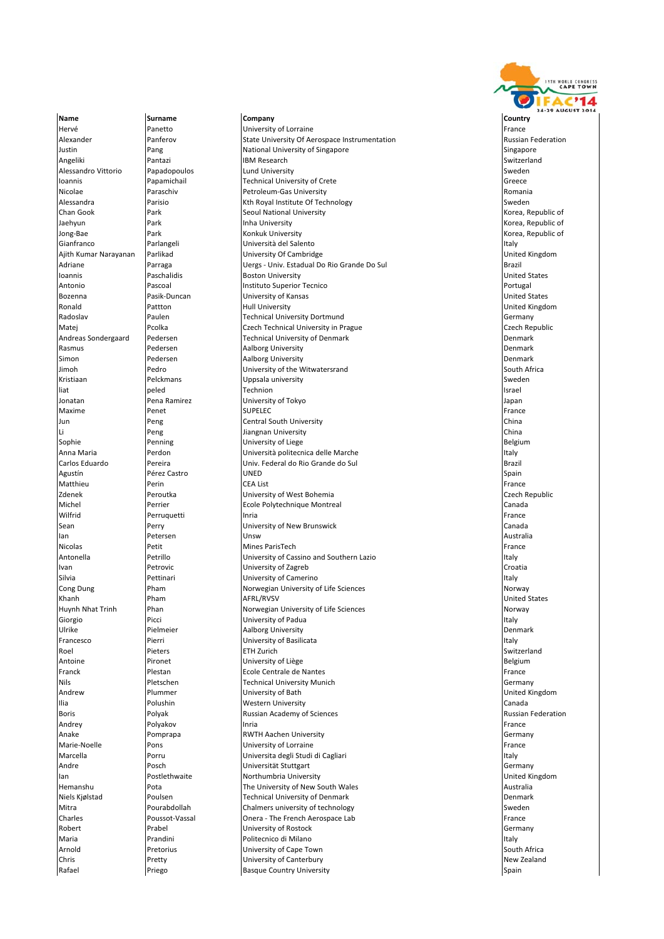

Hervé Panetto University of Lorraine France Alexander **Panferov** Panterov State University Of Aerospace Instrumentation Russian Federation Justin Pang National University of Singapore Singapore Angeliki Pantazi IBM Research Switzerland Alessandro Vittorio (Papadopoulos computado political university computation of the Sweden Sweden of Sweden and The Sweden Sweden Sweden Sweden Sweden and Sweden Sweden Sweden Sweden Sweden Sweden Sweden Sweden Sweden Swed Ioannis Papamichail Technical University of Crete Greece Nicolae Paraschiv Petroleum‐Gas University Romania Alessandra Parisio Kth Royal Institute Of Technology Sweden Chan Gook Park Park Seoul National University Jaehyun Park Inha University Korea, Republic of | Jong‐Bae Park Park Konkuk University Korea, Republic of Republic of Republic of Republic of Republic of Republic of States And Dividence Republic of Republic of Republic of Republic of Republic of Republic of Republic of Gianfranco **International del Parlangeli** Parlangeli Viene del Salento del Salento del Salento del Salento Inter<br>International Districts and Districts of Cambridge Cambridge in the United Kingdom and District Affinition of **University Of Cambridge** Adriane Parraga Uergs ‐ Univ. Estadual Do Rio Grande Do Sul Brazil Boston University Antonio Pascoal Instituto Superior Tecnico Portugal Bozenna Pasik‐Duncan University of Kansas United States Ronald **Rattton** Pattton **Hull University** Portmund<br>Radoslav Paulen Paulen Technical University Dortmund **Pauli District Construction** Germany Paulen **Radonslav Paulen Technical University Dortmund** Communistic Paulen Communistic Document Communistic Dortmund Matej Czech Republic Proolka Czech Technical University in Prague<br>Andreas Sondergaard Pedersen Czech Republical University of Denmark Czech Republic Technical University of Denmark **Rasmus Community Pedersen Community Aalborg University Community Community Community Denmark** Simon **Pedersen Aalborg University Contained Bullet Assembly** Denmark Jimoh Pedro University of the Witwatersrand South Africa Kristiaan Pelckmans Uppsala university Sweden liat peled Technion Israel Jonatan Pena Ramirez University of Tokyo Japan Maxime Penet SUPELEC France Jun Peng Central South University China Li Peng Peng Jiangnan University China and District China China and District China and District China and District<br>Sophie Penning District China and District China and District China and District China and District China a Sophie **Sophie** Penning **Penning Community of Liege** Belgium and the Belgium Belgium Anna Maria **Annie Annie Annie Communist**ic Università politecnica delle Marche **Instituto annie a l'Italy de La Communista e Se**ltaly de La Brazil<br>Iniv. Federal do Rio Grande do Sul de La Communista de Brazil de Brazil de Univ. Federal do Rio Grande do Sul Agustín Pérez Castro UNED Spain Matthieu Perin CEA List France Zdenek Peroutka University of West Bohemia Czech Republic Michel Perrier Ecole Polytechnique Montreal Canada Wilfrid Perruquetti Inria France Sean **Perry Canada Canada Canada Canada Canada** University of New Brunswick Canada Canada Canada Canada Ian **Petersen (Petersen Nunsw Australia**) en en de la provincia en la provincia en la provincia en la provincia e Nicolas Petit Mines ParisTech France Antonella **Petrillo** Petrillo **Petrillo** University of Cassino and Southern Lazio Italy Italy **Ivan Croatia** Petrovic **Croatia** University of Zagreb Croatia Croatia Croatia Croatia Silvia **Pettinari** Pettinari **Pettinari Pettinari University of Camerino** Italy **Italy Italy Italy Italy Italy Italy** Cong Dung Pham **Pham Norwegian University of Life Sciences** Norway Norway Norway<br>
Rhanh Pham **REACT AND AFRICATES** AFRICATES NOTICE AT A PHOTOGRAPH Dunited States Khanh Pham AFRL/RVSV **Channel States** Pham AFRL/RVSV And AFRL/RVSV **United States** | Huynh Nhat Trinh | Phan Norwegian University of Life Sciences | Norway Norway<br>| Giorgio | Picci | Picci | University of Padua Picci **Diorgio Picci Library Picci Library Contracts**<br>Pielmeier **Aalborg University** Ulrike **Pielmeier Aalborg University** Denmark **Primark** Denmark Denmark Francesco Pierri University of Basilicata Italy Roel Pieters ETH Zurich Switzerland (ETH Zurich Switzerland Switzerland Switzerland Switzerland Switzerland Sw **Antoine** Pironet **Pironet** University of Liège **Propriet and Constantine Belgium** Franck Plestan Ecole Centrale de Nantes France Nils Pletschen Technical University Munich Germany Communications of the Communications of Germany Andrew Plummer University of Bath United Kingdom Ilia Polushin Western University Canada Boris Polyak Russian Academy of Sciences Russian Federation Andrey Polyakov Inria France Anake Pomprapa RWTH Aachen University Germany Pons **Pons** University of Lorraine **France** *CONSIDERS EXAMPLE EXAMPLE EXAMPLE EXAMPLE EXAMPLE EXAMPLE EXAMPLE EXAMPLE EXAMPLE EXAMPLE EXAMPLE EXAMPLE EXAMPLE EXAMPLE EXAMPLE EXAMPLE EXAMPLE EXAMPLE EXAMPLE EXAMPLE EXAMPL* Marcella Porru Universita degli Studi di Cagliari Italy Andre **Posch Community Community** Universität Stuttgart Community Community Community Community Community Community Ian 1991 | Postlethwaite | Northumbria University | Northumbria University | Northumbria United Kingdom<br>| Hemanshu | Pota | Pota | The University of New South Wales Pota **The University of New South Wales** Australia **Australia** Niels Kjølstad Poulsen Prough Providen Prechnical University of Denmark Provident Channels (Denmark Providen<br>The Pour Pour Pour Denmark Chalmers university of technology Providen Sweden Sweden Mitra **Pourabdollah** Chalmers university of technology **Sweden** Sweden Charles Poussot‐Vassal Onera ‐ The French Aerospace Lab France Robert **Prabel Prabel Community of Rostock** Cermany Communisty of Rostock Cermany Communisty of Rostock Cermany Maria **International Prandini** Politecnico di Milano Italy in the Maria Italy Italy Italy Italy Italy Italy Italy **Arnold Community Pretorius Community of Cape Town South Africa** South Africa Chris **Pretty Christopher Christ** University of Canterbury **New Zealand** New Zealand Rafael **Priego** Basque Country University **Country Spain** Spain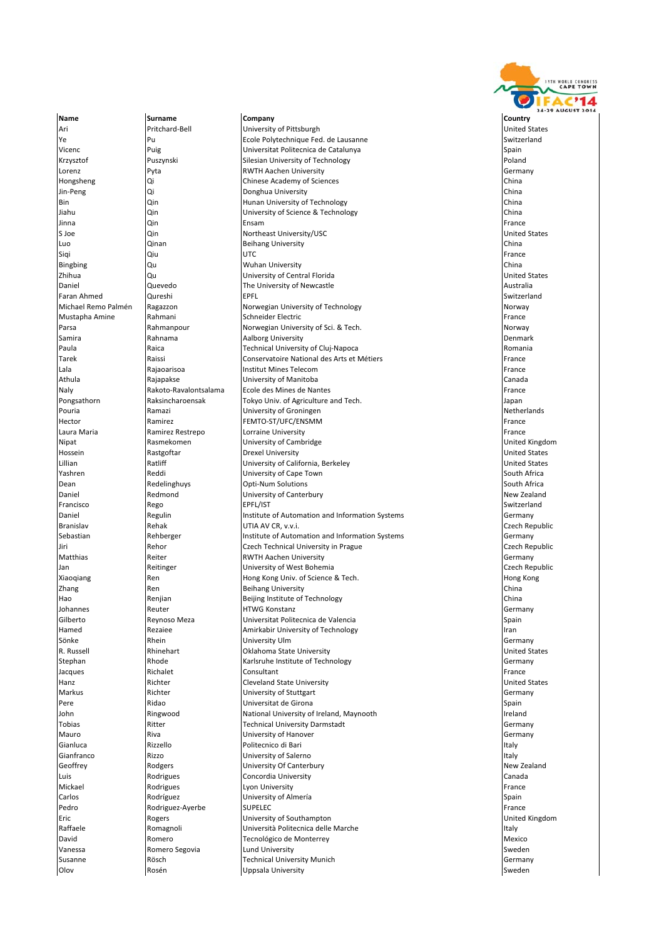

Name **Surname Company Company Company** Country Country Ari Pritchard‐Bell University of Pittsburgh United States Ye Switzerland Pu Ecole Polytechnique Fed. de Lausanne Switzerland Switzerland Vicenc Puig Universitat Politecnica de Catalunya Spain Krzysztof **Puszynski** Puszynski Silesian University of Technology Lorenz **Pyta** RWTH Aachen University **Communisty** Germany Hongsheng Qi Chinese Academy of Sciences China Jin‐Peng Qi Qi Donghua University Bin Qin Hunan University of Technology China University of Science & Technology Jinna Qin Ensam France s loe **Suite Community Community** Direct University/USC Community Output Assessment Community of the United States Luo Qinan Beihang University China Siqi Qiu UTC France Bingbing Qu Wuhan University China Zhihua Qu University of Central Florida United States **Daniel Cuevedo The University of Newcastle Australia** Australia Faran Ahmed Qureshi EPFL Switzerland Michael Remo Palmén Ragazzon Norwegian University of Technology Norway Norway Norway<br>Mustapha Amine Rahmani Rahmani Schneider Electric **Mustapha Amine** Rahmani Schneider Electric France France France Parsa Rahmanpour Norwegian University of Sci. & Tech. Norway Aalborg University **Paula** Raica **Raica** Technical University of Cluj‐Napoca **Romania** Romania Tarek Raissi Conservatoire National des Arts et Métiers France France (France Lala **Institut Mines Telecom** and Communication and Trance in the Rajaoarisoa **Institut Mines Telecom and Canada**<br>Interview Rajaoakse **Institut Mines Telecom and Canada** Athula Rajapakse University of Manitoba Canada Naly Rakoto‐Ravalontsalama Ecole des Mines de Nantes | France | France | France<br>| Pongsathorn | Raksincharoensak | Tokyo Univ. of Agriculture and Tech. Tokyo Univ. of Agriculture and Tech. Pouria **Ramazi** Ramazi **Ramazi** University of Groningen Netherlands Netherlands Hector Ramirez FEMTO‐ST/UFC/ENSMM FRance France Laura Maria **Ramirez Restrepo** (Corraine University **Contained According to the Container According Service According to the Container School (France Lorraine University of Cambridge School (Contained Kingdom Contained Kin Nipat Rasmekomen** University of Cambridge University of Cambridge Hossein Rastgoftar Drexel University United States University of California, Berkeley **Yashren South Africa** Reddi Communication Cape Town South Africa South Africa **Dean** Redelinghuys Doti-Num Solutions South Africa South Africa Daniel **Redmond Redmond** University of Canterbury **New Zealand** New Zealand Francisco Rego EPFL/IST Switzerland Daniel **Institute of Automation and Information Systems** Germany Germany Branislav Rehak UTIA AV CR, v.v.i. Czech Republic Sebastian **Subsettian Rehberger** Institute of Automation and Information Systems Germany Germany Jiri Cachnical University in Prague Cachnical University in Prague Czech Republic<br>
Matthias Cachnical Christian Christian Christian Christian Christian Communism Communism Communism (Germany C RWTH Aachen University Germany Jan Reitinger University of West Bohemia Czech Republic Xiaoqiang Ren Ren Hong Kong Univ. of Science & Tech. The Science Basic Cong Kong Kong Kong Kong Kong Kong Kong Zhang Ren Beihang University China Hao Renjian Beijing Institute of Technology China Johannes Reuter HTWG Konstanz Germany and Cilberto **Reynoso Meza** de Valencia de Valencia de Valencia Espain de Valencia de Valencia de Valencia de Valencia de Valencia de Valencia de Valencia de Valencia de Valencia de Valencia de Valencia de Valencia de Vale Hamed Rezaiee Amirkabir University of Technology Iran Sönke Rhein University Ulm Germany R. Russell **Report Note American** Report Research Collahoma State University **Collahoma State University** United States **Stephan Communist Rhode Communist Communist Communist Communist Communist Communist Communist Communist Communist Communist Communist Communist Communist Communist Communist Communist Communist Communist Communist Communi** Jacques Richalet Consultant France Hanz **Richter** Richter **Cleveland State University Cleveland States** United States **Markus** Richter **Righter Community of Stuttgart Germany Pere** Ridao **Ridao Channais (Spain Library Spain Library Spain Library Spain Library Spain Spain Spain Spain Spain Spain Spain Spain Spain Spain Spain Spain Spain Spain Spain Spain Spain Spain Spain Spain Spain Spain Spai** John **Ringwood** Ringwood National University of Ireland, Maynooth Indiana Ireland Ireland<br>Tobias Ritter International Technical University Darmstadt Technical University Darmstadt Germany Communical University Darmstadt Germany Mauro Riva University of Hanover Germany Gianluca Rizzello Politecnico di Bari Italy Gianfranco Rizzo University of Salerno Italy Geoffrey **Rodgers** Redgers **New Zealand** University Of Canterbury **New Zealand** New Zealand Luis Rodrigues Concordia University Canada Mickael **Rodrigues Research Human Human** Lyon University **France Research Property Research Property** France Carlos **Rodríguez Rodríguez** University of Almería **Spain** Spain Pedro Rodriguez-Ayerbe SUPELEC France Rodriguez-Ayerbe SUPELEC Eric Rogers University of Southampton United Kingdom Raffaele **Raffaele** Romagnoli **Network in the Università Politecnica delle Marche Italy** Italy David **Romero** Romero **Tecnológico de Monterrey de Monterrey de La Contrar de Mexico** Mexico Vanessa Romero Segovia Lund University Sweden Susanne Rösch Technical University Munich Germany Olov **Rosén National Execution Constants Accept Accept Accept Accept Accept Accept Accept Accept Accept Accept**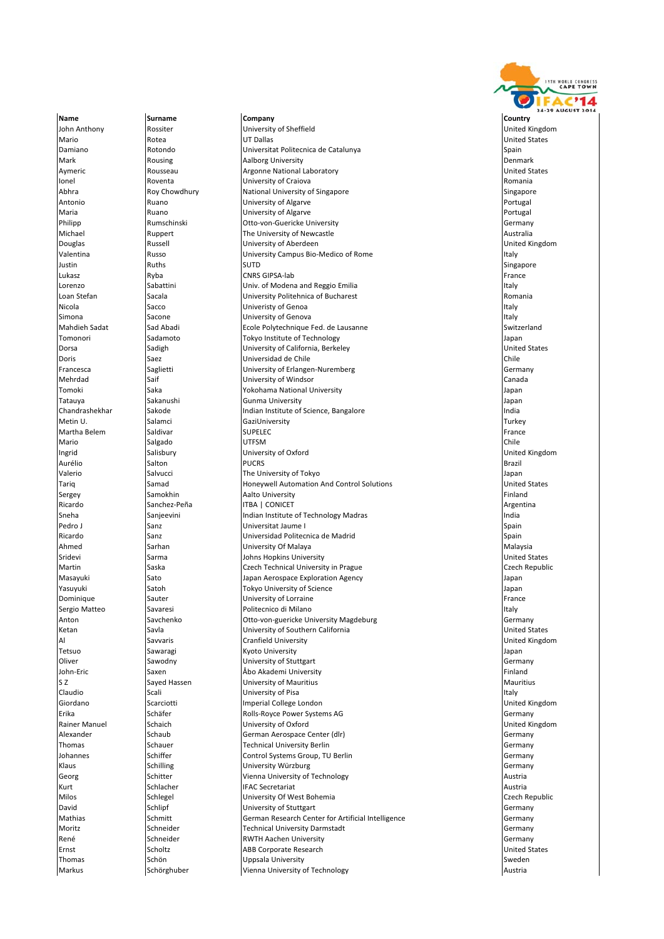

Name **Surname Company Company Company** Country Country John Anthony Rossiter University of Sheffield United Kingdom Mario Rotea UT Dallas United States Damiano **Rotondo** Rotondo **Rotono e Establece e Establece e Establece e Establece e Establece e Establece e Establ** Mark **Rousing Aalborg University Containers And Aalborg University Containers Act and A** Denmark Aymeric **Argonne National Laboratory Rousseau** Argonne National Laboratory **Constants Argonne National Laboratory** Ionel **Ionel** Roventa **Roventa University of Craiova Romania** Romania Abhra **Roy Chowdhury** National University of Singapore Singapore Singapore Singapore Antonio **Ruano** Ruano **Ruano Rupiersity of Algarve** Portugal Portugal Portugal Maria **Ruano Ruano Ruano Ruano Ruan**di University of Algarve **Ruano Ruano Ruano Ruano Ruano Ruano Ruan**o Ruano Ru Philipp Rumschinski Otto‐von‐Guericke University Germany **Michael Communist Ruppert The University of Newcastle Communist Communist Communist Communist Communist Communist Communist Communist Communist Communist Communist Communist Communist Communist Communist Communist Communi** Douglas Russell University of Aberdeen United Kingdom University Campus Bio‐Medico of Rome Italy Italy Italy Italy Italy Italy Italy Italy Italy Italy Italy Italy I Justin Ruths SUTD Singapore Lukasz **Ryba** Ryba CNRS GIPSA‐lab France **France** Lorenzo Sabattini Univ. of Modena and Reggio Emilia Italy Loan Stefan Sacala Sacala Sacala University Politehnica of Bucharest Communical Communication of Bucharest Romania Nicola Sacco Sacco Dividendial Sacco Dividendial Sacco Dividendial Dividendial Sacco Italy Italy Italy Italy I simona in the sacone studies of Genova Italy is the second that the second italy is the second that the second italy Mahdieh Sadat Sad Abadi Sad Ecole Polytechnique Fed. de Lausanne Switzerland Switzerland<br>Tomonori Sadamoto Sadamoto Tokvo Institute of Technology Santi Santi Japan Tokyo Institute of Technology<br>
University of California, Berkeley **Japan States** Japan Junited States **Dorsa** Sadigh Sadigh University of California, Berkeley United States States States States States States States **Doris Saez Chile Chile Chile Chile Chile Chile Chile Chile Chile Chile Chile Chile Chile Chile Chile Chile Chile** Francesca Saglietti Saglietti University of Erlangen-Nuremberg Sermany Germany Mehrdad Saif University of Windsor Canada Tomoki Saka Yokohama National University Japan Tatauya Sakanushi Gunma University Japan **Chandrashekhar Indian Institute of Science**, Bangalore Indian Institute of Science, Bangalore Indian Indian Indian Indian Indian Indian Indian Indian Indian Indian Indian Indian Indian Indian Indian Indian Indian Indian I Metin U. Salamci GaziUniversity Turkey Martha Belem Saldivar Superinten Superinten Superintensity of the Superintensity of the Superintensity of the Superintensity of the Superintensity of the Superintensity of the Superintensity of the Superintensity of the Su Mario Salgado UTFSM Chile Ingrid Salisbury University of Oxford United Kingdom Aurélio Salton PUCRS Brazil **Valerio** Salvucci **Salvucci** The University of Tokyo **Salvucci** Japan Tariq **Samad** Samad Honeywell Automation And Control Solutions **Example 2016** United States Sergey Samokhin Aalto University **Aalto University** Finland Aalto University **Finland** Ricardo Sanchez‐Peña **ITBA | CONICET Argentina** Argentina | Argentina Sneha Sanjeevini **Indian Institute of Technology Madras** Indian Institute of Technology Madras India Pedro J Sanz Sanz Universitat Jaume I Spain Spain Spain Ricardo Sanz Universidad Politecnica de Madrid Spain Ahmed Sarhan University Of Malaya Malaysia Johns Hopkins University **Martin Saska Czech Technical University in Prague Czech Secondic Czech Republic** Masayuki Sato Japan Aerospace Exploration Agency Japan Yasuyuki Satoh Satoh Tokyo University of Science Japan Japan Dominique Sauter University of Lorraine France Sergio Matteo Savaresi (Savaresi Politecnico di Milano Internationale di Milano Italy<br>Intoni Savchenko (Savaresi del Cerro Internationale Diversity Magdeburg del Savaresi Gerro Internationale di G Anton Savchenko **Otto**-von-guericke University Magdeburg Germany Germany **Ketan** Savla Savla **Savia University of Southern California** Communities of Southern California United States Al Savvaris Cranfield University Cranfield University Cranfield United Kingdom<br>Tetsuo Sawaragi Kyoto University Cranfield University Crane and Diplomatic United Kingdom Sawaragi **Sawaragi Kyoto University** Japan Sawaragi Japan Oliver Sawodny University of Stuttgart Germany John‐Eric Saxen Åbo Akademi University Finland s z Sayed Hassen **Sayet Hassen** University of Mauritius and Mauritius Mauritius Mauritius Mauritius Mauritius Mauritius Claudio Scali University of Pisa Italy Giordano Scarciotti Imperial College London United Kingdom Erika Schäfer Schäfer Rolls‐Royce Power Systems AG Schäfer Schäfer Schäfer Schäfer Rolls‐Rolls‐Rolls‐Rolls‐Rolls<br>Rainer Manuel Schaich Schain University of Oxford **University of Oxford** Alexander Schaub Schaub German Aerospace Center (dlr) Schaub Germany Germany Germany Thomas Schauer Schauer Technical University Berlin Communical University Berlin Communication of the Schwany Johannes Schiffer Schiffer Schiffer Control Systems Group, TU Berlin Germany Control Systems Group, TU Berlin Germany Klaus Schilling Schilling University Würzburg Germany Germany Germany Georg Schitter Superina University of Technology Control and Austria Kurt Schlacher IFAC Secretariat Austria Milos Schlegel Schlegel University Of West Bohemia Czech Republic Czech Republic David Schlipf Schlipf University of Stuttgart Communication of Stuttgart Schlipf Schlipf Schlipf Schlipf Schlip Mathias Schmitt German Research Center for Artificial Intelligence Germany Germany Moritz Schneider Technical University Darmstadt Germany Germany René Schneider Schneider RWTH Aachen University Communications of Germany Ernst Scholtz ABB Corporate Research Communications and Dirited States and Dirited States Thomas Schön Schön Uppsala University Sweden Sweden Sweden Sweden Sweden Sweden Sweden Sweden Sweden Sweden Sweden Markus Schörghuber Vienna University of Technology and Austria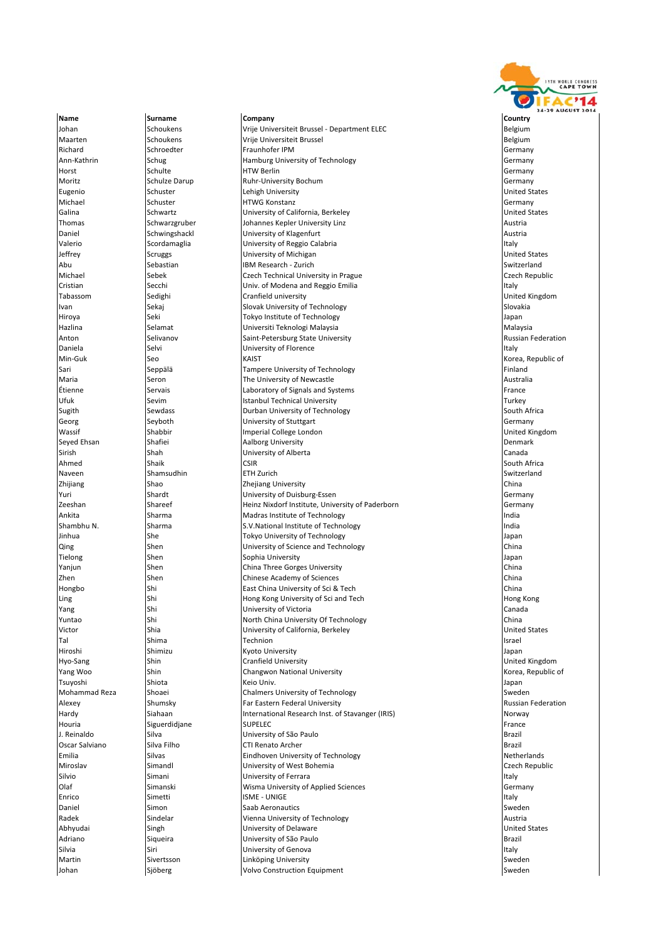

Johan Schoukens Vrije Universiteit Brussel ‐ Department ELEC Belgium Maarten Schoukens Vrije Universiteit Brussel Belgium Belgium Belgium Richard Schroedter Fraunhofer IPM Germany Germany Schroedter Fraunhofer IPM Germany Ann‐Kathrin Schug Schug Hamburg University of Technology Schutz Hamburg University of Technology Horst Schulte HTW Berlin Germany Moritz Schulze Darup Ruhr‐University Bochum Germany Germany Germany eugenio Schuster (Schuster Lehigh University Lehigh University United States (United States Michael Schuster Schware HTWG Konstanz Germany Schuster Germany Galina Schwartz Schwartz **University of California, Berkeley** Chartes and Dunited States Thomas Schwarzgruber Schwarzgruber Schwarzgruber Schwarzgruber Johannes Kepler University Linz Austria Austria Daniel Schwingshackl University of Klagenfurt Austria Austria Austria Valerio Scordamaglia (University of Reggio Calabria Italy and Scordamaglia Italy Italy Italy Italy Italy Italy<br>Inited Scruggs (University of Michigan Italy Italy Italy Italy Italy Italy Italy Italy Italy Italy Italy Italy **Jeffrey Scruggs** University of Michigan Abu Sebastian IBM Research ‐ Zurich Switzerland Switzerland Switzerland<br>Inichael Sebek Sebek Czech Technical University in Prague Switzerland Switzerland Sebek Sepublic Czech Technical University in Prague **Cristian** Secchi **Secchi** Univ. of Modena and Reggio Emilia **Italy** Italy Tabassom Sedighi Cranfield university Cranfield university Cranfield United Kingdom Ivan Sekaj Sekaj Slovak University of Technology Slovakia Slovakia Slovakia Hiroya Seki Tokyo Institute of Technology Japan Hazlina Selamat Universiti Teknologi Malaysia Malaysia **Saint-Petersburg State University Daniela** Selvi Selvi **Italy University of Florence Italy Italy** Italy Italy Italy Min‐Guk Seo Seo KAIST KAIST Seo KAIST Seo KAIST Semblic of Seo Kaise Sepublic of Seo Kaise Sepublic of Seo Kaise S Sari Seppälä Seppälä Tampere University of Technology Champere University of Technology Maria Seron **The University of Newcastle** Australia Étienne Servais Laboratory of Signals and Systems France Istanbul Technical University Sugith Sewdass Superinten University of Technology South Africa South Africa Georg Seyboth Seyboth University of Stuttgart Seven and Community of Stuttgart Seven and Seyboth Seven and Germany Wassif **Shabbir** Shabbir **Imperial College London** Massif extended Kingdom and United Kingdom and United Kingdom<br>Inperior Shafiei Shafiei Aalborg University and Manuel Shafield Denmark Seyed Ehsan Shafiei **Shafiei** Aalborg University **Communisty** Denmark Denmark Sirish Shah University of Alberta Canada Ahmed Shaik Shaik CSIR South Africa Shaik CSIR South Africa Naveen Shamsudhin ETH Zurich Switzerland Zhijiang **Shao** Shao **Zhejiang University China** Zhejiang University China China China (China China Yuri Shardt Shardt Duiversity of Duisburg‐Essen Share Share Share Share Share Share Share Share Share Share Share S Zeeshan Shareef Heinz Nixdorf Institute, University of Paderborn Germany Ankita **Sharma** Sharma **Madras Institute of Technology India** India Shambhu N. Sharma S.V.National Institute of Technology **India** India Jinhua She She Tokyo University of Technology Japan Japan Qing Shen University of Science and Technology China Tielong Shen Sophia University Japan **The China Three Gorges University** China Three Gorges University China Three Gorges University China Three Gorges University China Three Gorges University China Three Gorges University China Three Gorges University China Zhen Shen Shen Chinese Academy of Sciences China China China China China China China China China China China China Hongbo Shi Shi East China University of Sci & Tech China University of Sci & Tech China Ling Shi Shi Hong Kong University of Sci and Tech Hong Kong Hong Kong Hong Kong Lines and Tech Hong Kong Hong Kong Yang Shi Shi University of Victoria Canada (Canada Canada Canada Canada Canada Canada Canada Canada Canada Canada<br>Tuntao Shi Shi North China University Of Technology (China China China China China China China China China C North China University Of Technology Victor **Shia Shia New Ship Containst Containst Containst Contains Contains Contains Contains Contains Contains Contains Contains Contains Contains Contains Contains Contains Contains Contains Contains Contains Contains Con** Tal Shima **Technion Israel Shima Results** to the Shima Israel of Technion Israel Shima Israel Israel Israel Israel Hiroshi Shimizu Kyoto University Japan Hyo‐Sang Shin Shin Cranfield University Shin Cranfield University United Kingdom Yang Woo Shin Changwon National University Korea, Republic of Tsuyoshi Shiota Keio Univ. Japan Mohammad Reza Shoaei Shoaei Chalmers University of Technology Sweden Alexey **Shumsky Far Eastern Federal University Russian Federation** Russian Federation Hardy Siahaan International Research Inst. of Stavanger (IRIS) Norway Norway<br>International Research Inst. of Stavanger (IRIS) Norway Norway Houria Siguerdidjane SUPELEC France J. Reinaldo Silva University of São Paulo Brazil Oscar Salviano Silva Filho CTI Renato Archer Salviano estable a Brazil Emilia Silvas Eindhoven University of Technology Netherlands Miroslav Simandl View Simandl View Simandl University of West Bohemia Czech Republic Silvio Simani Simani (University of Ferrara Italy Simani Italy Italy Italy Italy Italy Italy Italy Italy Italy<br>International Simanski (University of Applied Sciences Italy Italy Italy Italy Italy Italy Italy Italy Italy Simanski **Olaf Simanski** Wisma University of Applied Sciences Germany Germany Enrico Simetti ISME - UNIGE الكتاب ISME - UNIGE التي تقدم المسابق المستخدم المستخدم المستخدم المستخدم المستخدم Daniel Simon Saab Aeronautics Saab Aeronautics Sweden Sweden Sweden Sweden Sweden Sweden Sweden Sweden Sweden Radek Sindelar Sindelar Nienna University of Technology Austria Austria Abhyudai Singh Singh University of Delaware Chambers of Delaware United States Adriano Siqueira University of São Paulo Brazil silvia Siri Siri (University of Genova Italy Indiana Italy Italy Italy Italy Italy Italy Italy Italy Italy Italy Martin Sivertsson **Linköping University** Sweden Sivertes Sweden Sivert Sivert Sivert Sivert Sivert Sivert Sivert Sivert Sivert Sivert Sivert Sivert Sivert Sivert Sivert Sivert Sivert Sivert Sivert Sivert Sivert Sivert Sive Johan Sjöberg Volvo Construction Equipment Sweden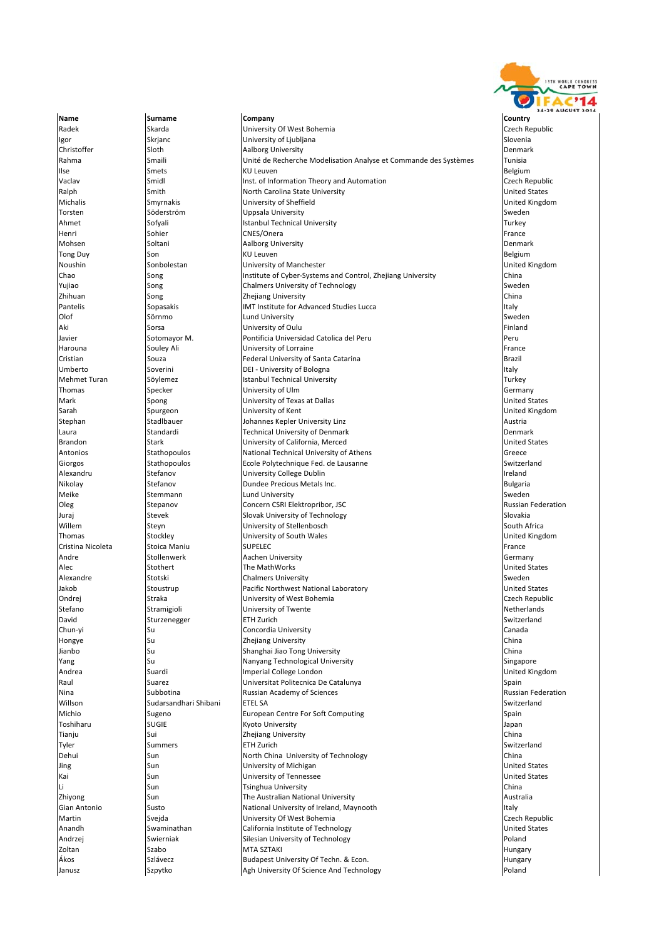

Name **Surname Company Company Company** Country Country **Radek Skarda Skarda University Of West Bohemia** Czech Republic Czech Republic **Igor** Skrjanc Schware Schware University of Ljubljana Slovenia Slovenia Slovenia Christoffer Sloth Sulth Aalborg University<br>
Rahma Smaili Dhité de Recherche Modelisation Analyse et Commande des Systèmes Tunisia Rahma Smaili Smaili Unité de Recherche Modelisation Analyse et Commande des Systèmes Tunisia Ilse Smets Smets RU Leuven Belgium Belgium Belgium Belgium Belgium Belgium Belgium Belgium Belgium Vaclav Smidl Smidl Inst. of Information Theory and Automation Case Czech Republic Ralph Smith Smith North Carolina State University Charolina State University United States Michalis Smyrnakis University of Sheffield United Kingdom Torsten Söderström **Uppsala University** Sueden Sweden Sweden Sweden Sweden Sweden Sweden Sweden Sweden Sweden Sweden Sweden Sweden Sweden Sweden Sweden Sweden Sweden Sweden Sweden Sweden Sweden Sweden Sweden Sweden Sweden Ahmet Sofyali Istanbul Technical University Turkey Henri Sohier CNES/Onera France Mohsen Soltani Aalborg University Denmark Tong Duy Son Son Relations (KU Leuven Belgium Son Relations of Belgium Son Relations of Belgium Noushin Sonbolestan **University of Manchester** Control, Zhejiang University United Kingdom<br>
Chao Song Song Institute of Cyber-Systems and Control, Zhejiang University China Chao Song Institute of Cyber-Systems and Control, Zhejiang University Yujiao Song Song Chalmers University of Technology Sweden Sweden Sweden Sweden Sweden Zhihuan **Song Song National Song China** Zhejiang University China and China China China China China China China Pantelis Sopasakis IMT Institute for Advanced Studies Lucca Italy Olof Sörnmo Lund University Sweden Aki Sorsa University of Oulu Finland Javier Sotomayor M. Pontificia Universidad Catolica del Peru Peru **Harouna** Souley Ali **Souley Ali** University of Lorraine France **France** France Cristian Souza Federal University of Santa Catarina Brazil Umberto Soverini **DEI - University of Bologna** Italy Italy Italy Italy Italy Italy Italy Italy Italy Italy Italy **Mehmet Turan Turkey Istanbul Technical University Communisty Communisty Communisty Communisty Communisty Communisty** Thomas Specker University of Ulm Germany Spong **Mark States II** University of Texas at Dallas Sarah Spurgeon University of Kent United Kingdom Stadlbauer Mannes Kepler University Linz (Stadium and Stadlbauer Austria)<br>Standardi Technical University of Denmark Austria (Denmark Denma Laura Standardi Technical University of Denmark Denmark Brandon Stark Stark University of California, Merced United States States States States States States States S Antonios Stathopoulos National Technical University of Athens Greece Giorgos Stathopoulos Ecole Polytechnique Fed. de Lausanne Switzerland Stathopoulos Alexandru Stefanov University College Dublin Ireland Nikolay **Stefanov** Stefanov **Dundee Precious Metals Inc.** Stefanov Bulgaria Bulgaria Meike Stemmann Lund University Sweden Sweden Stemmann Stemmann Stemmann Stemmann Stemmann Stemmann Stemmann Stemmann **Oleg Stepanov Concern CSRI Elektropribor, JSC** Bussian Federation Russian Federation Juraj Stevek Slovak University of Technology Slovakia Willem Steyn Steyn Steet University of Stellenbosch South Africa Thomas Stockley **Stockley** University of South Wales **Stockley United Kingdom** United Kingdom Cristina Nicoleta Stoica Maniu SUPELEC **France SUPELEC** France Superintensity of the Stoica Maniu Andre Stollenwerk Aachen University Germany Alec Stothert The MathWorks and the States United States United States Stothert The MathWorks and the States United States States and Stothert Intervention of the MathWorks and the States of the States of the States of the **Alexandre** Stotski Chalmers University Sweden Sweden Sweden Sweden Sweden Sweden Sweden Sweden Sweden Sweden Sweden Jakob Stoustrup Pacific Northwest National Laboratory United States Ondrej Straka University of West Bohemia Czech Republic Stefano Stramigioli University of Twente Netherlands David Sturzenegger **ETH Zurich Switzerland Switzerland** Switzerland Switzerland Switzerland Switzerland Switzerland Chun‐yi Su Concordia University Canada Hongye Su Su Su Zhejiang University China and Subsett China and China Jianbo Su Shanghai Jiao Tong University China **Yang Su Nanyang Technological University** Superintendent Singapore Andrea Suardi Imperial College London United Kingdom Suarez **Informatica Suarez Universitat Politecnica De Catalunya** Spain Spain Spain Nina Subbotina Russian Academy of Sciences Russian Federation Willson Sudarsandhari Shibani ETEL SA Switzerland Michio Sugeno Buropean Centre For Soft Computing Computer Spain Spain Spain Spain<br>Toshiharu SUGIE Kyoto University Spain Spain Spann Supen Supen Supen Toshiharu SUGIE Kyoto University Japan Tianju Sui Sui Zhejiang University China and Zhey Zhejiang University China and Zhejiang University China and Zhejiang University China and Zhejiang University China and Zhejiang University China and Zhejiang University Ch Tyler Summers ETH Zurich Switzerland Switzerland Switzerland Switzerland Switzerland Switzerland Switzerland Sw Dehui Sun North China University of Technology China Jing Sun University of Michigan United States Kai Sun Sun University of Tennessee Sunners and Disk and Disk of Tennessee United States<br>United States University University of Tennessee Sunners and Disk of China **Li** Sun Sun Tsinghua University Zhiyong Sun Sun The Australian National University **Sun The Australian National University** Gian Antonio Susto Susto National University of Ireland, Maynooth Italy Italy Martin Svejda University Of West Bohemia Czech Republic Anandh Swaminathan California Institute of Technology Controller States and States Andrzej Swierniak Silesian University of Technology Poland Zoltan Szabo MTA SZTAKI Hungary Ákos Szlávecz Budapest University Of Techn. & Econ. Szlávecz Hungary Budapest University Of Techn. & Econ. Janusz **Szpytko Agh University Of Science And Technology Szpytko** Poland Poland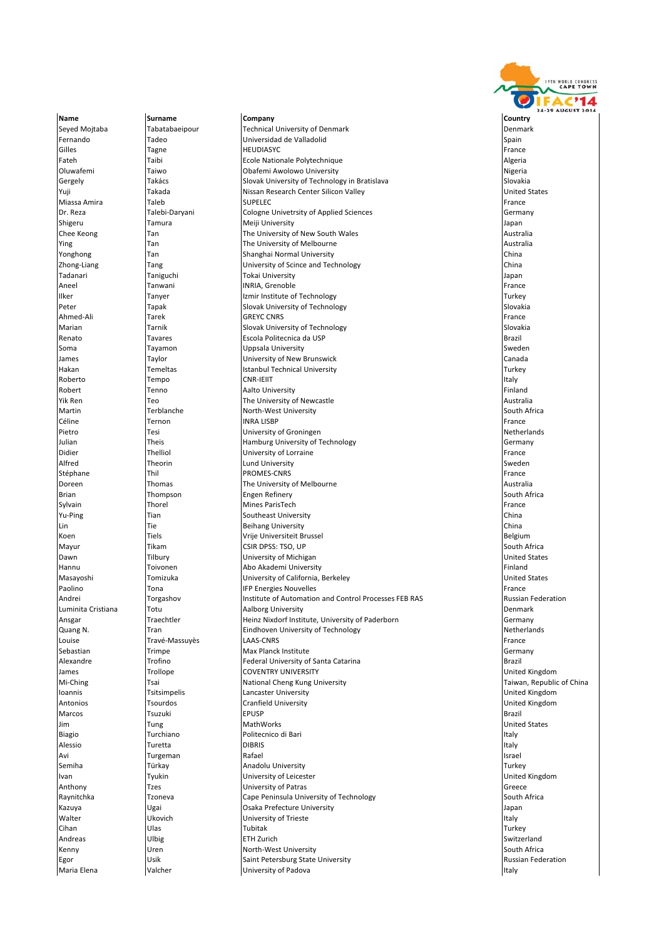

Name **Surname Company Company Company** Country Country Brian **Thompson** Engen Refinery

Seyed Mojtaba Tabatabaeipour Technical University of Denmark Denmark **Fernando Tadeo Tadeo** Universidad de Valladolid **Spain** Spain Gilles Tagne HEUDIASYC France Fateh Taibi Ecole Nationale Polytechnique Algeria Oluwafemi Taiwo Obafemi Awolowo University Nigeria Gergely Takács Slovak University of Technology in Bratislava Slovakia Yuji Nissan Research Center Silicon Valley Nussan Research Center Silicon Valley Nissan Research Center Silicon Valley Nissan Research Center Silicon Valley Nissan Research Center Silicon Valley Nissan Research Center Sili Miassa Amira Taleb SUPELEC France Dr. Reza Talebi‐Daryani Cologne Univetrsity of Applied Sciences Cologne University of Applied Sciences Cologne Shigeru Tamura Meiji University Japan Chee Keong Tan Tan The University of New South Wales Chee Keong Australia Ying Tan Tan The University of Melbourne and the Southeast Australia<br>The University of Melbourne Australia Australia (Alexandre Australia Australia Australia Australia Australia S<br>Tan Tan Shanghai Normal University Tan Shanghai Normal University Zhong–Liang Tang Tang University of Scince and Technology<br>Tang Taniguchi Tokai University China Tokai China Tang Tang Tangan Tokai University Aneel Tanwani INRIA, Grenoble France France France France Indiana Indiana Indiana Indiana Indiana Indiana India Ilker Tanyer Izmir Institute of Technology Turkey Peter Tapak Slovak University of Technology Slovakia Ahmed‐Ali Tarek GREYC CNRS France GREYC CNRS Marian Tarnik Slovak University of Technology Slovakia Escola Politecnica da USP Soma Tayamon Uppsala University Sweden James Taylor University of New Brunswick Canada Hakan **Temeltas** Istanbul Technical University **Turkey** Turkey Roberto Tempo CNR‐IEIIT Italy Robert Tenno Aalto University Finland The University of Newcastle **The University of Newcastle Australia**<br>Terblanche Australia Australia Australia Australia<br>Terblanche Australia Australia Australia Australia Australia Australia Australia Martin Terblanche North-West University Céline Ternon INRA LISBP France Pietro **Tesi** Tesi Diviversity of Groningen<br>
University of Technology<br>
Unian Cermany Germany Julian Theis Hamburg University of Technology Germany Didier Thelliol University of Lorraine France Alfred **Theorin** Communication and Theorin **Lund University** Sweden and Theorin Sweden Stéphane France Thil PROMES‐CNRS France The Trance The Trance Thil Promes‐CNRS France The Trance Doreen Thomas The University of Melbourne Australia Sylvain **Thorel Nines ParisTech France** France France France France France France France France France France Fra Yu-Ping Tian Tian Southeast University China Southeast University Lin China Tie Beihang University China China China China Beihang University China China China China China China Koen **Tiels** Tiels Vrije Universiteit Brussel Belgium Belgium Mayur Tikam CSIR DPSS: TSO, UP South Africa **Dawn** Tilbury **Tilbury Tilbury The University of Michigan The Community of Michigan United States** Hannu Toivonen Abo Akademi University Finland Masayoshi Tomizuka University of California, Berkeley United States Paolino Company in the Company of the Energies Nouvelles Control Processes FEB RAS France France<br>Andrei Company Torgashov Company Institute of Automation and Control Processes FEB RAS Russian Federation Andrei **Institute of Automation and Control Processes FEB RAS** RAS RAS RAS RAS RESERGES Luminita Cristiana Totu **The Community Community** Luminita Cristiana Totu Denmark<br>Ansear **Abbreuge Community Denmark** Germany Denmark Heinz Nixdorf Institute. University of Paderborn Ansgar Traechtler Heinz Nixdorf Institute, University of Paderborn Germany Germany Quang N. Netherlands Tran Tran Eindhoven University of Technology Netherlands Netherlands Louise Travé‐Massuyès LAAS‐CNRS France LAAS‐CNRS France LAGS Extendion of the USA of the Trance Sebastian **Trimpe** Trimpe **Max Planck Institute** Construction Construction of Germany Alexandre Trofino Federal University of Santa Catarina Brazil James Trollope COVENTRY UNIVERSITY United Kingdom **The Election Cheng Kung University** National Cheng Kung University **Ioannis Executive Lancaster University** Lancaster University **Lancaster University Lancaster Lancaster Lancaster Microsoft Constantine Lancaster University** Antonios Tsourdos Cranfield University United Kingdom Marcos Tsuzuki EPUSP Brazil Jim Tung MathWorks United States Biagio Turchiano Politecnico di Bari Italy Alessio Turetta DIBRIS Italy Avi Turgeman Rafael Israel Semiha **Türkay** Türkay **Anadolu University** Turkey Turkey Ivan Tyukin University of Leicester United Kingdom Tzes **Contrasts** University of Patras Contrasts Contrasts Contrasts and Contrasts Contrasts Contrasts Contrasts Contrasts Contrasts Contrasts Contrasts Contrasts Contrasts Contrasts Contrasts Contrasts Contrasts Contrasts Raynitchka **Tzoneva** Tzoneva Cape Peninsula University of Technology **South Africa** Kazuya **Warehor Nigai Narang Karata Prefecture University Camera Accord Accord Accord Accord Accord Accord Accord Accord Accord Accord Accord Accord Accord Accord Accord Accord Accord Accord Accord Accord Accord Accord A** Walter **Internal Community of Triestic Italy** University of Trieste Italy Italy Italy Italy Italy Italy Italy Cihan Ulas Tubitak Turkey Andreas Ulbig ETH Zurich Switzerland **Kenny South Africa** Uren North‐West University South Africa South Africa South Africa Egor **Egor** Nusian Federation Saint Petersburg State University **Russian Federation** Russian Federation **Maria Elena Internal Contract Contract Contract University of Padova Italy Italy Italy** Italy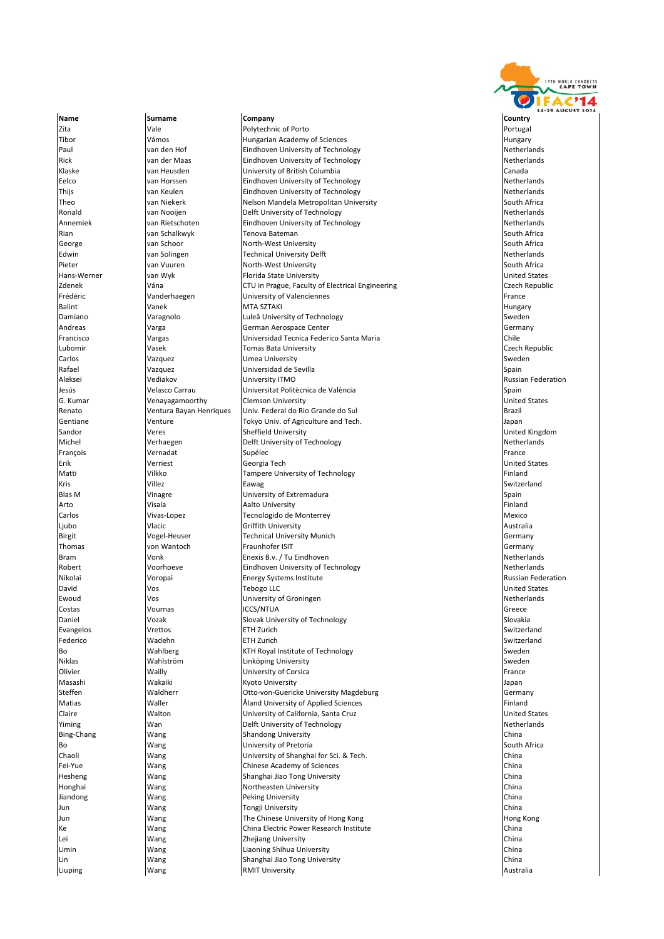

Name **Surname Company Company Company** Country Country Venayagamoorthy Bo Wang Wang University of Pretoria

**Zita Example 2018** Polytechnic of Porto **Property Access 2019** Portugal Portugal Tibor **Wamos** Vámos Hungarian Academy of Sciences **Hungary** Hungary Paul van den Hof **Eindhoven University of Technology** Netherlands Rick van der Maas Eindhoven University of Technology Netherlands Klaske van Heusden University of British Columbia Canada **Eelco** van Horssen **Eindhoven University of Technology Netherlands** Netherlands Thijs **South American Contract Contract Contract Contract Contract Contract Contract Contract Contract Contract Netherlands Netherlands (Netherlands States)** Theo van Niekerk Nelson Mandela Metropolitan University South Africa Ronald van Nooijen **Delft University of Technology** Netherlands Annemiek van Rietschoten Eindhoven University of Technology Netherlands Netherlands Rian van Schalkwyk (Tenova Bateman van South Africa) is de steeds van de steeds van South Africa George van Schoor North‐West University South Africa Technical University Delft Pieter van Vuuren North‐West University South Africa<br>North‐West University South Africa South Africa<br>Norther South Africa South Africa South Africa South Africa South Africa South Africa South Africa van Wyk Florida State University<br>
Vána CTU in Prague, Faculty ( Zdenek Vána CTU in Prague, Faculty of Electrical Engineering Czech Republic Frédéric Vanderhaegen University of Valenciennes France Balint Vanek MTA SZTAKI Hungary Damiano Varagnolo Luleå University of Technology Sweden Andreas Varga German Aerospace Center Germany Universidad Tecnica Federico Santa Maria Lubomir Vasek Tomas Bata University Czech Republic Carlos Vazquez Umea University Sweden Rafael Vazquez Universidad de Sevilla Spain Aleksei Vediakov University ITMO Russian Federation Jesús Velasco Carrau Universitat Politècnica de València Spain Renato Ventura Bayan Henriques Univ. Federal do Rio Grande do Sul Brazil Gentiane **Venture** Venture **Tokyo Univ.** of Agriculture and Tech. **Consumers and Tech** Japan Sandor **Sheffield University** Sheffield University Contact Contact Contact Contact Contact United Kingdom Michel **Nichel Verhaegen** Delft University of Technology **Nichel American**ds Netherlands François Vernadat Supélec France Erik Verriest Georgia Tech United States Matti Vilkko Tampere University of Technology Finland Kris Villez Eawag Switzerland Blas M Vinagre **University of Extremadura** Spain Spain Arto Visala Aalto University Finland Carlos Mexico → Vivas-Lopez Tecnologido de Monterrey Tecnologido de Monterrey Mexico Ljubo Vlacic Griffith University Australia Birgit Vogel-Heuser Technical University Munich Germany Germany Thomas von Wantoch Fraunhofer ISIT Germany Bram Netherlands Nonk **Enexis B.v. / Tu Eindhoven** Netherlands Netherlands Netherlands Robert **Eindhoven University of Technology** Netherlands Netherlands Netherlands Nikolai **Nikolai Russian Federation** Voropai **Energy Systems Institute Australian Construction** Russian Federation David Vos Tebogo LLC United States Ewoud Vos University of Groningen Netherlands Costas Vournas ICCS/NTUA Greece **Daniel Slovak Slovak Slovak University of Technology** Slovakia Slovakia Slovakia Evangelos Vrettos ETH Zurich Switzerland Federico Wadehn ETH Zurich Switzerland Bo Wahlberg KTH Royal Institute of Technology Sweden Wahlström **Linköping University** Sweden Niklas Wahlström Sweden Niklas Sweden Sweden Niklas Sweden Sweden Sweden Olivier Wailly University of Corsica France Masashi Wakaiki Kyoto University Japan **Steffen** Waldherr **Otto‐von**‐Guericke University Magdeburg Germany Germany Matias **Mation Community Aland University of Applied Sciences** Finland Communication of Applied Sciences Finland Claire **State Walton Manual Claire (California, Santa Cruz** Claire et al. 1916)<br>
Vinning Wan Wan Delft University of Technology (Vinning States of Netherlands **Yiming** Wan Wan Delft University of Technology Bing‐Chang Nang Wang Shandong University China<br>Bo South Africa Wang University China China China South Africa Chaoli Wang University of Shanghai for Sci. & Tech. China Fei‐Yue Wang Chinese Academy of Sciences China Hesheng Wang Shanghai Jiao Tong University China Honghai Wang Wang Northeasten University Jiandong Nang Wang Peking University China and Peking University China Jun Wang Tongji University China Jun Nang Wang The Chinese University of Hong Kong Hong Kong Hong Kong Kong Hong Kong Hong Kong Hong Kong Hong Kong Ke Nang Wang China Electric Power Research Institute China China China Electric Power Research Institute Lei Wang Zhejiang University China Limin Wang Liaoning Shihua University China Lin Wang Shanghai Jiao Tong University China **Liuping Community Community** Australia **Community** Australia Australia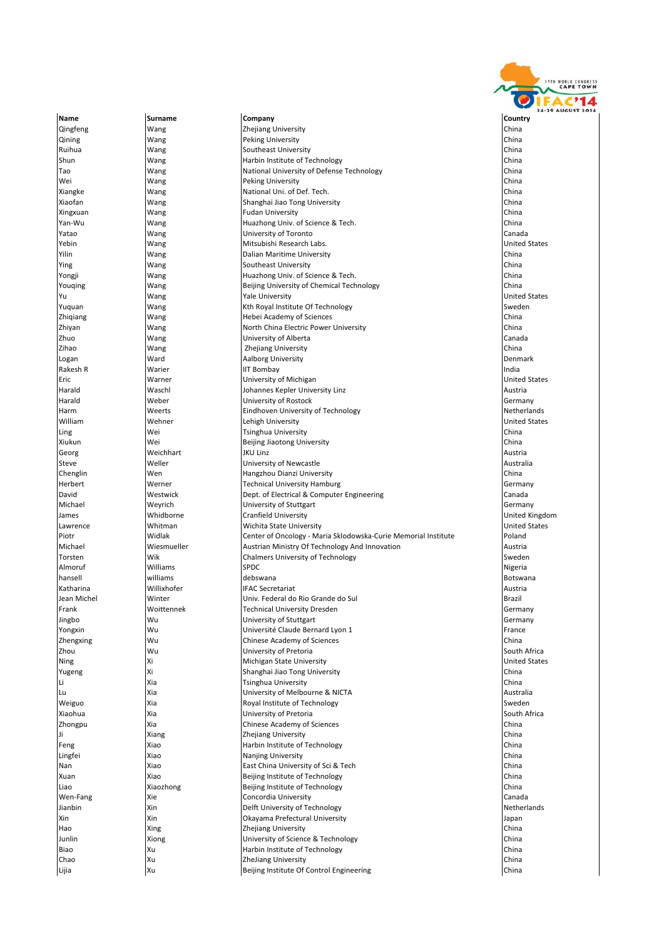

Name **Surname Company Company Company** Country Country Qingfeng Wang Zhejiang University China Qining **Wang Wang Peking University** China China China China China China China China China China China China China China China China China China China China China China China China China China China China China China China Ruihua Wang Southeast University China Shun Wang Wang Harbin Institute of Technology Tao Wang National University of Defense Technology China Wei Wang Peking University (China Number 2016)<br>Number 2016 National Uni. of Def. Tech. Xiangke Wang Wang National Uni. of Def. Tech. Xiaofan Wang Shanghai Jiao Tong University China Xingxuan **Wang** Wang **Fudan University** Yan‐Wu Wang Huazhong Univ. of Science & Tech. China Yatao Wang University of Toronto Canada Yebin Wang Mitsubishi Research Labs. United States Dalian Maritime University Ying Ning Wang Southeast University<br>The Southeast University China<br>The Southeast Physics China (China China) China (China China China China China China China China China China C Huazhong Univ. of Science & Tech.<br>Beijing University of Chemical Technology China Youqing Mang Wang Beijing University of Chemical Technology Yu Wang Yale University **The Contract of States** United States Yuquan Wang Kth Royal Institute Of Technology Sweden Wang Wang Hebei Academy of Sciences Zhiyan Wang North China Electric Power University China University of Alberta **Canada Canada Canada Canada Canada Canada Canada Canada Canada Canada Canada Canada Canad**<br>Canada Canada Canada Canada Canada Canada Canada Canada Canada Canada Canada Canada Canada Canada Canada Can zihao **Wang Wang Zhejiang University** Logan **Ward Ward Aalborg University** Chamber Management Chamber of Denmark Rakesh R **National Warier Community Community** IIT Bombay **India** India and India India India Eric Warner University of Michigan United States Harald Waschl Johannes Kepler University Linz Austria University of Rostock Germany Harm Weerts Eindhoven University of Technology Netherlands William Mehner Mehner (United States and Lehigh University Children and Muslim United States and United States<br>The United States of The University University United States and University China Ling China (Series of the University China University China China China China (China China China China China B<br>China (China China Beijing Jiaotong University China China China China China Beijing Jiaotong University China Xiukun Wei Wei Beijing Jiaotong University Georg Weichhart JKU Linz Austria Steve **Weller** Weller **University of Newcastle** Australia Chenglin Wen Hangzhou Dianzi University China Herbert **Werner** Werner **Technical University Hamburg Germany** Germany David Mestwick Dept. of Electrical & Computer Engineering Canada Canada Michael Weyrich University of Stuttgart Germany James **Whidborne** Cranfield University **Cranfield University** Cranfield University **United Kingdom** Lawrence **Whitman** Wichita State University **Wichita State University United States** Piotr Widlak Center of Oncology ‐ Maria Sklodowska‐Curie Memorial Institute Poland Michael Michael Wiesmueller Austrian Ministry Of Technology And Innovation Austrian Mustrian Ministry Of Technology<br>Torsten Mik Wik Chalmers University of Technology Vik Chalmers University of Technology<br>
Williams<br>
SPDC Almoruf Williams SPDC Nigeria hansell williams debswana Botswana Katharina Willixhofer IFAC Secretariat Austria Jean Michel Winter Univ. Federal do Rio Grande do Sul Brazil Frank Woittennek Technical University Dresden Germany Jingbo Wu University of Stuttgart Germany **The Claude Beat of the Claude Bernard Lyon 1 Claude Bernard Lyon 1 France France** Zhengxing Wu Chinese Academy of Sciences China **Zhou Night Couth Africa** Christ Couth Africa Christ Christ Christ Christ Christ Christ Christ Christ Christ Christ Christ Christ Christ Christ Christ Christ Christ Christ Christ Christ Christ Christ Christ Christ Christ C Ning Xi Michigan State University United States Yugeng Xi Shanghai Jiao Tong University China Tsinghua University Lu Xia Xia University of Melbourne & NICTA Australia Weiguo **Xia Royal Institute of Technology** Character Sweden Sweden Sweden Sweden Sweden Sweden Sweden Sweden Sweden Xiaohua Xia University of Pretoria South Africa Zhongpu **Xia** Xia Chinese Academy of Sciences Ji Xiang Zhejiang University China **Feng** Xiao Xiao **Harbin Institute of Technology** China Barbin Institute of Technology **Lingfei** Xiao **Nanjing University China** Nanjing University China Nanjing University China Nanjing University China Nan Nan Xiao Xiao **East China University of Sci & Tech China** University of Sci & Tech China University of Sci & Tech China Xuan Xiao Beijing Institute of Technology China Liao Xiaozhong Reijing Institute of Technology Wen‐Fang Xie Concordia University Canada Jianbin Maria Xin Netherlands Xin Delft University of Technology Xin Xin Okayama Prefectural University Japan Hao Xing Xing Zhejiang University China and Zhejiang Links and Links and Links and Zhejiang University China and Zhejiang University China and Links and Links and Links and Links and Links and Links and Links and Links and Junlin Xiong University of Science & Technology China Biao Xu Harbin Institute of Technology China **Chao** Xu Xu ZheJiang University **China** Zheliang University **China** Lijia Xu Beijing Institute Of Control Engineering China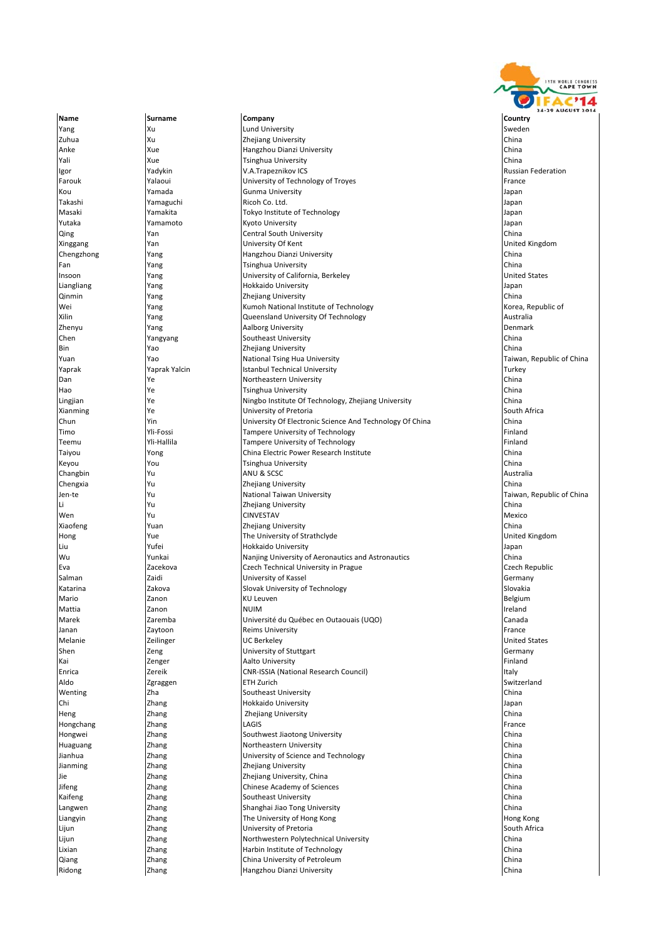

Ridong Zhang Hangzhou Dianzi University China

Name **Surname Company Company Company** Country Country **Yang Surface State State In the University** Sweden Surface State Sweden Sweden Sweden Sweden Sweden Sweden Sweden Zuhua Xu Xu Zhejiang University China Xu China China Xu Zhejiang University China Xu Xu Zhejiang University China Anke Xue Hangzhou Dianzi University China **Tali Xue Tsinghua University** China Rue Tsinghua University Igor Yadykin V.A.Trapeznikov ICS Russian Federation Farouk **Yalaoui Yalaoui** Value **Value Account Value Value Value Value Value Value Value Value Value Value Value Value Value Value Value Value Value Value Value Value Value Value Value Value Value Value Value Value Value** Kou Yamada Gunma University Japan Takashi Yamaguchi Ricoh Co. Ltd. Japan Masaki Yamakita Tokyo Institute of Technology Japan Yutaka Yamamoto Kyoto University Japan Qing China China Central South University China China China China China China China China China China China China China China China China China China China China China China China China China China China China China China Xinggang Yan University Of Kent United Kingdom Yang **Indiana Hangzhou Dianzi University** Fan Yang Tsinghua University China University of California, Berkeley Liangliang Mang Provident Communication of Hokkaido University Communication and the University of the University Qinmin Yang Zhejiang University China Wei Standard (1993) Wei Wei Wang Mang Mang Kumoh National Institute of Technology<br>
Rilin Kang Mang National Cueensland University Of Technology (1996) Australia Yang **Constanting Constanting Constanting Constanting Constanting Constanting Constanting Constanting Constanting Constanting Constanting Constanting Constanting Constanting Constanting Constanting Constanting Constanting** Zhenyu Yang Aalborg University Denmark Southeast University **China**<br>
Zheilang University China<br>
China Bin Yao Zhejiang University China Yuan National Tsing Hua University Taiwan, Republic of China Prince China Library Taiwan, Republic of China Pr Yaprak Turkey | Yaprak Yalcin | Istanbul Technical University Turkey Turkey | Turkey Dan Ye Northeastern University China Hao 1989 | Ye 1989 | Tsinghua University<br>| Hangjian 1989 | Ye 1989 | Ningbo Institute Of Technology, Zhejiang University 1989 | China Ningbo Institute Of Technology, Zhejiang University **Xianming** South Africa **Ye** University of Pretoria **South Africa** South Africa Chun 1991 (The Vin University Of Electronic Science And Technology Of China China China (China 2016)<br>Timo 1991 (The China China China Technology China 2016) (The China China China 2016) Timo San Tampere University of Technology<br>The Muslim Tampere University of Technology Finland Tampere University of Technology Teemu Yli‐Hallila Tampere University of Technology Finland Taiyou Yong China Electric Power Research Institute China Keyou **Times Accounts** You **Transform Times View You** Tsinghua University Changbin Yu ANU & SCSC Australia Chengxia Yu Zhejiang University China Jen-te Yu Yu National Taiwan University Taiwan, Republic of China Number of China Li Yu Zhejiang University China Wen Yu CINVESTAV Mexico Xiaofeng Yuan Zhejiang University China Hong Nue Nue The University of Strathclyde Nue and The University of Strathclyde Nue and The United Kingdom Liu Yufei Hokkaido University Japan Nanjing University of Aeronautics and Astronautics China Eva Zacekova Czech Technical University in Prague Czech Republic Salman **Zaidi Zaidi Zaidi University of Kassel Community of Kassel Cermany Germany** Katarina **Zakova Zakova** Slovak University of Technology **Slovakia** Slovakia Mario Zanon KU Leuven Belgium Mattia Zanon NUIM Ireland Marek Zaremba Université du Québec en Outaouais (UQO) Canada Janan Zaytoon Reims University France Melanie Communication and Melanic Communications and Dunited States and Dunited States and Dunited States and Dunited States and Dunited States and Dunited States and Dunited States and Dunited States and Dunited States an Shen **Shen** Zeng **Zeng Weitersty of Stuttgart** Sheng Community of Stuttgart Sheng Germany Kai **Zenger Aalto University Gramma** Aalto University **Finland Constanting Constanting Constanting Constanting Constanting Constanting Constanting Constanting Constanting Constanting Constanting Constanting Constanting** Enrica Zereik CNR‐ISSIA (National Research Council) Italy Aldo Zgraggen ETH Zurich Switzerland Wenting Zha Southeast University China Chi Zhang Hokkaido University Japan Heng Zhang Zhejiang University China Hongchang Zhang LAGIS France Hongwei Zhang Southwest Jiaotong University China Huaguang **Northeastern University** Zhang **Northeastern University** Jianhua Zhang University of Science and Technology China Jianming Zhang Zhejiang University China Jie Zhang Zhejiang University, China China **Thang Chinese Academy of Sciences**<br> **Southeast University** Kaifeng **Southeast University** China China China China China Southeast University China China China China China Langwen **Zhang** Zhang Shanghai Jiao Tong University China China China China China Liangyin **Example 2** Zhang The University of Hong Kong Hong Hong Kong Hong Kong Hong Kong Hong Kong Hong Kong Hong Kong Lijun **Example 28 South Africa** Chang University of Pretoria South Africa South Africa Lijun **Zhang Northwestern Polytechnical University** China China Lixian Zhang Harbin Institute of Technology China Qiang **Zhang** Zhang China University of Petroleum **China China University of Petroleum** China